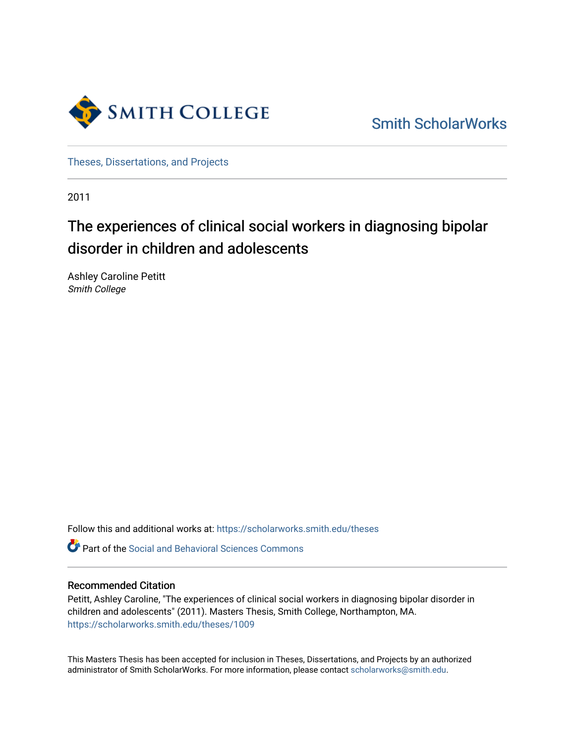

[Smith ScholarWorks](https://scholarworks.smith.edu/) 

[Theses, Dissertations, and Projects](https://scholarworks.smith.edu/theses) 

2011

# The experiences of clinical social workers in diagnosing bipolar disorder in children and adolescents

Ashley Caroline Petitt Smith College

Follow this and additional works at: [https://scholarworks.smith.edu/theses](https://scholarworks.smith.edu/theses?utm_source=scholarworks.smith.edu%2Ftheses%2F1009&utm_medium=PDF&utm_campaign=PDFCoverPages) 

**C** Part of the Social and Behavioral Sciences Commons

### Recommended Citation

Petitt, Ashley Caroline, "The experiences of clinical social workers in diagnosing bipolar disorder in children and adolescents" (2011). Masters Thesis, Smith College, Northampton, MA. [https://scholarworks.smith.edu/theses/1009](https://scholarworks.smith.edu/theses/1009?utm_source=scholarworks.smith.edu%2Ftheses%2F1009&utm_medium=PDF&utm_campaign=PDFCoverPages)

This Masters Thesis has been accepted for inclusion in Theses, Dissertations, and Projects by an authorized administrator of Smith ScholarWorks. For more information, please contact [scholarworks@smith.edu](mailto:scholarworks@smith.edu).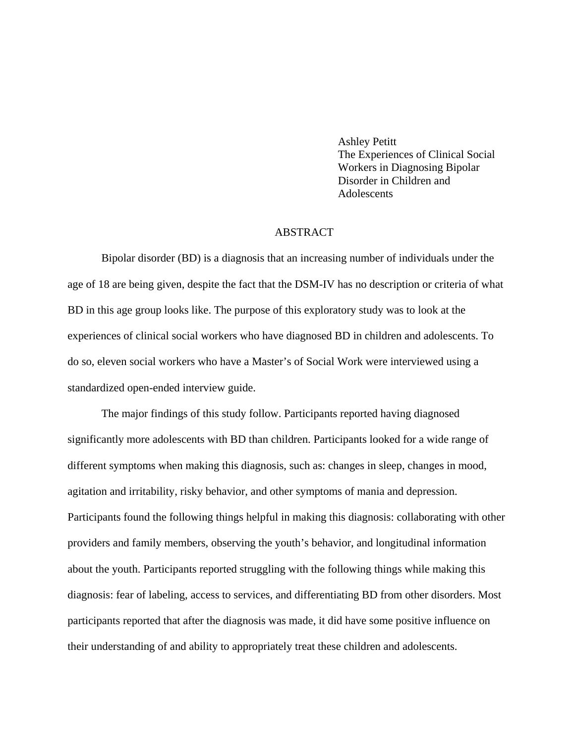Ashley Petitt The Experiences of Clinical Social Workers in Diagnosing Bipolar Disorder in Children and **Adolescents** 

## ABSTRACT

Bipolar disorder (BD) is a diagnosis that an increasing number of individuals under the age of 18 are being given, despite the fact that the DSM-IV has no description or criteria of what BD in this age group looks like. The purpose of this exploratory study was to look at the experiences of clinical social workers who have diagnosed BD in children and adolescents. To do so, eleven social workers who have a Master's of Social Work were interviewed using a standardized open-ended interview guide.

The major findings of this study follow. Participants reported having diagnosed significantly more adolescents with BD than children. Participants looked for a wide range of different symptoms when making this diagnosis, such as: changes in sleep, changes in mood, agitation and irritability, risky behavior, and other symptoms of mania and depression. Participants found the following things helpful in making this diagnosis: collaborating with other providers and family members, observing the youth's behavior, and longitudinal information about the youth. Participants reported struggling with the following things while making this diagnosis: fear of labeling, access to services, and differentiating BD from other disorders. Most participants reported that after the diagnosis was made, it did have some positive influence on their understanding of and ability to appropriately treat these children and adolescents.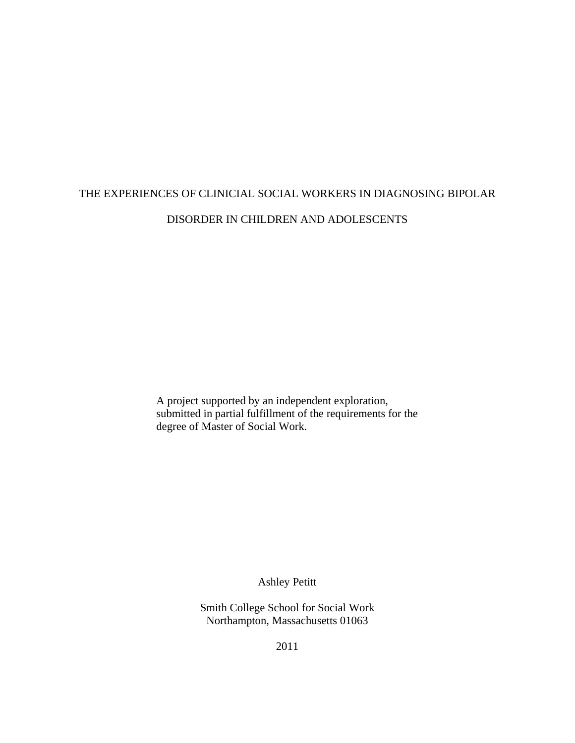# THE EXPERIENCES OF CLINICIAL SOCIAL WORKERS IN DIAGNOSING BIPOLAR DISORDER IN CHILDREN AND ADOLESCENTS

A project supported by an independent exploration, submitted in partial fulfillment of the requirements for the degree of Master of Social Work.

Ashley Petitt

Smith College School for Social Work Northampton, Massachusetts 01063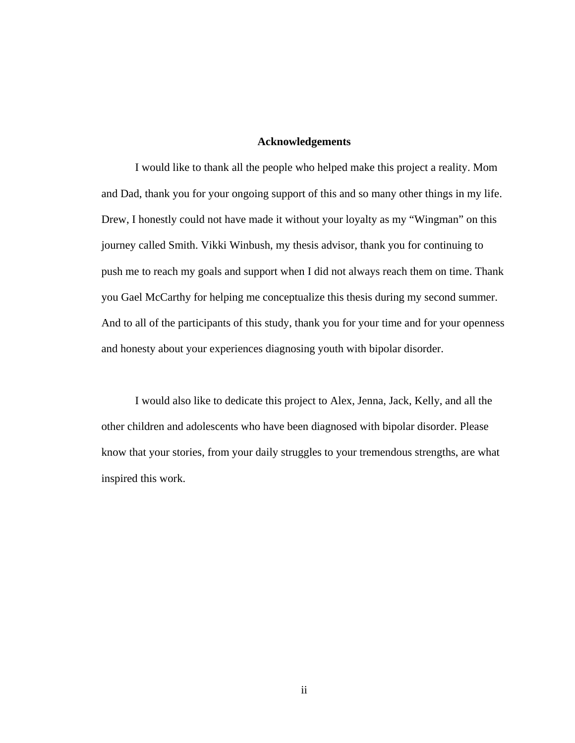#### **Acknowledgements**

I would like to thank all the people who helped make this project a reality. Mom and Dad, thank you for your ongoing support of this and so many other things in my life. Drew, I honestly could not have made it without your loyalty as my "Wingman" on this journey called Smith. Vikki Winbush, my thesis advisor, thank you for continuing to push me to reach my goals and support when I did not always reach them on time. Thank you Gael McCarthy for helping me conceptualize this thesis during my second summer. And to all of the participants of this study, thank you for your time and for your openness and honesty about your experiences diagnosing youth with bipolar disorder.

I would also like to dedicate this project to Alex, Jenna, Jack, Kelly, and all the other children and adolescents who have been diagnosed with bipolar disorder. Please know that your stories, from your daily struggles to your tremendous strengths, are what inspired this work.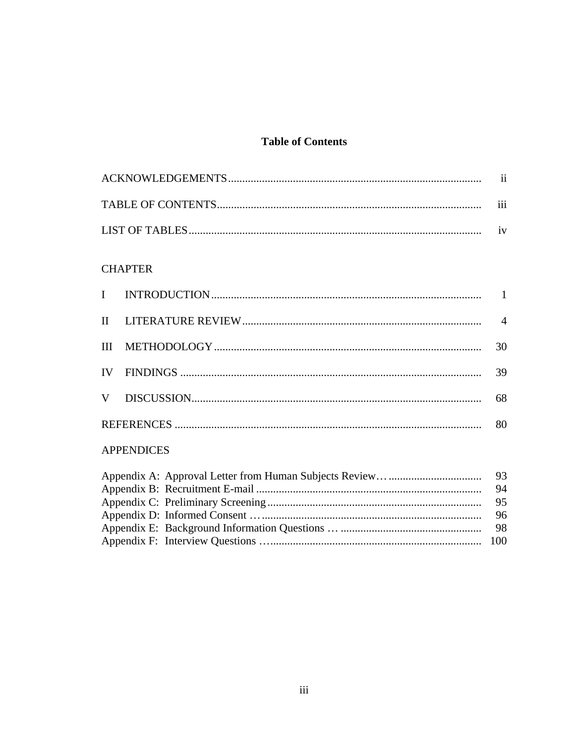# **Table of Contents**

| 111 |
|-----|
|     |

## **CHAPTER**

|  | 30 |
|--|----|
|  | 39 |
|  | 68 |
|  | 80 |

## **APPENDICES**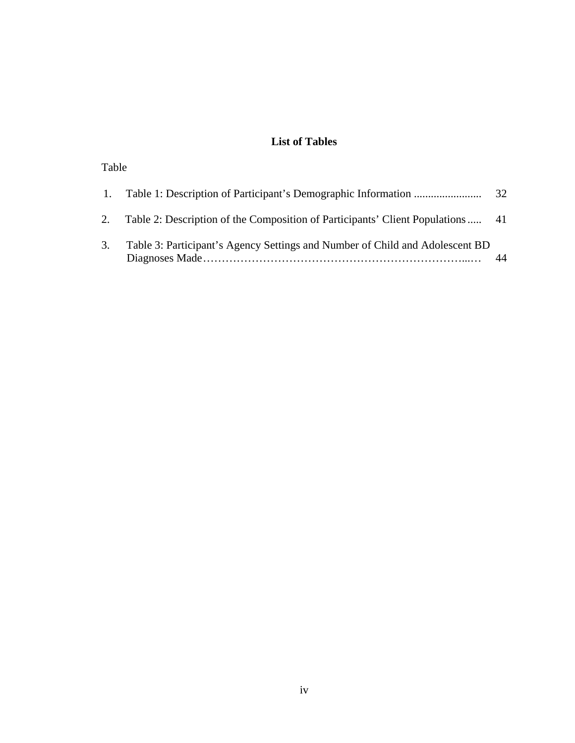# **List of Tables**

## Table

|    |                                                                                 | 32 |
|----|---------------------------------------------------------------------------------|----|
|    | Table 2: Description of the Composition of Participants' Client Populations  41 |    |
| 3. | Table 3: Participant's Agency Settings and Number of Child and Adolescent BD    |    |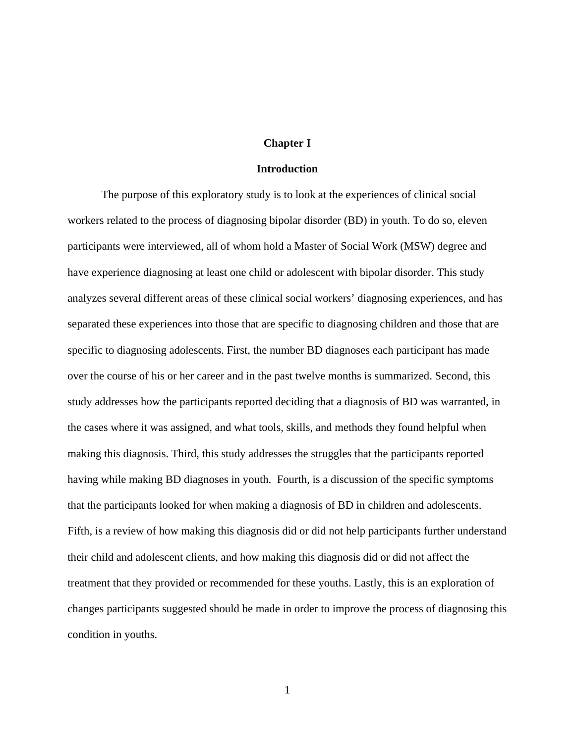#### **Chapter I**

#### **Introduction**

The purpose of this exploratory study is to look at the experiences of clinical social workers related to the process of diagnosing bipolar disorder (BD) in youth. To do so, eleven participants were interviewed, all of whom hold a Master of Social Work (MSW) degree and have experience diagnosing at least one child or adolescent with bipolar disorder. This study analyzes several different areas of these clinical social workers' diagnosing experiences, and has separated these experiences into those that are specific to diagnosing children and those that are specific to diagnosing adolescents. First, the number BD diagnoses each participant has made over the course of his or her career and in the past twelve months is summarized. Second, this study addresses how the participants reported deciding that a diagnosis of BD was warranted, in the cases where it was assigned, and what tools, skills, and methods they found helpful when making this diagnosis. Third, this study addresses the struggles that the participants reported having while making BD diagnoses in youth. Fourth, is a discussion of the specific symptoms that the participants looked for when making a diagnosis of BD in children and adolescents. Fifth, is a review of how making this diagnosis did or did not help participants further understand their child and adolescent clients, and how making this diagnosis did or did not affect the treatment that they provided or recommended for these youths. Lastly, this is an exploration of changes participants suggested should be made in order to improve the process of diagnosing this condition in youths.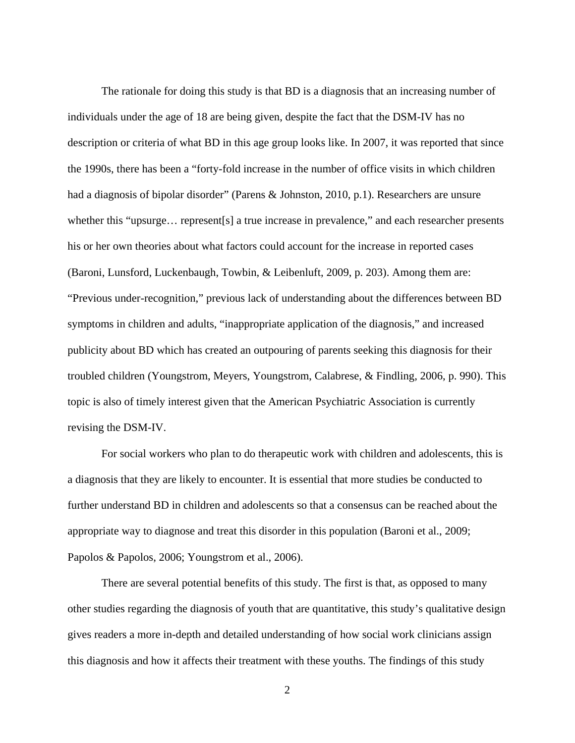The rationale for doing this study is that BD is a diagnosis that an increasing number of individuals under the age of 18 are being given, despite the fact that the DSM-IV has no description or criteria of what BD in this age group looks like. In 2007, it was reported that since the 1990s, there has been a "forty-fold increase in the number of office visits in which children had a diagnosis of bipolar disorder" (Parens & Johnston, 2010, p.1). Researchers are unsure whether this "upsurge… represent[s] a true increase in prevalence," and each researcher presents his or her own theories about what factors could account for the increase in reported cases (Baroni, Lunsford, Luckenbaugh, Towbin, & Leibenluft, 2009, p. 203). Among them are: "Previous under-recognition," previous lack of understanding about the differences between BD symptoms in children and adults, "inappropriate application of the diagnosis," and increased publicity about BD which has created an outpouring of parents seeking this diagnosis for their troubled children (Youngstrom, Meyers, Youngstrom, Calabrese, & Findling, 2006, p. 990). This topic is also of timely interest given that the American Psychiatric Association is currently revising the DSM-IV.

For social workers who plan to do therapeutic work with children and adolescents, this is a diagnosis that they are likely to encounter. It is essential that more studies be conducted to further understand BD in children and adolescents so that a consensus can be reached about the appropriate way to diagnose and treat this disorder in this population (Baroni et al., 2009; Papolos & Papolos, 2006; Youngstrom et al., 2006).

There are several potential benefits of this study. The first is that, as opposed to many other studies regarding the diagnosis of youth that are quantitative, this study's qualitative design gives readers a more in-depth and detailed understanding of how social work clinicians assign this diagnosis and how it affects their treatment with these youths. The findings of this study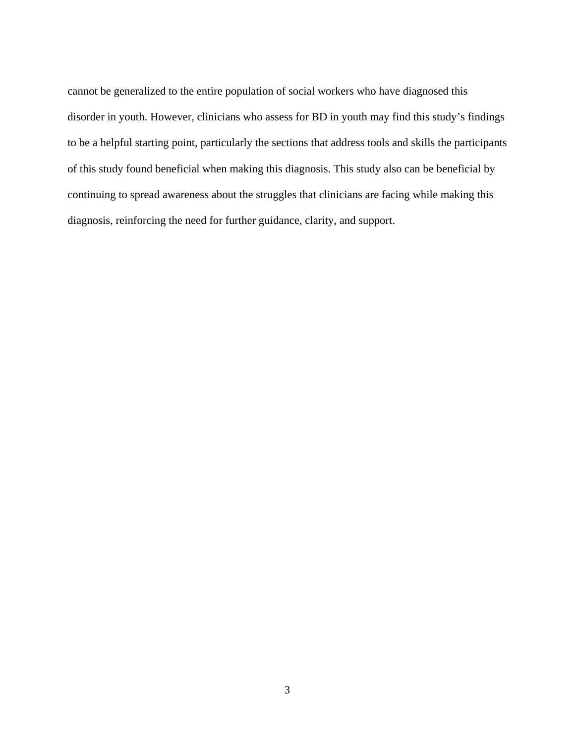cannot be generalized to the entire population of social workers who have diagnosed this disorder in youth. However, clinicians who assess for BD in youth may find this study's findings to be a helpful starting point, particularly the sections that address tools and skills the participants of this study found beneficial when making this diagnosis. This study also can be beneficial by continuing to spread awareness about the struggles that clinicians are facing while making this diagnosis, reinforcing the need for further guidance, clarity, and support.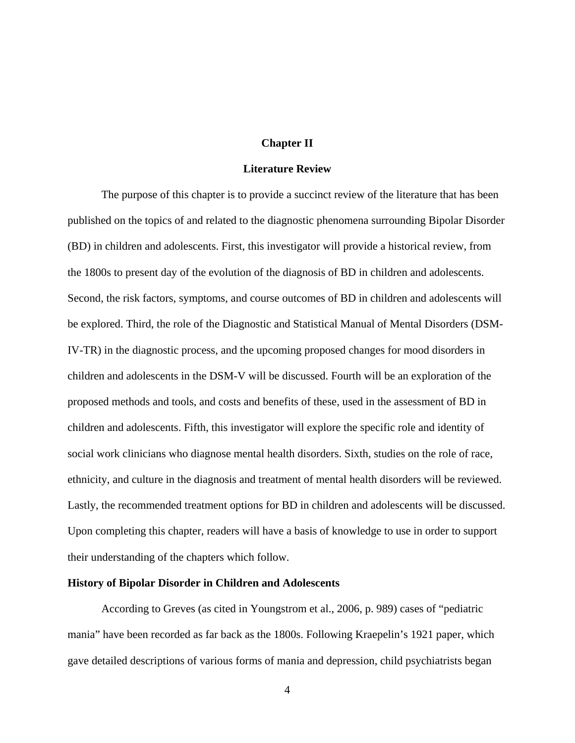#### **Chapter II**

#### **Literature Review**

The purpose of this chapter is to provide a succinct review of the literature that has been published on the topics of and related to the diagnostic phenomena surrounding Bipolar Disorder (BD) in children and adolescents. First, this investigator will provide a historical review, from the 1800s to present day of the evolution of the diagnosis of BD in children and adolescents. Second, the risk factors, symptoms, and course outcomes of BD in children and adolescents will be explored. Third, the role of the Diagnostic and Statistical Manual of Mental Disorders (DSM-IV-TR) in the diagnostic process, and the upcoming proposed changes for mood disorders in children and adolescents in the DSM-V will be discussed. Fourth will be an exploration of the proposed methods and tools, and costs and benefits of these, used in the assessment of BD in children and adolescents. Fifth, this investigator will explore the specific role and identity of social work clinicians who diagnose mental health disorders. Sixth, studies on the role of race, ethnicity, and culture in the diagnosis and treatment of mental health disorders will be reviewed. Lastly, the recommended treatment options for BD in children and adolescents will be discussed. Upon completing this chapter, readers will have a basis of knowledge to use in order to support their understanding of the chapters which follow.

### **History of Bipolar Disorder in Children and Adolescents**

According to Greves (as cited in Youngstrom et al., 2006, p. 989) cases of "pediatric mania" have been recorded as far back as the 1800s. Following Kraepelin's 1921 paper, which gave detailed descriptions of various forms of mania and depression, child psychiatrists began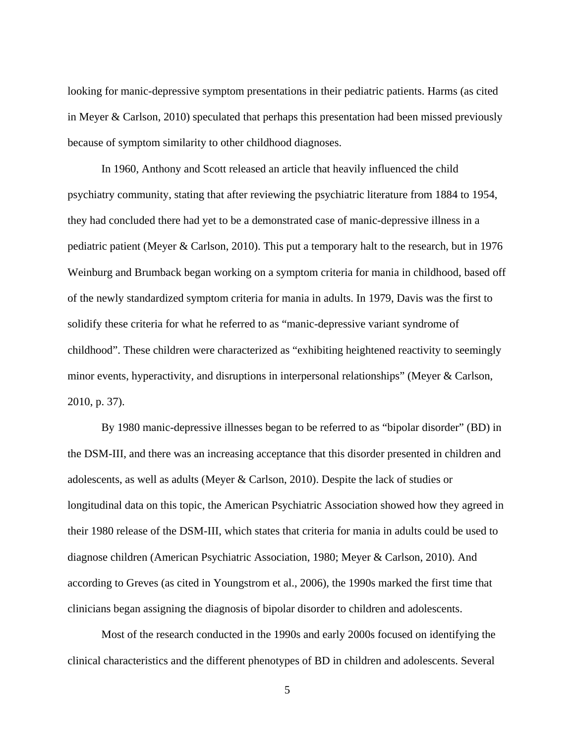looking for manic-depressive symptom presentations in their pediatric patients. Harms (as cited in Meyer & Carlson, 2010) speculated that perhaps this presentation had been missed previously because of symptom similarity to other childhood diagnoses.

In 1960, Anthony and Scott released an article that heavily influenced the child psychiatry community, stating that after reviewing the psychiatric literature from 1884 to 1954, they had concluded there had yet to be a demonstrated case of manic-depressive illness in a pediatric patient (Meyer & Carlson, 2010). This put a temporary halt to the research, but in 1976 Weinburg and Brumback began working on a symptom criteria for mania in childhood, based off of the newly standardized symptom criteria for mania in adults. In 1979, Davis was the first to solidify these criteria for what he referred to as "manic-depressive variant syndrome of childhood". These children were characterized as "exhibiting heightened reactivity to seemingly minor events, hyperactivity, and disruptions in interpersonal relationships" (Meyer & Carlson, 2010, p. 37).

By 1980 manic-depressive illnesses began to be referred to as "bipolar disorder" (BD) in the DSM-III, and there was an increasing acceptance that this disorder presented in children and adolescents, as well as adults (Meyer & Carlson, 2010). Despite the lack of studies or longitudinal data on this topic, the American Psychiatric Association showed how they agreed in their 1980 release of the DSM-III, which states that criteria for mania in adults could be used to diagnose children (American Psychiatric Association, 1980; Meyer & Carlson, 2010). And according to Greves (as cited in Youngstrom et al., 2006), the 1990s marked the first time that clinicians began assigning the diagnosis of bipolar disorder to children and adolescents.

Most of the research conducted in the 1990s and early 2000s focused on identifying the clinical characteristics and the different phenotypes of BD in children and adolescents. Several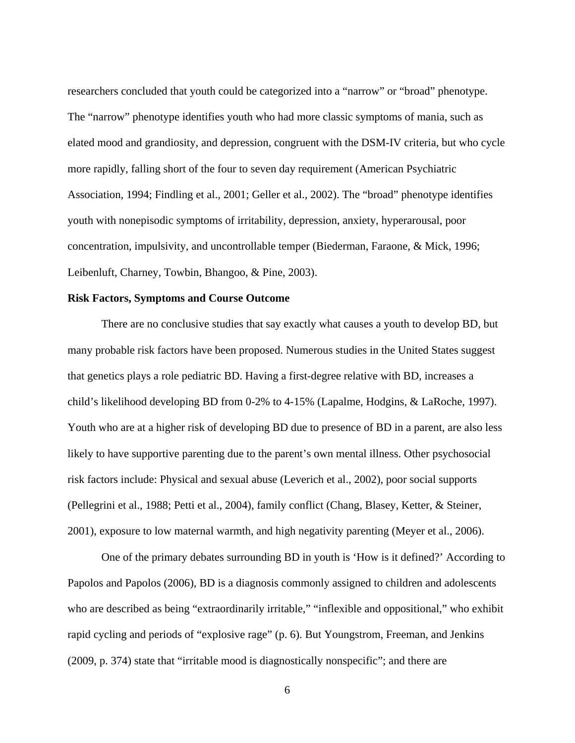researchers concluded that youth could be categorized into a "narrow" or "broad" phenotype. The "narrow" phenotype identifies youth who had more classic symptoms of mania, such as elated mood and grandiosity, and depression, congruent with the DSM-IV criteria, but who cycle more rapidly, falling short of the four to seven day requirement (American Psychiatric Association, 1994; Findling et al., 2001; Geller et al., 2002). The "broad" phenotype identifies youth with nonepisodic symptoms of irritability, depression, anxiety, hyperarousal, poor concentration, impulsivity, and uncontrollable temper (Biederman, Faraone, & Mick, 1996; Leibenluft, Charney, Towbin, Bhangoo, & Pine, 2003).

#### **Risk Factors, Symptoms and Course Outcome**

There are no conclusive studies that say exactly what causes a youth to develop BD, but many probable risk factors have been proposed. Numerous studies in the United States suggest that genetics plays a role pediatric BD. Having a first-degree relative with BD, increases a child's likelihood developing BD from 0-2% to 4-15% (Lapalme, Hodgins, & LaRoche, 1997). Youth who are at a higher risk of developing BD due to presence of BD in a parent, are also less likely to have supportive parenting due to the parent's own mental illness. Other psychosocial risk factors include: Physical and sexual abuse (Leverich et al., 2002), poor social supports (Pellegrini et al., 1988; Petti et al., 2004), family conflict (Chang, Blasey, Ketter, & Steiner, 2001), exposure to low maternal warmth, and high negativity parenting (Meyer et al., 2006).

One of the primary debates surrounding BD in youth is 'How is it defined?' According to Papolos and Papolos (2006), BD is a diagnosis commonly assigned to children and adolescents who are described as being "extraordinarily irritable," "inflexible and oppositional," who exhibit rapid cycling and periods of "explosive rage" (p. 6). But Youngstrom, Freeman, and Jenkins (2009, p. 374) state that "irritable mood is diagnostically nonspecific"; and there are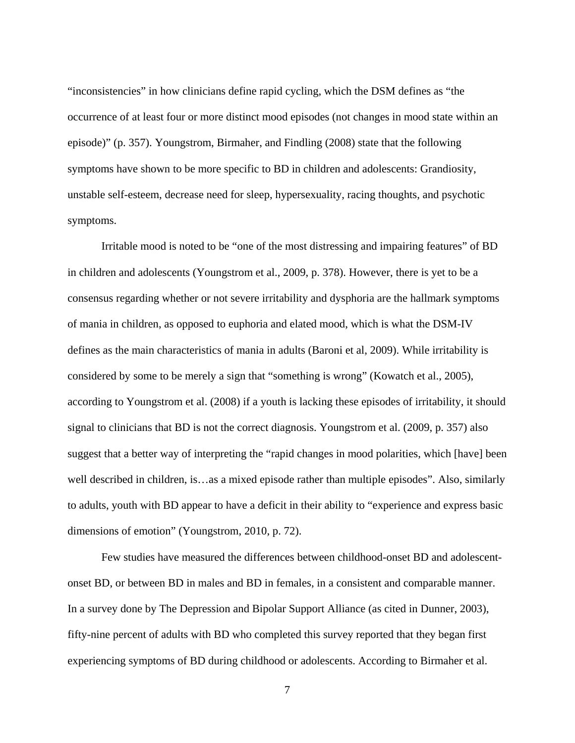"inconsistencies" in how clinicians define rapid cycling, which the DSM defines as "the occurrence of at least four or more distinct mood episodes (not changes in mood state within an episode)" (p. 357). Youngstrom, Birmaher, and Findling (2008) state that the following symptoms have shown to be more specific to BD in children and adolescents: Grandiosity, unstable self-esteem, decrease need for sleep, hypersexuality, racing thoughts, and psychotic symptoms.

Irritable mood is noted to be "one of the most distressing and impairing features" of BD in children and adolescents (Youngstrom et al., 2009, p. 378). However, there is yet to be a consensus regarding whether or not severe irritability and dysphoria are the hallmark symptoms of mania in children, as opposed to euphoria and elated mood, which is what the DSM-IV defines as the main characteristics of mania in adults (Baroni et al, 2009). While irritability is considered by some to be merely a sign that "something is wrong" (Kowatch et al., 2005), according to Youngstrom et al. (2008) if a youth is lacking these episodes of irritability, it should signal to clinicians that BD is not the correct diagnosis. Youngstrom et al. (2009, p. 357) also suggest that a better way of interpreting the "rapid changes in mood polarities, which [have] been well described in children, is...as a mixed episode rather than multiple episodes". Also, similarly to adults, youth with BD appear to have a deficit in their ability to "experience and express basic dimensions of emotion" (Youngstrom, 2010, p. 72).

Few studies have measured the differences between childhood-onset BD and adolescentonset BD, or between BD in males and BD in females, in a consistent and comparable manner. In a survey done by The Depression and Bipolar Support Alliance (as cited in Dunner, 2003), fifty-nine percent of adults with BD who completed this survey reported that they began first experiencing symptoms of BD during childhood or adolescents. According to Birmaher et al.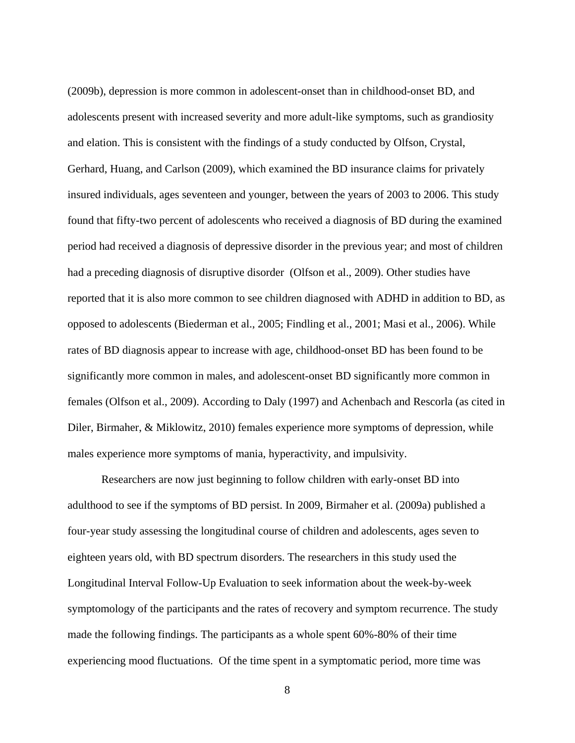(2009b), depression is more common in adolescent-onset than in childhood-onset BD, and adolescents present with increased severity and more adult-like symptoms, such as grandiosity and elation. This is consistent with the findings of a study conducted by Olfson, Crystal, Gerhard, Huang, and Carlson (2009), which examined the BD insurance claims for privately insured individuals, ages seventeen and younger, between the years of 2003 to 2006. This study found that fifty-two percent of adolescents who received a diagnosis of BD during the examined period had received a diagnosis of depressive disorder in the previous year; and most of children had a preceding diagnosis of disruptive disorder (Olfson et al., 2009). Other studies have reported that it is also more common to see children diagnosed with ADHD in addition to BD, as opposed to adolescents (Biederman et al., 2005; Findling et al., 2001; Masi et al., 2006). While rates of BD diagnosis appear to increase with age, childhood-onset BD has been found to be significantly more common in males, and adolescent-onset BD significantly more common in females (Olfson et al., 2009). According to Daly (1997) and Achenbach and Rescorla (as cited in Diler, Birmaher, & Miklowitz, 2010) females experience more symptoms of depression, while males experience more symptoms of mania, hyperactivity, and impulsivity.

Researchers are now just beginning to follow children with early-onset BD into adulthood to see if the symptoms of BD persist. In 2009, Birmaher et al. (2009a) published a four-year study assessing the longitudinal course of children and adolescents, ages seven to eighteen years old, with BD spectrum disorders. The researchers in this study used the Longitudinal Interval Follow-Up Evaluation to seek information about the week-by-week symptomology of the participants and the rates of recovery and symptom recurrence. The study made the following findings. The participants as a whole spent 60%-80% of their time experiencing mood fluctuations. Of the time spent in a symptomatic period, more time was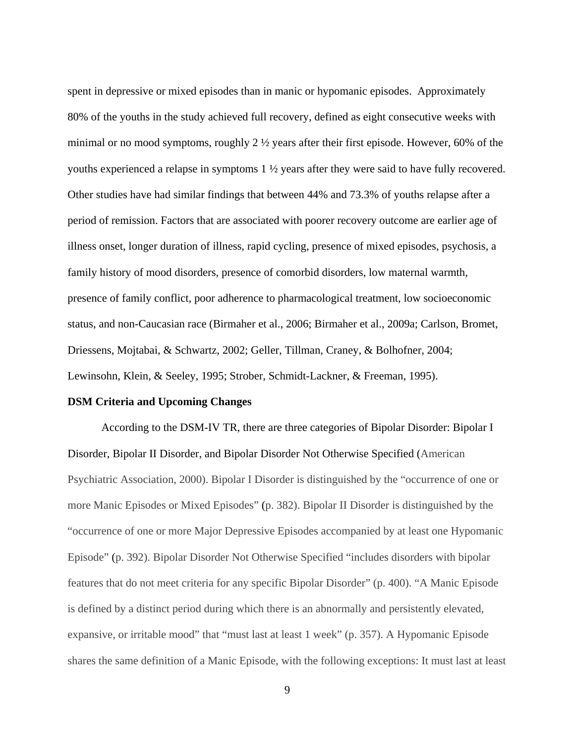spent in depressive or mixed episodes than in manic or hypomanic episodes. Approximately 80% of the youths in the study achieved full recovery, defined as eight consecutive weeks with minimal or no mood symptoms, roughly 2 ½ years after their first episode. However, 60% of the youths experienced a relapse in symptoms 1 ½ years after they were said to have fully recovered. Other studies have had similar findings that between 44% and 73.3% of youths relapse after a period of remission. Factors that are associated with poorer recovery outcome are earlier age of illness onset, longer duration of illness, rapid cycling, presence of mixed episodes, psychosis, a family history of mood disorders, presence of comorbid disorders, low maternal warmth, presence of family conflict, poor adherence to pharmacological treatment, low socioeconomic status, and non-Caucasian race (Birmaher et al., 2006; Birmaher et al., 2009a; Carlson, Bromet, Driessens, Mojtabai, & Schwartz, 2002; Geller, Tillman, Craney, & Bolhofner, 2004; Lewinsohn, Klein, & Seeley, 1995; Strober, Schmidt-Lackner, & Freeman, 1995).

## **DSM Criteria and Upcoming Changes**

According to the DSM-IV TR, there are three categories of Bipolar Disorder: Bipolar I Disorder, Bipolar II Disorder, and Bipolar Disorder Not Otherwise Specified (American Psychiatric Association, 2000). Bipolar I Disorder is distinguished by the "occurrence of one or more Manic Episodes or Mixed Episodes" (p. 382). Bipolar II Disorder is distinguished by the "occurrence of one or more Major Depressive Episodes accompanied by at least one Hypomanic Episode" (p. 392). Bipolar Disorder Not Otherwise Specified "includes disorders with bipolar features that do not meet criteria for any specific Bipolar Disorder" (p. 400). "A Manic Episode is defined by a distinct period during which there is an abnormally and persistently elevated, expansive, or irritable mood" that "must last at least 1 week" (p. 357). A Hypomanic Episode shares the same definition of a Manic Episode, with the following exceptions: It must last at least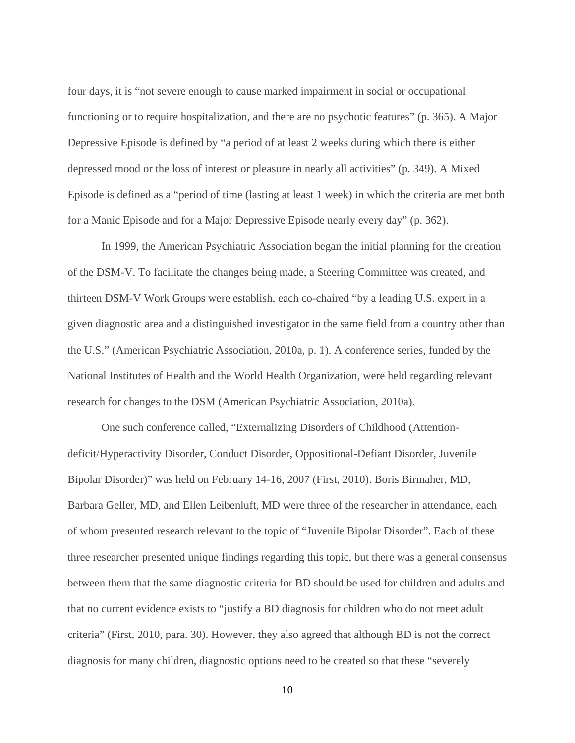four days, it is "not severe enough to cause marked impairment in social or occupational functioning or to require hospitalization, and there are no psychotic features" (p. 365). A Major Depressive Episode is defined by "a period of at least 2 weeks during which there is either depressed mood or the loss of interest or pleasure in nearly all activities" (p. 349). A Mixed Episode is defined as a "period of time (lasting at least 1 week) in which the criteria are met both for a Manic Episode and for a Major Depressive Episode nearly every day" (p. 362).

In 1999, the American Psychiatric Association began the initial planning for the creation of the DSM-V. To facilitate the changes being made, a Steering Committee was created, and thirteen DSM-V Work Groups were establish, each co-chaired "by a leading U.S. expert in a given diagnostic area and a distinguished investigator in the same field from a country other than the U.S." (American Psychiatric Association, 2010a, p. 1). A conference series, funded by the National Institutes of Health and the World Health Organization, were held regarding relevant research for changes to the DSM (American Psychiatric Association, 2010a).

One such conference called, "Externalizing Disorders of Childhood (Attentiondeficit/Hyperactivity Disorder, Conduct Disorder, Oppositional-Defiant Disorder, Juvenile Bipolar Disorder)" was held on February 14-16, 2007 (First, 2010). Boris Birmaher, MD, Barbara Geller, MD, and Ellen Leibenluft, MD were three of the researcher in attendance, each of whom presented research relevant to the topic of "Juvenile Bipolar Disorder". Each of these three researcher presented unique findings regarding this topic, but there was a general consensus between them that the same diagnostic criteria for BD should be used for children and adults and that no current evidence exists to "justify a BD diagnosis for children who do not meet adult criteria" (First, 2010, para. 30). However, they also agreed that although BD is not the correct diagnosis for many children, diagnostic options need to be created so that these "severely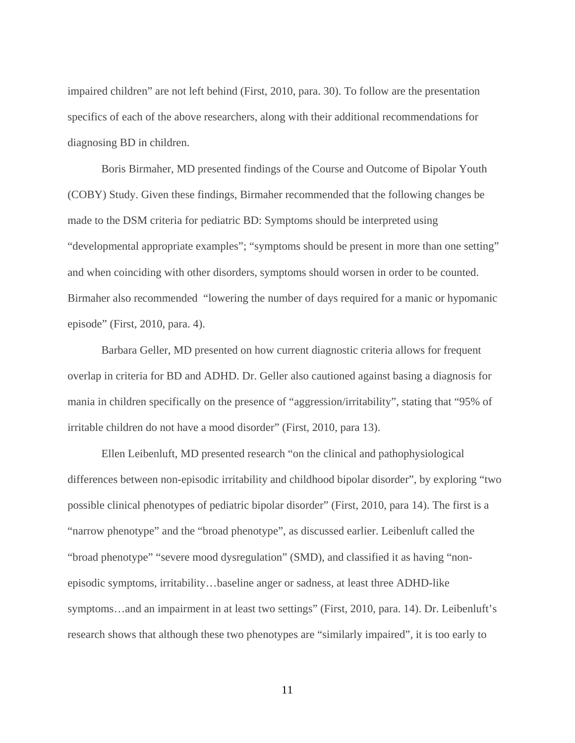impaired children" are not left behind (First, 2010, para. 30). To follow are the presentation specifics of each of the above researchers, along with their additional recommendations for diagnosing BD in children.

Boris Birmaher, MD presented findings of the Course and Outcome of Bipolar Youth (COBY) Study. Given these findings, Birmaher recommended that the following changes be made to the DSM criteria for pediatric BD: Symptoms should be interpreted using "developmental appropriate examples"; "symptoms should be present in more than one setting" and when coinciding with other disorders, symptoms should worsen in order to be counted. Birmaher also recommended "lowering the number of days required for a manic or hypomanic episode" (First, 2010, para. 4).

Barbara Geller, MD presented on how current diagnostic criteria allows for frequent overlap in criteria for BD and ADHD. Dr. Geller also cautioned against basing a diagnosis for mania in children specifically on the presence of "aggression/irritability", stating that "95% of irritable children do not have a mood disorder" (First, 2010, para 13).

Ellen Leibenluft, MD presented research "on the clinical and pathophysiological differences between non-episodic irritability and childhood bipolar disorder", by exploring "two possible clinical phenotypes of pediatric bipolar disorder" (First, 2010, para 14). The first is a "narrow phenotype" and the "broad phenotype", as discussed earlier. Leibenluft called the "broad phenotype" "severe mood dysregulation" (SMD), and classified it as having "nonepisodic symptoms, irritability…baseline anger or sadness, at least three ADHD-like symptoms…and an impairment in at least two settings" (First, 2010, para. 14). Dr. Leibenluft's research shows that although these two phenotypes are "similarly impaired", it is too early to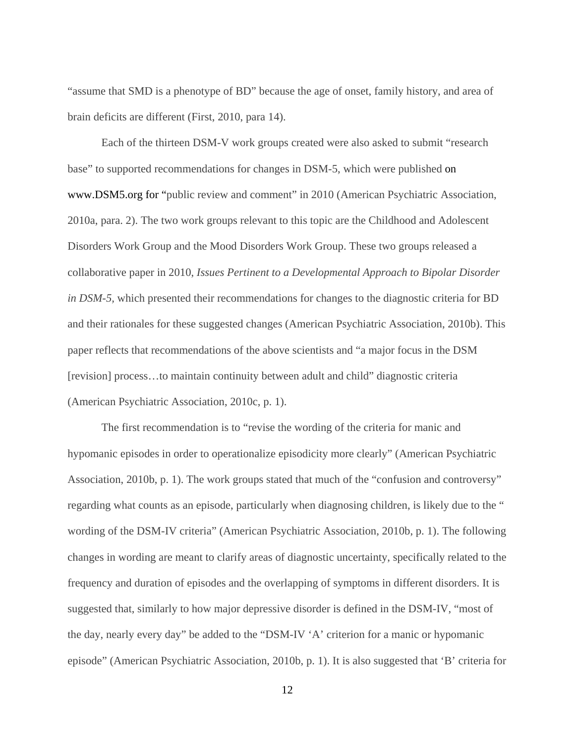"assume that SMD is a phenotype of BD" because the age of onset, family history, and area of brain deficits are different (First, 2010, para 14).

Each of the thirteen DSM-V work groups created were also asked to submit "research base" to supported recommendations for changes in DSM-5, which were published on www.DSM5.org for "public review and comment" in 2010 (American Psychiatric Association, 2010a, para. 2). The two work groups relevant to this topic are the Childhood and Adolescent Disorders Work Group and the Mood Disorders Work Group. These two groups released a collaborative paper in 2010, *Issues Pertinent to a Developmental Approach to Bipolar Disorder in DSM-5,* which presented their recommendations for changes to the diagnostic criteria for BD and their rationales for these suggested changes (American Psychiatric Association, 2010b). This paper reflects that recommendations of the above scientists and "a major focus in the DSM [revision] process…to maintain continuity between adult and child" diagnostic criteria (American Psychiatric Association, 2010c, p. 1).

The first recommendation is to "revise the wording of the criteria for manic and hypomanic episodes in order to operationalize episodicity more clearly" (American Psychiatric Association, 2010b, p. 1). The work groups stated that much of the "confusion and controversy" regarding what counts as an episode, particularly when diagnosing children, is likely due to the " wording of the DSM-IV criteria" (American Psychiatric Association, 2010b, p. 1). The following changes in wording are meant to clarify areas of diagnostic uncertainty, specifically related to the frequency and duration of episodes and the overlapping of symptoms in different disorders. It is suggested that, similarly to how major depressive disorder is defined in the DSM-IV, "most of the day, nearly every day" be added to the "DSM-IV 'A' criterion for a manic or hypomanic episode" (American Psychiatric Association, 2010b, p. 1). It is also suggested that 'B' criteria for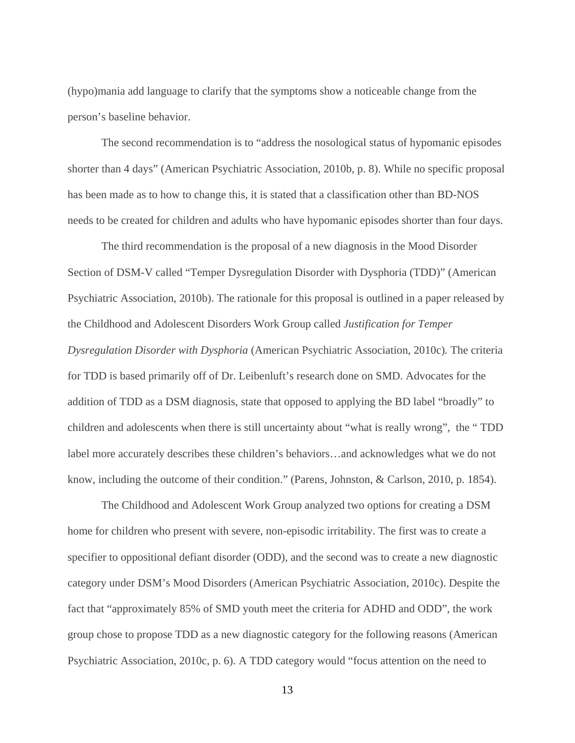(hypo)mania add language to clarify that the symptoms show a noticeable change from the person's baseline behavior.

The second recommendation is to "address the nosological status of hypomanic episodes shorter than 4 days" (American Psychiatric Association, 2010b, p. 8). While no specific proposal has been made as to how to change this, it is stated that a classification other than BD-NOS needs to be created for children and adults who have hypomanic episodes shorter than four days.

The third recommendation is the proposal of a new diagnosis in the Mood Disorder Section of DSM-V called "Temper Dysregulation Disorder with Dysphoria (TDD)" (American Psychiatric Association, 2010b). The rationale for this proposal is outlined in a paper released by the Childhood and Adolescent Disorders Work Group called *Justification for Temper Dysregulation Disorder with Dysphoria* (American Psychiatric Association, 2010c)*.* The criteria for TDD is based primarily off of Dr. Leibenluft's research done on SMD. Advocates for the addition of TDD as a DSM diagnosis, state that opposed to applying the BD label "broadly" to children and adolescents when there is still uncertainty about "what is really wrong", the " TDD label more accurately describes these children's behaviors…and acknowledges what we do not know, including the outcome of their condition." (Parens, Johnston, & Carlson, 2010, p. 1854).

The Childhood and Adolescent Work Group analyzed two options for creating a DSM home for children who present with severe, non-episodic irritability. The first was to create a specifier to oppositional defiant disorder (ODD), and the second was to create a new diagnostic category under DSM's Mood Disorders (American Psychiatric Association, 2010c). Despite the fact that "approximately 85% of SMD youth meet the criteria for ADHD and ODD", the work group chose to propose TDD as a new diagnostic category for the following reasons (American Psychiatric Association, 2010c, p. 6). A TDD category would "focus attention on the need to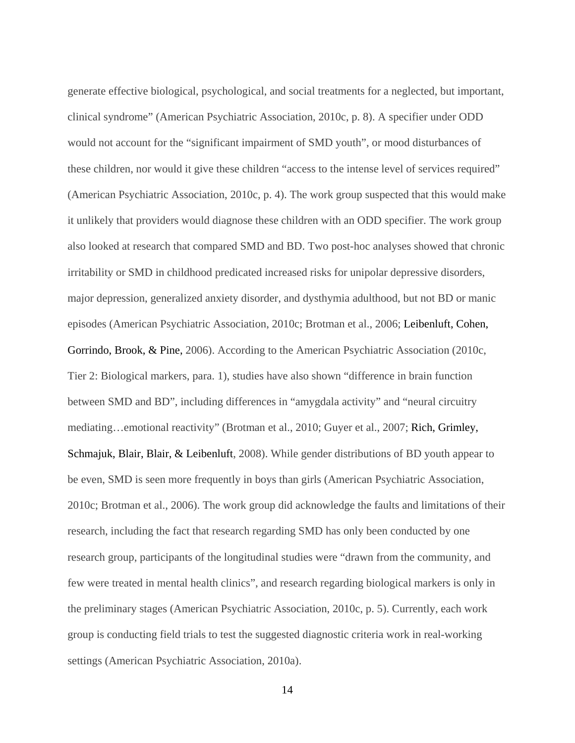generate effective biological, psychological, and social treatments for a neglected, but important, clinical syndrome" (American Psychiatric Association, 2010c, p. 8). A specifier under ODD would not account for the "significant impairment of SMD youth", or mood disturbances of these children, nor would it give these children "access to the intense level of services required" (American Psychiatric Association, 2010c, p. 4). The work group suspected that this would make it unlikely that providers would diagnose these children with an ODD specifier. The work group also looked at research that compared SMD and BD. Two post-hoc analyses showed that chronic irritability or SMD in childhood predicated increased risks for unipolar depressive disorders, major depression, generalized anxiety disorder, and dysthymia adulthood, but not BD or manic episodes (American Psychiatric Association, 2010c; Brotman et al., 2006; Leibenluft, Cohen, Gorrindo, Brook, & Pine, 2006). According to the American Psychiatric Association (2010c, Tier 2: Biological markers, para. 1), studies have also shown "difference in brain function between SMD and BD", including differences in "amygdala activity" and "neural circuitry mediating…emotional reactivity" (Brotman et al., 2010; Guyer et al., 2007; Rich, Grimley, Schmajuk, Blair, Blair, & Leibenluft, 2008). While gender distributions of BD youth appear to be even, SMD is seen more frequently in boys than girls (American Psychiatric Association, 2010c; Brotman et al., 2006). The work group did acknowledge the faults and limitations of their research, including the fact that research regarding SMD has only been conducted by one research group, participants of the longitudinal studies were "drawn from the community, and few were treated in mental health clinics", and research regarding biological markers is only in the preliminary stages (American Psychiatric Association, 2010c, p. 5). Currently, each work group is conducting field trials to test the suggested diagnostic criteria work in real-working settings (American Psychiatric Association, 2010a).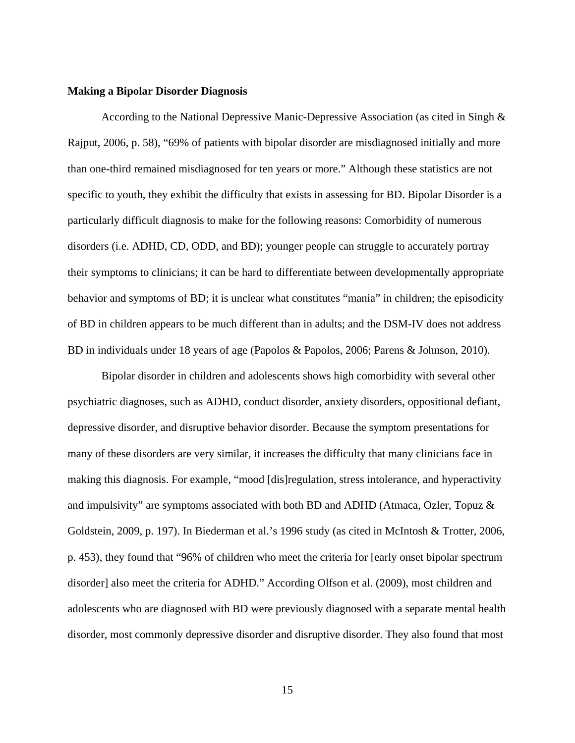#### **Making a Bipolar Disorder Diagnosis**

According to the National Depressive Manic-Depressive Association (as cited in Singh & Rajput, 2006, p. 58), "69% of patients with bipolar disorder are misdiagnosed initially and more than one-third remained misdiagnosed for ten years or more." Although these statistics are not specific to youth, they exhibit the difficulty that exists in assessing for BD. Bipolar Disorder is a particularly difficult diagnosis to make for the following reasons: Comorbidity of numerous disorders (i.e. ADHD, CD, ODD, and BD); younger people can struggle to accurately portray their symptoms to clinicians; it can be hard to differentiate between developmentally appropriate behavior and symptoms of BD; it is unclear what constitutes "mania" in children; the episodicity of BD in children appears to be much different than in adults; and the DSM-IV does not address BD in individuals under 18 years of age (Papolos & Papolos, 2006; Parens & Johnson, 2010).

Bipolar disorder in children and adolescents shows high comorbidity with several other psychiatric diagnoses, such as ADHD, conduct disorder, anxiety disorders, oppositional defiant, depressive disorder, and disruptive behavior disorder. Because the symptom presentations for many of these disorders are very similar, it increases the difficulty that many clinicians face in making this diagnosis. For example, "mood [dis]regulation, stress intolerance, and hyperactivity and impulsivity" are symptoms associated with both BD and ADHD (Atmaca, Ozler, Topuz & Goldstein, 2009, p. 197). In Biederman et al.'s 1996 study (as cited in McIntosh & Trotter, 2006, p. 453), they found that "96% of children who meet the criteria for [early onset bipolar spectrum disorder] also meet the criteria for ADHD." According Olfson et al. (2009), most children and adolescents who are diagnosed with BD were previously diagnosed with a separate mental health disorder, most commonly depressive disorder and disruptive disorder. They also found that most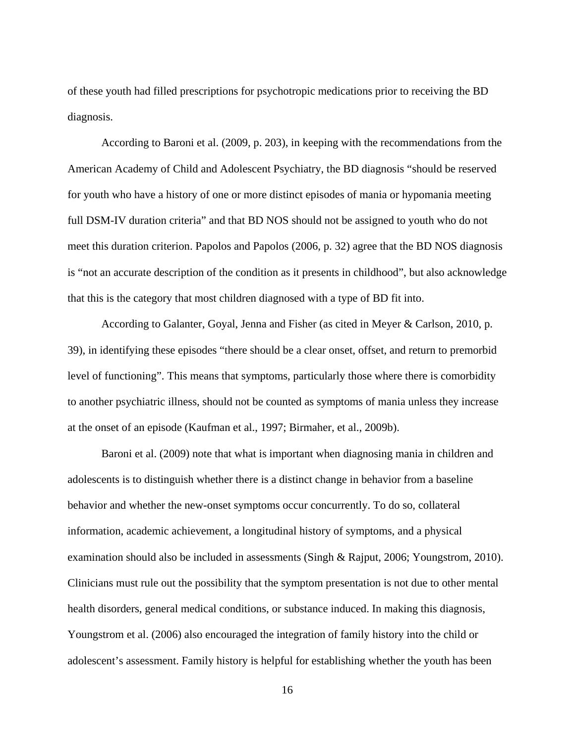of these youth had filled prescriptions for psychotropic medications prior to receiving the BD diagnosis.

According to Baroni et al. (2009, p. 203), in keeping with the recommendations from the American Academy of Child and Adolescent Psychiatry, the BD diagnosis "should be reserved for youth who have a history of one or more distinct episodes of mania or hypomania meeting full DSM-IV duration criteria" and that BD NOS should not be assigned to youth who do not meet this duration criterion. Papolos and Papolos (2006, p. 32) agree that the BD NOS diagnosis is "not an accurate description of the condition as it presents in childhood", but also acknowledge that this is the category that most children diagnosed with a type of BD fit into.

According to Galanter, Goyal, Jenna and Fisher (as cited in Meyer & Carlson, 2010, p. 39), in identifying these episodes "there should be a clear onset, offset, and return to premorbid level of functioning". This means that symptoms, particularly those where there is comorbidity to another psychiatric illness, should not be counted as symptoms of mania unless they increase at the onset of an episode (Kaufman et al., 1997; Birmaher, et al., 2009b).

Baroni et al. (2009) note that what is important when diagnosing mania in children and adolescents is to distinguish whether there is a distinct change in behavior from a baseline behavior and whether the new-onset symptoms occur concurrently. To do so, collateral information, academic achievement, a longitudinal history of symptoms, and a physical examination should also be included in assessments (Singh & Rajput, 2006; Youngstrom, 2010). Clinicians must rule out the possibility that the symptom presentation is not due to other mental health disorders, general medical conditions, or substance induced. In making this diagnosis, Youngstrom et al. (2006) also encouraged the integration of family history into the child or adolescent's assessment. Family history is helpful for establishing whether the youth has been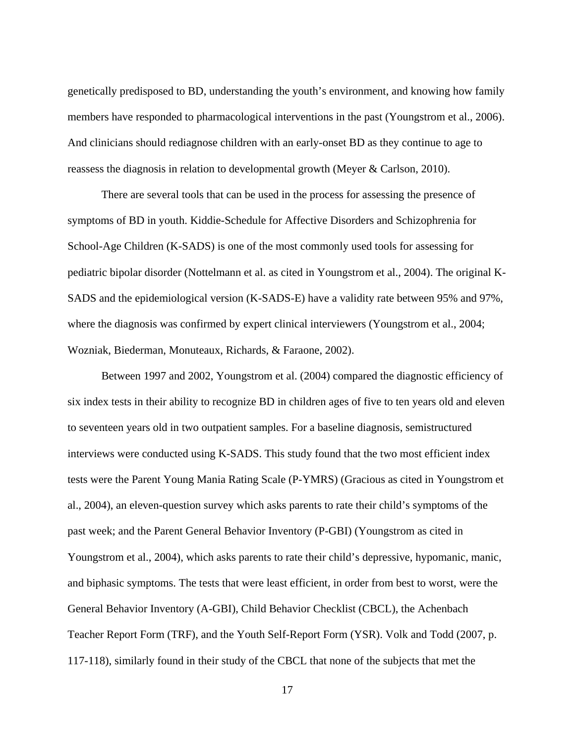genetically predisposed to BD, understanding the youth's environment, and knowing how family members have responded to pharmacological interventions in the past (Youngstrom et al., 2006). And clinicians should rediagnose children with an early-onset BD as they continue to age to reassess the diagnosis in relation to developmental growth (Meyer & Carlson, 2010).

There are several tools that can be used in the process for assessing the presence of symptoms of BD in youth. Kiddie-Schedule for Affective Disorders and Schizophrenia for School-Age Children (K-SADS) is one of the most commonly used tools for assessing for pediatric bipolar disorder (Nottelmann et al. as cited in Youngstrom et al., 2004). The original K-SADS and the epidemiological version (K-SADS-E) have a validity rate between 95% and 97%, where the diagnosis was confirmed by expert clinical interviewers (Youngstrom et al., 2004; Wozniak, Biederman, Monuteaux, Richards, & Faraone, 2002).

Between 1997 and 2002, Youngstrom et al. (2004) compared the diagnostic efficiency of six index tests in their ability to recognize BD in children ages of five to ten years old and eleven to seventeen years old in two outpatient samples. For a baseline diagnosis, semistructured interviews were conducted using K-SADS. This study found that the two most efficient index tests were the Parent Young Mania Rating Scale (P-YMRS) (Gracious as cited in Youngstrom et al., 2004), an eleven-question survey which asks parents to rate their child's symptoms of the past week; and the Parent General Behavior Inventory (P-GBI) (Youngstrom as cited in Youngstrom et al., 2004), which asks parents to rate their child's depressive, hypomanic, manic, and biphasic symptoms. The tests that were least efficient, in order from best to worst, were the General Behavior Inventory (A-GBI), Child Behavior Checklist (CBCL), the Achenbach Teacher Report Form (TRF), and the Youth Self-Report Form (YSR). Volk and Todd (2007, p. 117-118), similarly found in their study of the CBCL that none of the subjects that met the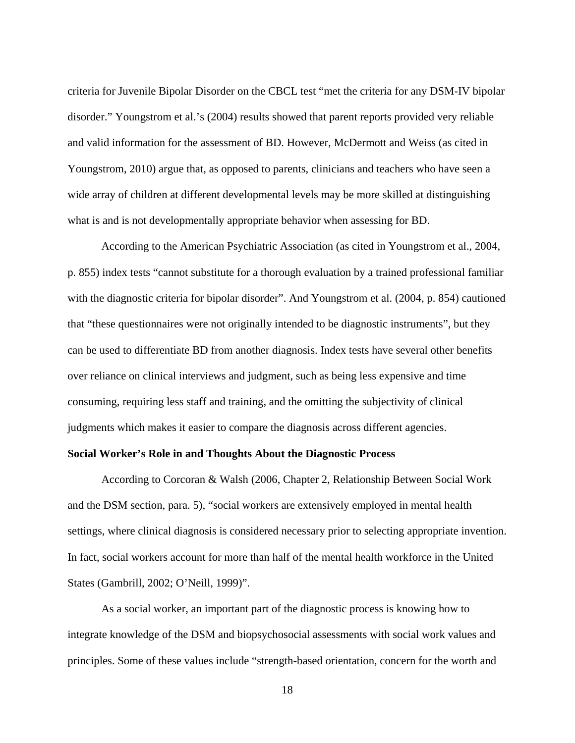criteria for Juvenile Bipolar Disorder on the CBCL test "met the criteria for any DSM-IV bipolar disorder." Youngstrom et al.'s (2004) results showed that parent reports provided very reliable and valid information for the assessment of BD. However, McDermott and Weiss (as cited in Youngstrom, 2010) argue that, as opposed to parents, clinicians and teachers who have seen a wide array of children at different developmental levels may be more skilled at distinguishing what is and is not developmentally appropriate behavior when assessing for BD.

According to the American Psychiatric Association (as cited in Youngstrom et al., 2004, p. 855) index tests "cannot substitute for a thorough evaluation by a trained professional familiar with the diagnostic criteria for bipolar disorder". And Youngstrom et al. (2004, p. 854) cautioned that "these questionnaires were not originally intended to be diagnostic instruments", but they can be used to differentiate BD from another diagnosis. Index tests have several other benefits over reliance on clinical interviews and judgment, such as being less expensive and time consuming, requiring less staff and training, and the omitting the subjectivity of clinical judgments which makes it easier to compare the diagnosis across different agencies.

#### **Social Worker's Role in and Thoughts About the Diagnostic Process**

According to Corcoran & Walsh (2006, Chapter 2, Relationship Between Social Work and the DSM section, para. 5), "social workers are extensively employed in mental health settings, where clinical diagnosis is considered necessary prior to selecting appropriate invention. In fact, social workers account for more than half of the mental health workforce in the United States (Gambrill, 2002; O'Neill, 1999)".

As a social worker, an important part of the diagnostic process is knowing how to integrate knowledge of the DSM and biopsychosocial assessments with social work values and principles. Some of these values include "strength-based orientation, concern for the worth and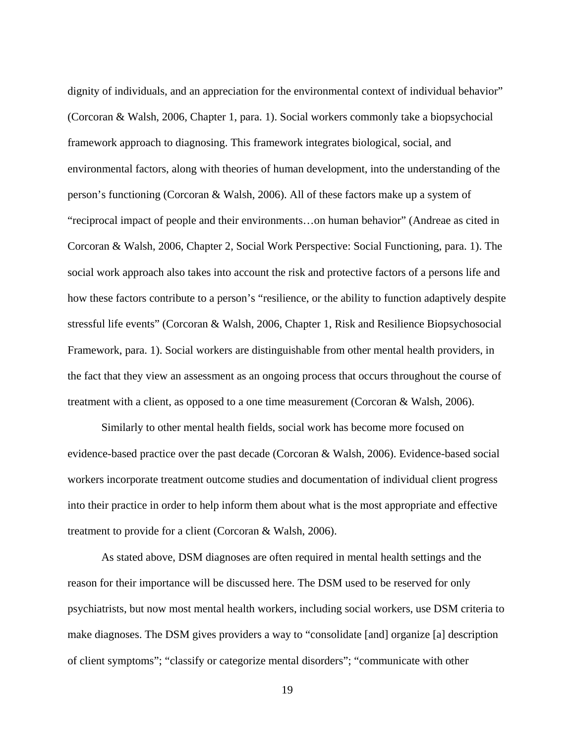dignity of individuals, and an appreciation for the environmental context of individual behavior" (Corcoran & Walsh, 2006, Chapter 1, para. 1). Social workers commonly take a biopsychocial framework approach to diagnosing. This framework integrates biological, social, and environmental factors, along with theories of human development, into the understanding of the person's functioning (Corcoran & Walsh, 2006). All of these factors make up a system of "reciprocal impact of people and their environments…on human behavior" (Andreae as cited in Corcoran & Walsh, 2006, Chapter 2, Social Work Perspective: Social Functioning, para. 1). The social work approach also takes into account the risk and protective factors of a persons life and how these factors contribute to a person's "resilience, or the ability to function adaptively despite stressful life events" (Corcoran & Walsh, 2006, Chapter 1, Risk and Resilience Biopsychosocial Framework, para. 1). Social workers are distinguishable from other mental health providers, in the fact that they view an assessment as an ongoing process that occurs throughout the course of treatment with a client, as opposed to a one time measurement (Corcoran & Walsh, 2006).

Similarly to other mental health fields, social work has become more focused on evidence-based practice over the past decade (Corcoran & Walsh, 2006). Evidence-based social workers incorporate treatment outcome studies and documentation of individual client progress into their practice in order to help inform them about what is the most appropriate and effective treatment to provide for a client (Corcoran & Walsh, 2006).

As stated above, DSM diagnoses are often required in mental health settings and the reason for their importance will be discussed here. The DSM used to be reserved for only psychiatrists, but now most mental health workers, including social workers, use DSM criteria to make diagnoses. The DSM gives providers a way to "consolidate [and] organize [a] description of client symptoms"; "classify or categorize mental disorders"; "communicate with other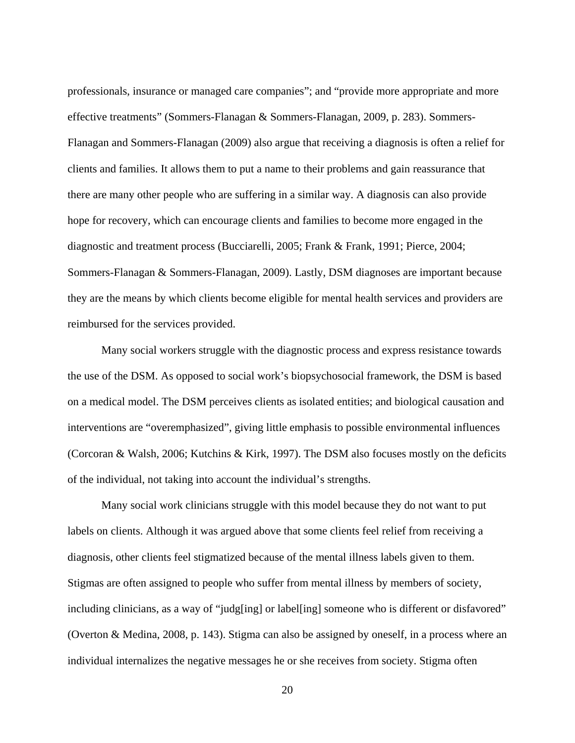professionals, insurance or managed care companies"; and "provide more appropriate and more effective treatments" (Sommers-Flanagan & Sommers-Flanagan, 2009, p. 283). Sommers-Flanagan and Sommers-Flanagan (2009) also argue that receiving a diagnosis is often a relief for clients and families. It allows them to put a name to their problems and gain reassurance that there are many other people who are suffering in a similar way. A diagnosis can also provide hope for recovery, which can encourage clients and families to become more engaged in the diagnostic and treatment process (Bucciarelli, 2005; Frank & Frank, 1991; Pierce, 2004; Sommers-Flanagan & Sommers-Flanagan, 2009). Lastly, DSM diagnoses are important because they are the means by which clients become eligible for mental health services and providers are reimbursed for the services provided.

Many social workers struggle with the diagnostic process and express resistance towards the use of the DSM. As opposed to social work's biopsychosocial framework, the DSM is based on a medical model. The DSM perceives clients as isolated entities; and biological causation and interventions are "overemphasized", giving little emphasis to possible environmental influences (Corcoran & Walsh, 2006; Kutchins & Kirk, 1997). The DSM also focuses mostly on the deficits of the individual, not taking into account the individual's strengths.

Many social work clinicians struggle with this model because they do not want to put labels on clients. Although it was argued above that some clients feel relief from receiving a diagnosis, other clients feel stigmatized because of the mental illness labels given to them. Stigmas are often assigned to people who suffer from mental illness by members of society, including clinicians, as a way of "judg[ing] or label[ing] someone who is different or disfavored" (Overton & Medina, 2008, p. 143). Stigma can also be assigned by oneself, in a process where an individual internalizes the negative messages he or she receives from society. Stigma often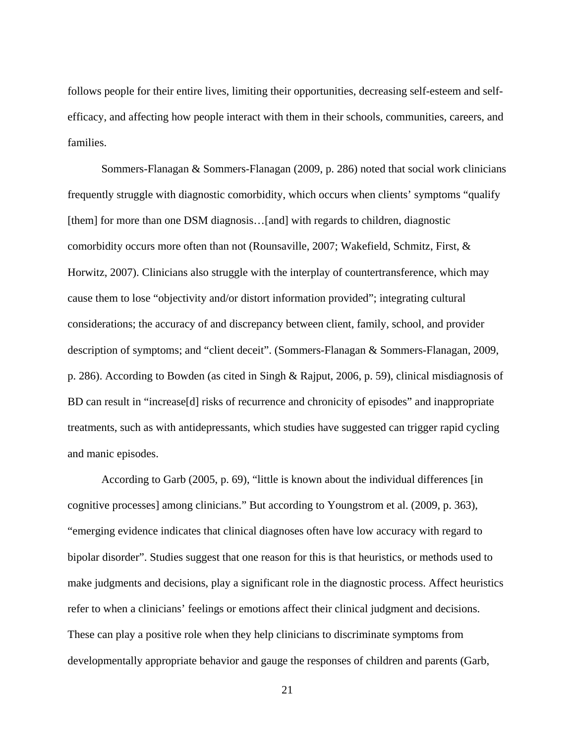follows people for their entire lives, limiting their opportunities, decreasing self-esteem and selfefficacy, and affecting how people interact with them in their schools, communities, careers, and families.

Sommers-Flanagan & Sommers-Flanagan (2009, p. 286) noted that social work clinicians frequently struggle with diagnostic comorbidity, which occurs when clients' symptoms "qualify [them] for more than one DSM diagnosis…[and] with regards to children, diagnostic comorbidity occurs more often than not (Rounsaville, 2007; Wakefield, Schmitz, First, & Horwitz, 2007). Clinicians also struggle with the interplay of countertransference, which may cause them to lose "objectivity and/or distort information provided"; integrating cultural considerations; the accuracy of and discrepancy between client, family, school, and provider description of symptoms; and "client deceit". (Sommers-Flanagan & Sommers-Flanagan, 2009, p. 286). According to Bowden (as cited in Singh & Rajput, 2006, p. 59), clinical misdiagnosis of BD can result in "increase[d] risks of recurrence and chronicity of episodes" and inappropriate treatments, such as with antidepressants, which studies have suggested can trigger rapid cycling and manic episodes.

According to Garb (2005, p. 69), "little is known about the individual differences [in cognitive processes] among clinicians." But according to Youngstrom et al. (2009, p. 363), "emerging evidence indicates that clinical diagnoses often have low accuracy with regard to bipolar disorder". Studies suggest that one reason for this is that heuristics, or methods used to make judgments and decisions, play a significant role in the diagnostic process. Affect heuristics refer to when a clinicians' feelings or emotions affect their clinical judgment and decisions. These can play a positive role when they help clinicians to discriminate symptoms from developmentally appropriate behavior and gauge the responses of children and parents (Garb,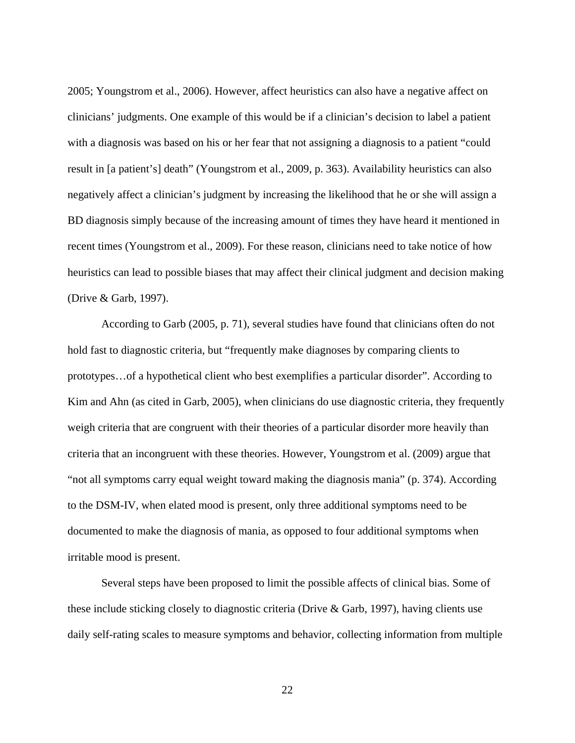2005; Youngstrom et al., 2006). However, affect heuristics can also have a negative affect on clinicians' judgments. One example of this would be if a clinician's decision to label a patient with a diagnosis was based on his or her fear that not assigning a diagnosis to a patient "could result in [a patient's] death" (Youngstrom et al., 2009, p. 363). Availability heuristics can also negatively affect a clinician's judgment by increasing the likelihood that he or she will assign a BD diagnosis simply because of the increasing amount of times they have heard it mentioned in recent times (Youngstrom et al., 2009). For these reason, clinicians need to take notice of how heuristics can lead to possible biases that may affect their clinical judgment and decision making (Drive & Garb, 1997).

According to Garb (2005, p. 71), several studies have found that clinicians often do not hold fast to diagnostic criteria, but "frequently make diagnoses by comparing clients to prototypes…of a hypothetical client who best exemplifies a particular disorder". According to Kim and Ahn (as cited in Garb, 2005), when clinicians do use diagnostic criteria, they frequently weigh criteria that are congruent with their theories of a particular disorder more heavily than criteria that an incongruent with these theories. However, Youngstrom et al. (2009) argue that "not all symptoms carry equal weight toward making the diagnosis mania" (p. 374). According to the DSM-IV, when elated mood is present, only three additional symptoms need to be documented to make the diagnosis of mania, as opposed to four additional symptoms when irritable mood is present.

Several steps have been proposed to limit the possible affects of clinical bias. Some of these include sticking closely to diagnostic criteria (Drive & Garb, 1997), having clients use daily self-rating scales to measure symptoms and behavior, collecting information from multiple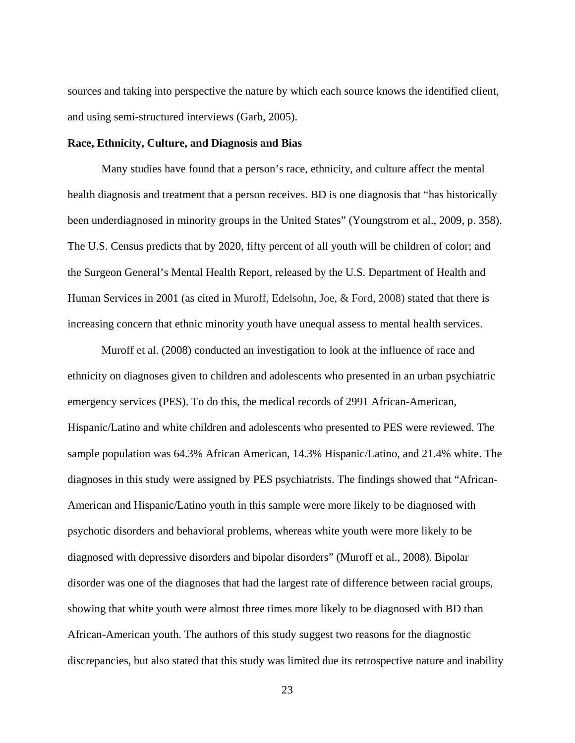sources and taking into perspective the nature by which each source knows the identified client, and using semi-structured interviews (Garb, 2005).

#### **Race, Ethnicity, Culture, and Diagnosis and Bias**

Many studies have found that a person's race, ethnicity, and culture affect the mental health diagnosis and treatment that a person receives. BD is one diagnosis that "has historically been underdiagnosed in minority groups in the United States" (Youngstrom et al., 2009, p. 358). The U.S. Census predicts that by 2020, fifty percent of all youth will be children of color; and the Surgeon General's Mental Health Report, released by the U.S. Department of Health and Human Services in 2001 (as cited in Muroff, Edelsohn, Joe, & Ford, 2008) stated that there is increasing concern that ethnic minority youth have unequal assess to mental health services.

Muroff et al. (2008) conducted an investigation to look at the influence of race and ethnicity on diagnoses given to children and adolescents who presented in an urban psychiatric emergency services (PES). To do this, the medical records of 2991 African-American, Hispanic/Latino and white children and adolescents who presented to PES were reviewed. The sample population was 64.3% African American, 14.3% Hispanic/Latino, and 21.4% white. The diagnoses in this study were assigned by PES psychiatrists. The findings showed that "African-American and Hispanic/Latino youth in this sample were more likely to be diagnosed with psychotic disorders and behavioral problems, whereas white youth were more likely to be diagnosed with depressive disorders and bipolar disorders" (Muroff et al., 2008). Bipolar disorder was one of the diagnoses that had the largest rate of difference between racial groups, showing that white youth were almost three times more likely to be diagnosed with BD than African-American youth. The authors of this study suggest two reasons for the diagnostic discrepancies, but also stated that this study was limited due its retrospective nature and inability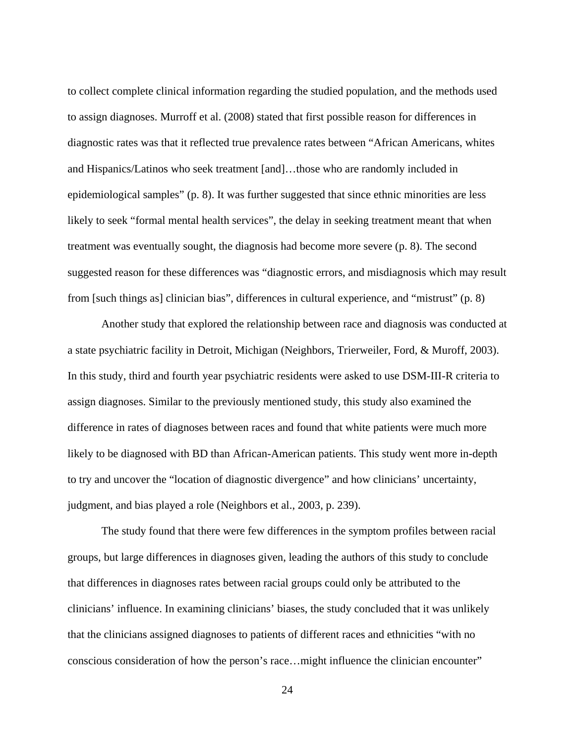to collect complete clinical information regarding the studied population, and the methods used to assign diagnoses. Murroff et al. (2008) stated that first possible reason for differences in diagnostic rates was that it reflected true prevalence rates between "African Americans, whites and Hispanics/Latinos who seek treatment [and]…those who are randomly included in epidemiological samples" (p. 8). It was further suggested that since ethnic minorities are less likely to seek "formal mental health services", the delay in seeking treatment meant that when treatment was eventually sought, the diagnosis had become more severe (p. 8). The second suggested reason for these differences was "diagnostic errors, and misdiagnosis which may result from [such things as] clinician bias", differences in cultural experience, and "mistrust" (p. 8)

Another study that explored the relationship between race and diagnosis was conducted at a state psychiatric facility in Detroit, Michigan (Neighbors, Trierweiler, Ford, & Muroff, 2003). In this study, third and fourth year psychiatric residents were asked to use DSM-III-R criteria to assign diagnoses. Similar to the previously mentioned study, this study also examined the difference in rates of diagnoses between races and found that white patients were much more likely to be diagnosed with BD than African-American patients. This study went more in-depth to try and uncover the "location of diagnostic divergence" and how clinicians' uncertainty, judgment, and bias played a role (Neighbors et al., 2003, p. 239).

The study found that there were few differences in the symptom profiles between racial groups, but large differences in diagnoses given, leading the authors of this study to conclude that differences in diagnoses rates between racial groups could only be attributed to the clinicians' influence. In examining clinicians' biases, the study concluded that it was unlikely that the clinicians assigned diagnoses to patients of different races and ethnicities "with no conscious consideration of how the person's race…might influence the clinician encounter"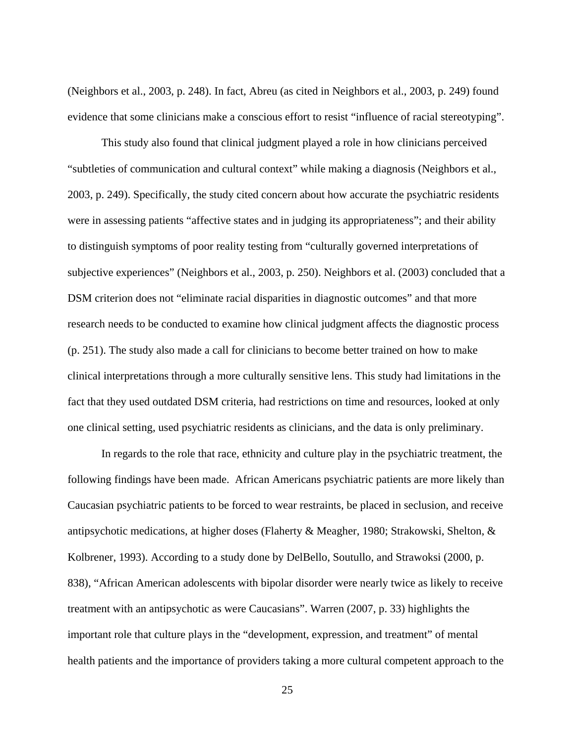(Neighbors et al., 2003, p. 248). In fact, Abreu (as cited in Neighbors et al., 2003, p. 249) found evidence that some clinicians make a conscious effort to resist "influence of racial stereotyping".

This study also found that clinical judgment played a role in how clinicians perceived "subtleties of communication and cultural context" while making a diagnosis (Neighbors et al., 2003, p. 249). Specifically, the study cited concern about how accurate the psychiatric residents were in assessing patients "affective states and in judging its appropriateness"; and their ability to distinguish symptoms of poor reality testing from "culturally governed interpretations of subjective experiences" (Neighbors et al., 2003, p. 250). Neighbors et al. (2003) concluded that a DSM criterion does not "eliminate racial disparities in diagnostic outcomes" and that more research needs to be conducted to examine how clinical judgment affects the diagnostic process (p. 251). The study also made a call for clinicians to become better trained on how to make clinical interpretations through a more culturally sensitive lens. This study had limitations in the fact that they used outdated DSM criteria, had restrictions on time and resources, looked at only one clinical setting, used psychiatric residents as clinicians, and the data is only preliminary.

In regards to the role that race, ethnicity and culture play in the psychiatric treatment, the following findings have been made. African Americans psychiatric patients are more likely than Caucasian psychiatric patients to be forced to wear restraints, be placed in seclusion, and receive antipsychotic medications, at higher doses (Flaherty & Meagher, 1980; Strakowski, Shelton, & Kolbrener, 1993). According to a study done by DelBello, Soutullo, and Strawoksi (2000, p. 838), "African American adolescents with bipolar disorder were nearly twice as likely to receive treatment with an antipsychotic as were Caucasians". Warren (2007, p. 33) highlights the important role that culture plays in the "development, expression, and treatment" of mental health patients and the importance of providers taking a more cultural competent approach to the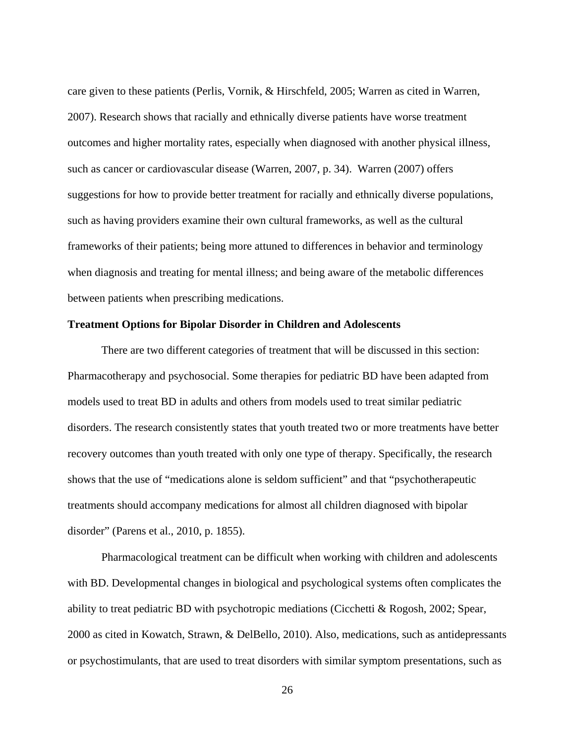care given to these patients (Perlis, Vornik, & Hirschfeld, 2005; Warren as cited in Warren, 2007). Research shows that racially and ethnically diverse patients have worse treatment outcomes and higher mortality rates, especially when diagnosed with another physical illness, such as cancer or cardiovascular disease (Warren, 2007, p. 34). Warren (2007) offers suggestions for how to provide better treatment for racially and ethnically diverse populations, such as having providers examine their own cultural frameworks, as well as the cultural frameworks of their patients; being more attuned to differences in behavior and terminology when diagnosis and treating for mental illness; and being aware of the metabolic differences between patients when prescribing medications.

#### **Treatment Options for Bipolar Disorder in Children and Adolescents**

There are two different categories of treatment that will be discussed in this section: Pharmacotherapy and psychosocial. Some therapies for pediatric BD have been adapted from models used to treat BD in adults and others from models used to treat similar pediatric disorders. The research consistently states that youth treated two or more treatments have better recovery outcomes than youth treated with only one type of therapy. Specifically, the research shows that the use of "medications alone is seldom sufficient" and that "psychotherapeutic treatments should accompany medications for almost all children diagnosed with bipolar disorder" (Parens et al., 2010, p. 1855).

Pharmacological treatment can be difficult when working with children and adolescents with BD. Developmental changes in biological and psychological systems often complicates the ability to treat pediatric BD with psychotropic mediations (Cicchetti & Rogosh, 2002; Spear, 2000 as cited in Kowatch, Strawn, & DelBello, 2010). Also, medications, such as antidepressants or psychostimulants, that are used to treat disorders with similar symptom presentations, such as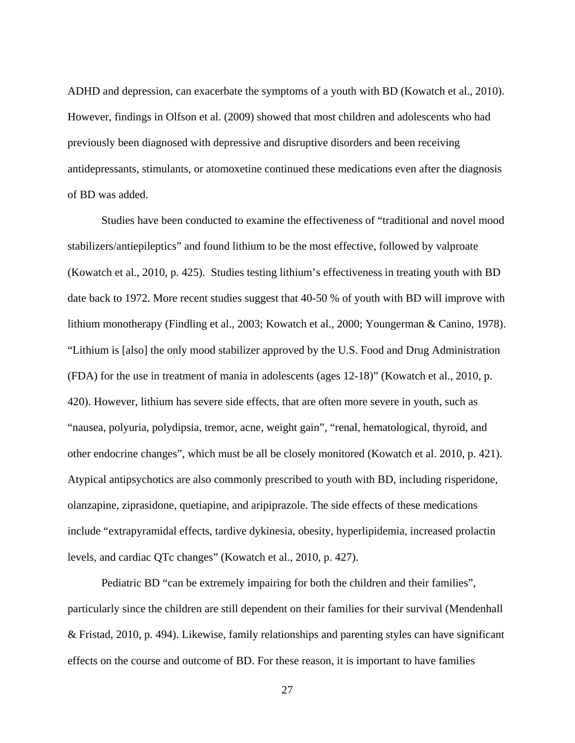ADHD and depression, can exacerbate the symptoms of a youth with BD (Kowatch et al., 2010). However, findings in Olfson et al. (2009) showed that most children and adolescents who had previously been diagnosed with depressive and disruptive disorders and been receiving antidepressants, stimulants, or atomoxetine continued these medications even after the diagnosis of BD was added.

Studies have been conducted to examine the effectiveness of "traditional and novel mood stabilizers/antiepileptics" and found lithium to be the most effective, followed by valproate (Kowatch et al., 2010, p. 425). Studies testing lithium's effectiveness in treating youth with BD date back to 1972. More recent studies suggest that 40-50 % of youth with BD will improve with lithium monotherapy (Findling et al., 2003; Kowatch et al., 2000; Youngerman & Canino, 1978). "Lithium is [also] the only mood stabilizer approved by the U.S. Food and Drug Administration (FDA) for the use in treatment of mania in adolescents (ages 12-18)" (Kowatch et al., 2010, p. 420). However, lithium has severe side effects, that are often more severe in youth, such as "nausea, polyuria, polydipsia, tremor, acne, weight gain", "renal, hematological, thyroid, and other endocrine changes", which must be all be closely monitored (Kowatch et al. 2010, p. 421). Atypical antipsychotics are also commonly prescribed to youth with BD, including risperidone, olanzapine, ziprasidone, quetiapine, and aripiprazole. The side effects of these medications include "extrapyramidal effects, tardive dykinesia, obesity, hyperlipidemia, increased prolactin levels, and cardiac QTc changes" (Kowatch et al., 2010, p. 427).

Pediatric BD "can be extremely impairing for both the children and their families", particularly since the children are still dependent on their families for their survival (Mendenhall & Fristad, 2010, p. 494). Likewise, family relationships and parenting styles can have significant effects on the course and outcome of BD. For these reason, it is important to have families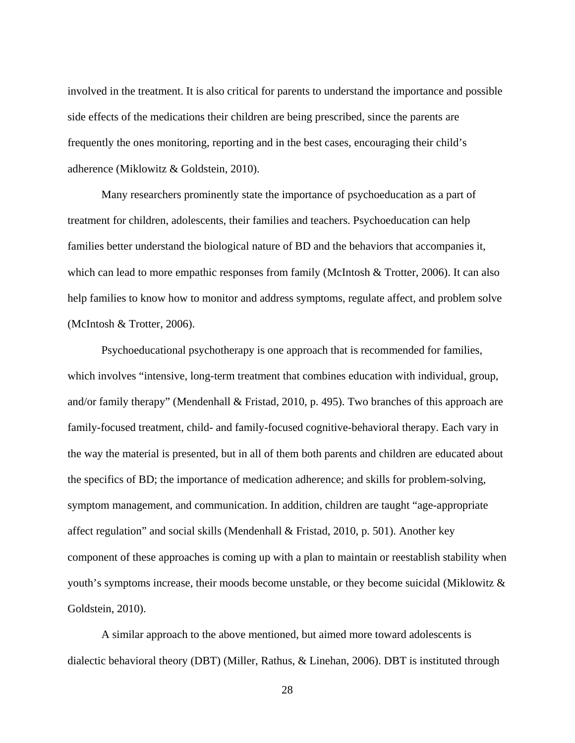involved in the treatment. It is also critical for parents to understand the importance and possible side effects of the medications their children are being prescribed, since the parents are frequently the ones monitoring, reporting and in the best cases, encouraging their child's adherence (Miklowitz & Goldstein, 2010).

Many researchers prominently state the importance of psychoeducation as a part of treatment for children, adolescents, their families and teachers. Psychoeducation can help families better understand the biological nature of BD and the behaviors that accompanies it, which can lead to more empathic responses from family (McIntosh & Trotter, 2006). It can also help families to know how to monitor and address symptoms, regulate affect, and problem solve (McIntosh & Trotter, 2006).

Psychoeducational psychotherapy is one approach that is recommended for families, which involves "intensive, long-term treatment that combines education with individual, group, and/or family therapy" (Mendenhall & Fristad, 2010, p. 495). Two branches of this approach are family-focused treatment, child- and family-focused cognitive-behavioral therapy. Each vary in the way the material is presented, but in all of them both parents and children are educated about the specifics of BD; the importance of medication adherence; and skills for problem-solving, symptom management, and communication. In addition, children are taught "age-appropriate affect regulation" and social skills (Mendenhall & Fristad, 2010, p. 501). Another key component of these approaches is coming up with a plan to maintain or reestablish stability when youth's symptoms increase, their moods become unstable, or they become suicidal (Miklowitz & Goldstein, 2010).

A similar approach to the above mentioned, but aimed more toward adolescents is dialectic behavioral theory (DBT) (Miller, Rathus, & Linehan, 2006). DBT is instituted through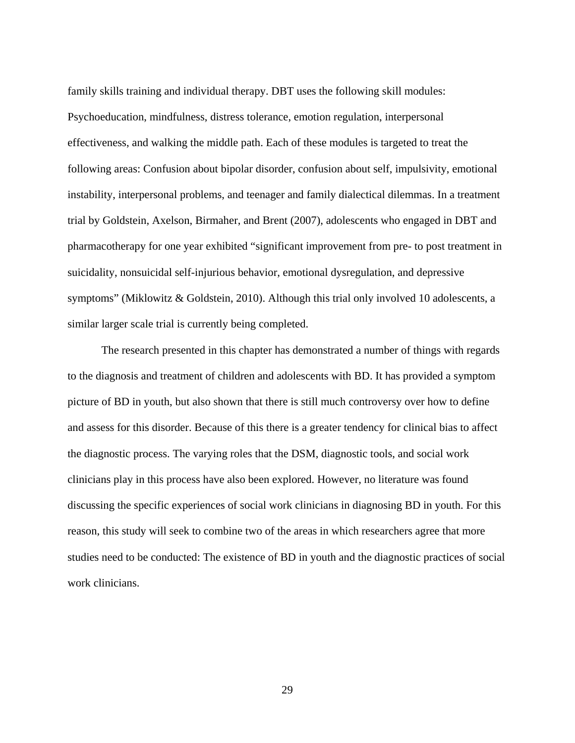family skills training and individual therapy. DBT uses the following skill modules: Psychoeducation, mindfulness, distress tolerance, emotion regulation, interpersonal effectiveness, and walking the middle path. Each of these modules is targeted to treat the following areas: Confusion about bipolar disorder, confusion about self, impulsivity, emotional instability, interpersonal problems, and teenager and family dialectical dilemmas. In a treatment trial by Goldstein, Axelson, Birmaher, and Brent (2007), adolescents who engaged in DBT and pharmacotherapy for one year exhibited "significant improvement from pre- to post treatment in suicidality, nonsuicidal self-injurious behavior, emotional dysregulation, and depressive symptoms" (Miklowitz & Goldstein, 2010). Although this trial only involved 10 adolescents, a similar larger scale trial is currently being completed.

The research presented in this chapter has demonstrated a number of things with regards to the diagnosis and treatment of children and adolescents with BD. It has provided a symptom picture of BD in youth, but also shown that there is still much controversy over how to define and assess for this disorder. Because of this there is a greater tendency for clinical bias to affect the diagnostic process. The varying roles that the DSM, diagnostic tools, and social work clinicians play in this process have also been explored. However, no literature was found discussing the specific experiences of social work clinicians in diagnosing BD in youth. For this reason, this study will seek to combine two of the areas in which researchers agree that more studies need to be conducted: The existence of BD in youth and the diagnostic practices of social work clinicians.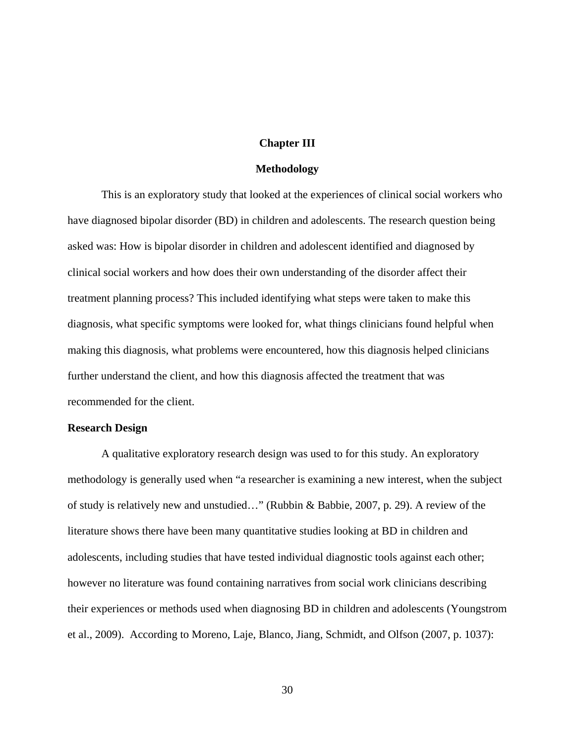#### **Chapter III**

#### **Methodology**

This is an exploratory study that looked at the experiences of clinical social workers who have diagnosed bipolar disorder (BD) in children and adolescents. The research question being asked was: How is bipolar disorder in children and adolescent identified and diagnosed by clinical social workers and how does their own understanding of the disorder affect their treatment planning process? This included identifying what steps were taken to make this diagnosis, what specific symptoms were looked for, what things clinicians found helpful when making this diagnosis, what problems were encountered, how this diagnosis helped clinicians further understand the client, and how this diagnosis affected the treatment that was recommended for the client.

## **Research Design**

A qualitative exploratory research design was used to for this study. An exploratory methodology is generally used when "a researcher is examining a new interest, when the subject of study is relatively new and unstudied…" (Rubbin & Babbie, 2007, p. 29). A review of the literature shows there have been many quantitative studies looking at BD in children and adolescents, including studies that have tested individual diagnostic tools against each other; however no literature was found containing narratives from social work clinicians describing their experiences or methods used when diagnosing BD in children and adolescents (Youngstrom et al., 2009). According to Moreno, Laje, Blanco, Jiang, Schmidt, and Olfson (2007, p. 1037):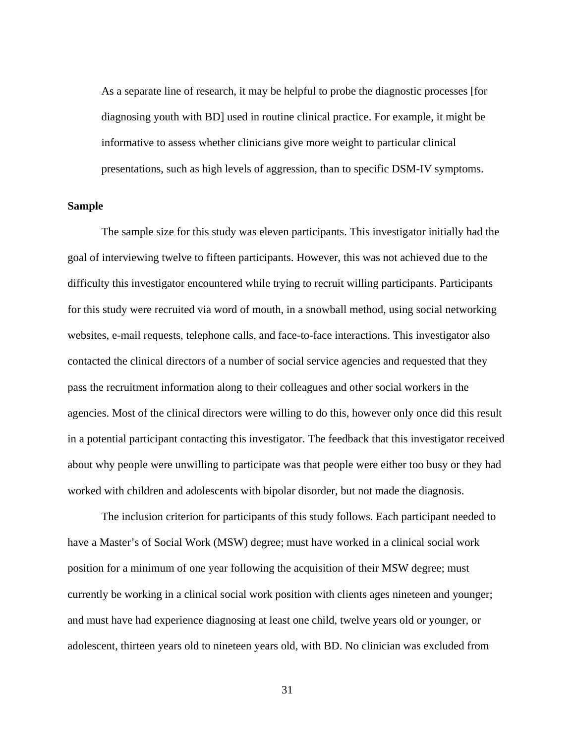As a separate line of research, it may be helpful to probe the diagnostic processes [for diagnosing youth with BD] used in routine clinical practice. For example, it might be informative to assess whether clinicians give more weight to particular clinical presentations, such as high levels of aggression, than to specific DSM-IV symptoms.

## **Sample**

The sample size for this study was eleven participants. This investigator initially had the goal of interviewing twelve to fifteen participants. However, this was not achieved due to the difficulty this investigator encountered while trying to recruit willing participants. Participants for this study were recruited via word of mouth, in a snowball method, using social networking websites, e-mail requests, telephone calls, and face-to-face interactions. This investigator also contacted the clinical directors of a number of social service agencies and requested that they pass the recruitment information along to their colleagues and other social workers in the agencies. Most of the clinical directors were willing to do this, however only once did this result in a potential participant contacting this investigator. The feedback that this investigator received about why people were unwilling to participate was that people were either too busy or they had worked with children and adolescents with bipolar disorder, but not made the diagnosis.

The inclusion criterion for participants of this study follows. Each participant needed to have a Master's of Social Work (MSW) degree; must have worked in a clinical social work position for a minimum of one year following the acquisition of their MSW degree; must currently be working in a clinical social work position with clients ages nineteen and younger; and must have had experience diagnosing at least one child, twelve years old or younger, or adolescent, thirteen years old to nineteen years old, with BD. No clinician was excluded from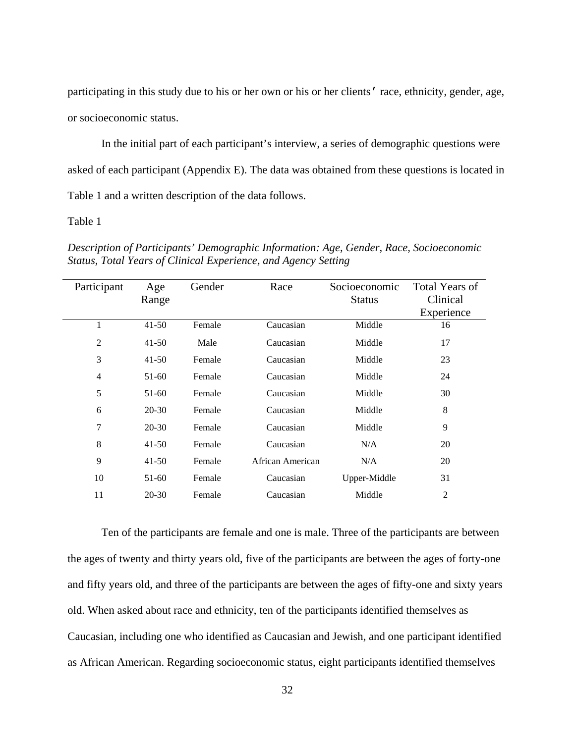participating in this study due to his or her own or his or her clients' race, ethnicity, gender, age, or socioeconomic status.

In the initial part of each participant's interview, a series of demographic questions were asked of each participant (Appendix E). The data was obtained from these questions is located in Table 1 and a written description of the data follows.

## Table 1

Participant Age Range Gender Race Socioeconomic Status Total Years of Clinical Experience 1 41-50 Female Caucasian Middle 16 2 41-50 Male Caucasian Middle 17 3 41-50 Female Caucasian Middle 23 4 51-60 Female Caucasian Middle 24 5 51-60 Female Caucasian Middle 30 6 20-30 Female Caucasian Middle 8 7 20-30 Female Caucasian Middle 9 8 41-50 Female Caucasian N/A 20 9 41-50 Female African American N/A 20 10 51-60 Female Caucasian Upper-Middle 31 11 20-30 Female Caucasian Middle 2

*Description of Participants' Demographic Information: Age, Gender, Race, Socioeconomic Status, Total Years of Clinical Experience, and Agency Setting* 

Ten of the participants are female and one is male. Three of the participants are between the ages of twenty and thirty years old, five of the participants are between the ages of forty-one and fifty years old, and three of the participants are between the ages of fifty-one and sixty years old. When asked about race and ethnicity, ten of the participants identified themselves as Caucasian, including one who identified as Caucasian and Jewish, and one participant identified as African American. Regarding socioeconomic status, eight participants identified themselves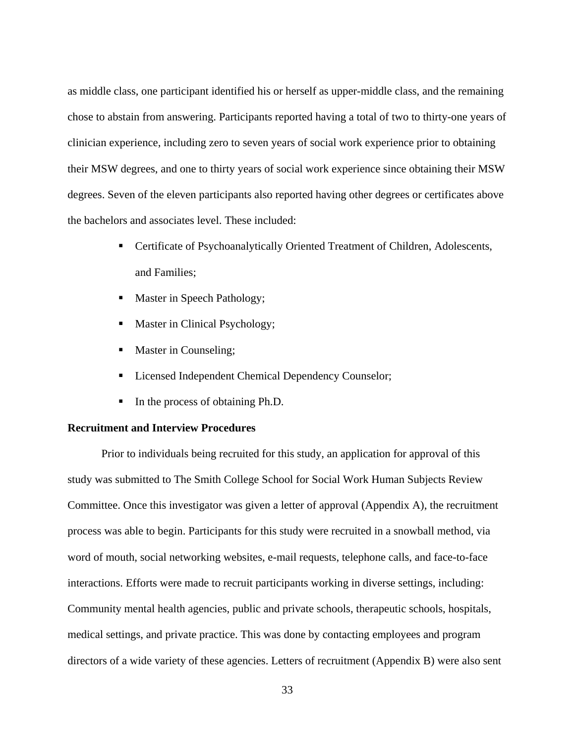as middle class, one participant identified his or herself as upper-middle class, and the remaining chose to abstain from answering. Participants reported having a total of two to thirty-one years of clinician experience, including zero to seven years of social work experience prior to obtaining their MSW degrees, and one to thirty years of social work experience since obtaining their MSW degrees. Seven of the eleven participants also reported having other degrees or certificates above the bachelors and associates level. These included:

- Certificate of Psychoanalytically Oriented Treatment of Children, Adolescents, and Families;
- Master in Speech Pathology;
- Master in Clinical Psychology;
- Master in Counseling;
- **Licensed Independent Chemical Dependency Counselor;**
- In the process of obtaining Ph.D.

## **Recruitment and Interview Procedures**

Prior to individuals being recruited for this study, an application for approval of this study was submitted to The Smith College School for Social Work Human Subjects Review Committee. Once this investigator was given a letter of approval (Appendix A), the recruitment process was able to begin. Participants for this study were recruited in a snowball method, via word of mouth, social networking websites, e-mail requests, telephone calls, and face-to-face interactions. Efforts were made to recruit participants working in diverse settings, including: Community mental health agencies, public and private schools, therapeutic schools, hospitals, medical settings, and private practice. This was done by contacting employees and program directors of a wide variety of these agencies. Letters of recruitment (Appendix B) were also sent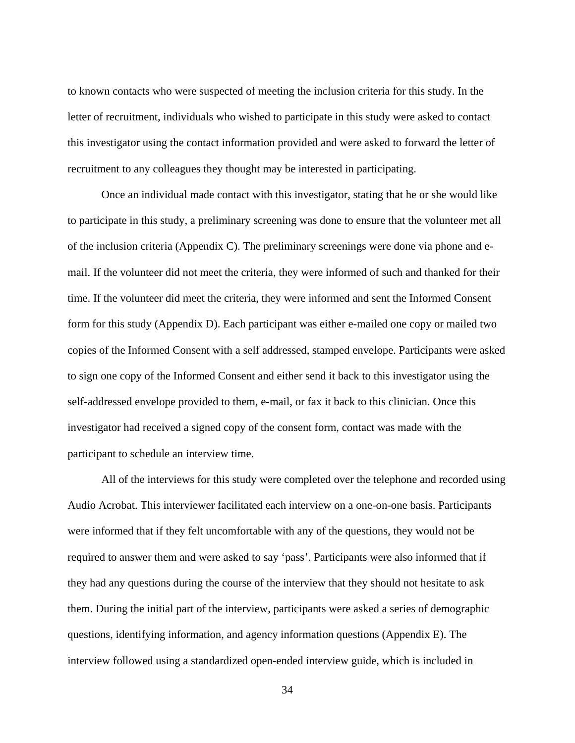to known contacts who were suspected of meeting the inclusion criteria for this study. In the letter of recruitment, individuals who wished to participate in this study were asked to contact this investigator using the contact information provided and were asked to forward the letter of recruitment to any colleagues they thought may be interested in participating.

Once an individual made contact with this investigator, stating that he or she would like to participate in this study, a preliminary screening was done to ensure that the volunteer met all of the inclusion criteria (Appendix C). The preliminary screenings were done via phone and email. If the volunteer did not meet the criteria, they were informed of such and thanked for their time. If the volunteer did meet the criteria, they were informed and sent the Informed Consent form for this study (Appendix D). Each participant was either e-mailed one copy or mailed two copies of the Informed Consent with a self addressed, stamped envelope. Participants were asked to sign one copy of the Informed Consent and either send it back to this investigator using the self-addressed envelope provided to them, e-mail, or fax it back to this clinician. Once this investigator had received a signed copy of the consent form, contact was made with the participant to schedule an interview time.

All of the interviews for this study were completed over the telephone and recorded using Audio Acrobat. This interviewer facilitated each interview on a one-on-one basis. Participants were informed that if they felt uncomfortable with any of the questions, they would not be required to answer them and were asked to say 'pass'. Participants were also informed that if they had any questions during the course of the interview that they should not hesitate to ask them. During the initial part of the interview, participants were asked a series of demographic questions, identifying information, and agency information questions (Appendix E). The interview followed using a standardized open-ended interview guide, which is included in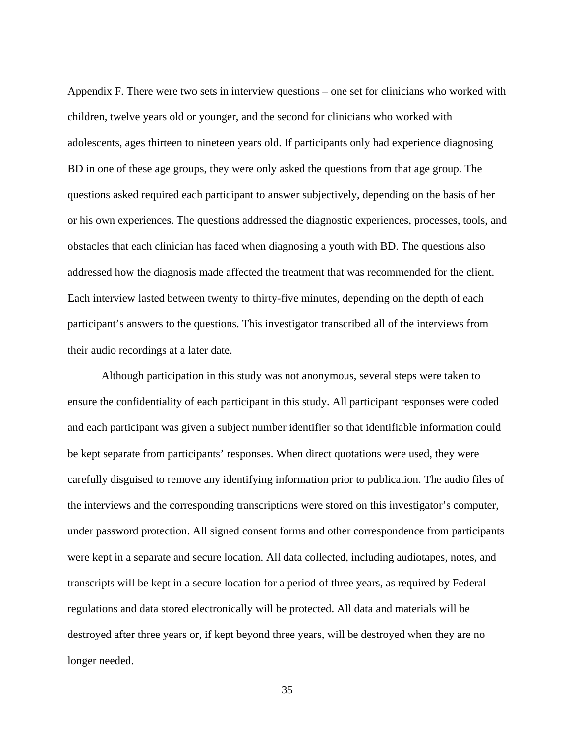Appendix F. There were two sets in interview questions – one set for clinicians who worked with children, twelve years old or younger, and the second for clinicians who worked with adolescents, ages thirteen to nineteen years old. If participants only had experience diagnosing BD in one of these age groups, they were only asked the questions from that age group. The questions asked required each participant to answer subjectively, depending on the basis of her or his own experiences. The questions addressed the diagnostic experiences, processes, tools, and obstacles that each clinician has faced when diagnosing a youth with BD. The questions also addressed how the diagnosis made affected the treatment that was recommended for the client. Each interview lasted between twenty to thirty-five minutes, depending on the depth of each participant's answers to the questions. This investigator transcribed all of the interviews from their audio recordings at a later date.

Although participation in this study was not anonymous, several steps were taken to ensure the confidentiality of each participant in this study. All participant responses were coded and each participant was given a subject number identifier so that identifiable information could be kept separate from participants' responses. When direct quotations were used, they were carefully disguised to remove any identifying information prior to publication. The audio files of the interviews and the corresponding transcriptions were stored on this investigator's computer, under password protection. All signed consent forms and other correspondence from participants were kept in a separate and secure location. All data collected, including audiotapes, notes, and transcripts will be kept in a secure location for a period of three years, as required by Federal regulations and data stored electronically will be protected. All data and materials will be destroyed after three years or, if kept beyond three years, will be destroyed when they are no longer needed.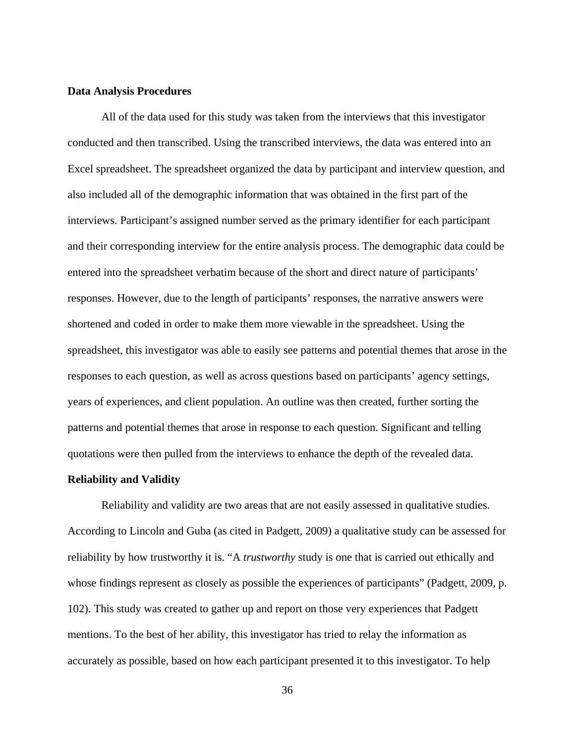#### **Data Analysis Procedures**

All of the data used for this study was taken from the interviews that this investigator conducted and then transcribed. Using the transcribed interviews, the data was entered into an Excel spreadsheet. The spreadsheet organized the data by participant and interview question, and also included all of the demographic information that was obtained in the first part of the interviews. Participant's assigned number served as the primary identifier for each participant and their corresponding interview for the entire analysis process. The demographic data could be entered into the spreadsheet verbatim because of the short and direct nature of participants' responses. However, due to the length of participants' responses, the narrative answers were shortened and coded in order to make them more viewable in the spreadsheet. Using the spreadsheet, this investigator was able to easily see patterns and potential themes that arose in the responses to each question, as well as across questions based on participants' agency settings, years of experiences, and client population. An outline was then created, further sorting the patterns and potential themes that arose in response to each question. Significant and telling quotations were then pulled from the interviews to enhance the depth of the revealed data.

## **Reliability and Validity**

Reliability and validity are two areas that are not easily assessed in qualitative studies. According to Lincoln and Guba (as cited in Padgett, 2009) a qualitative study can be assessed for reliability by how trustworthy it is. "A *trustworthy* study is one that is carried out ethically and whose findings represent as closely as possible the experiences of participants" (Padgett, 2009, p. 102). This study was created to gather up and report on those very experiences that Padgett mentions. To the best of her ability, this investigator has tried to relay the information as accurately as possible, based on how each participant presented it to this investigator. To help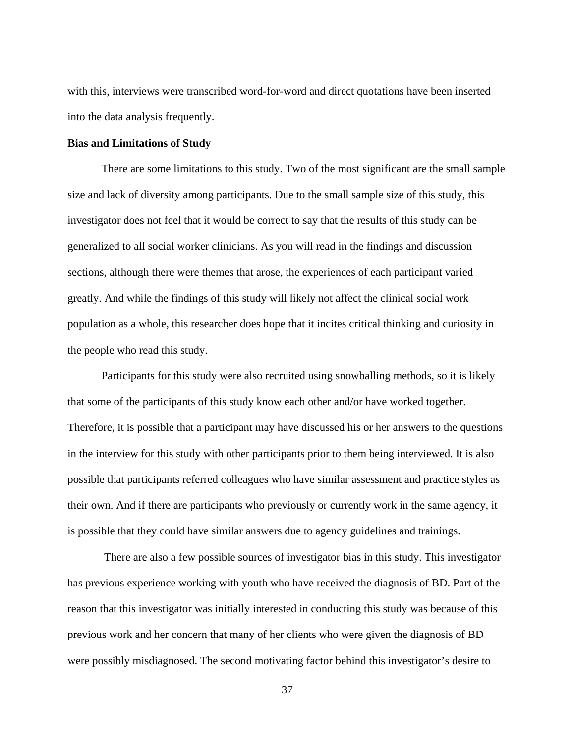with this, interviews were transcribed word-for-word and direct quotations have been inserted into the data analysis frequently.

## **Bias and Limitations of Study**

There are some limitations to this study. Two of the most significant are the small sample size and lack of diversity among participants. Due to the small sample size of this study, this investigator does not feel that it would be correct to say that the results of this study can be generalized to all social worker clinicians. As you will read in the findings and discussion sections, although there were themes that arose, the experiences of each participant varied greatly. And while the findings of this study will likely not affect the clinical social work population as a whole, this researcher does hope that it incites critical thinking and curiosity in the people who read this study.

Participants for this study were also recruited using snowballing methods, so it is likely that some of the participants of this study know each other and/or have worked together. Therefore, it is possible that a participant may have discussed his or her answers to the questions in the interview for this study with other participants prior to them being interviewed. It is also possible that participants referred colleagues who have similar assessment and practice styles as their own. And if there are participants who previously or currently work in the same agency, it is possible that they could have similar answers due to agency guidelines and trainings.

 There are also a few possible sources of investigator bias in this study. This investigator has previous experience working with youth who have received the diagnosis of BD. Part of the reason that this investigator was initially interested in conducting this study was because of this previous work and her concern that many of her clients who were given the diagnosis of BD were possibly misdiagnosed. The second motivating factor behind this investigator's desire to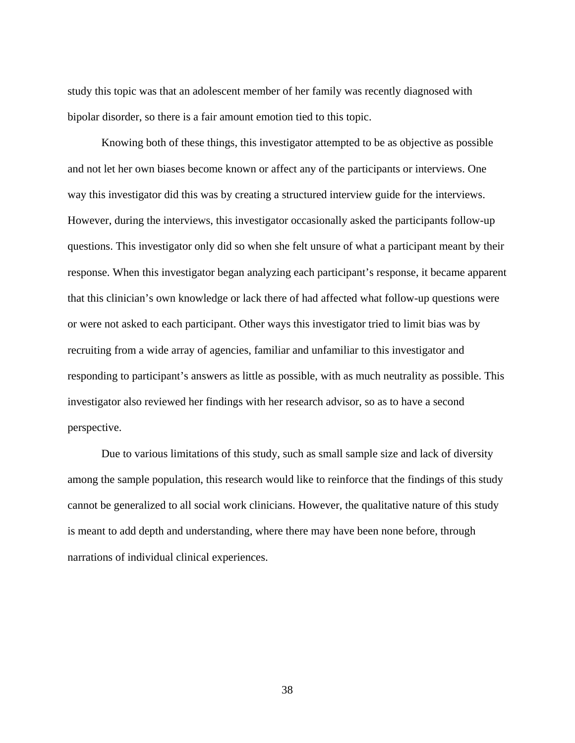study this topic was that an adolescent member of her family was recently diagnosed with bipolar disorder, so there is a fair amount emotion tied to this topic.

Knowing both of these things, this investigator attempted to be as objective as possible and not let her own biases become known or affect any of the participants or interviews. One way this investigator did this was by creating a structured interview guide for the interviews. However, during the interviews, this investigator occasionally asked the participants follow-up questions. This investigator only did so when she felt unsure of what a participant meant by their response. When this investigator began analyzing each participant's response, it became apparent that this clinician's own knowledge or lack there of had affected what follow-up questions were or were not asked to each participant. Other ways this investigator tried to limit bias was by recruiting from a wide array of agencies, familiar and unfamiliar to this investigator and responding to participant's answers as little as possible, with as much neutrality as possible. This investigator also reviewed her findings with her research advisor, so as to have a second perspective.

Due to various limitations of this study, such as small sample size and lack of diversity among the sample population, this research would like to reinforce that the findings of this study cannot be generalized to all social work clinicians. However, the qualitative nature of this study is meant to add depth and understanding, where there may have been none before, through narrations of individual clinical experiences.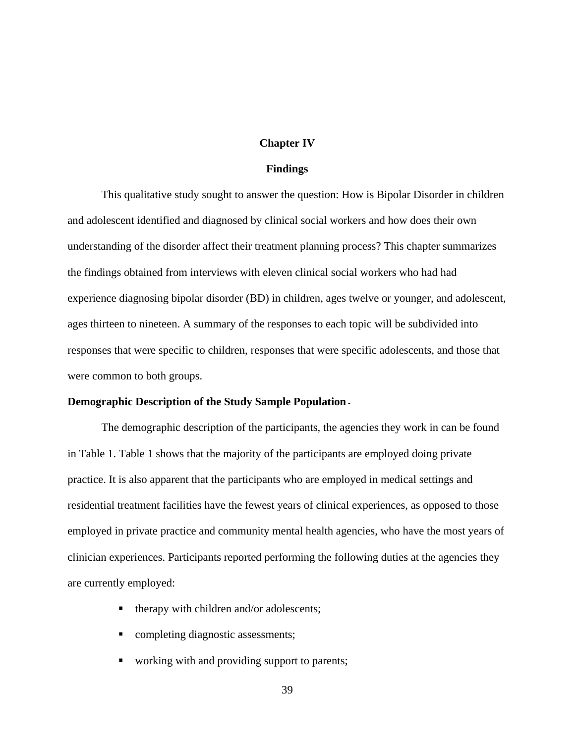## **Chapter IV**

### **Findings**

This qualitative study sought to answer the question: How is Bipolar Disorder in children and adolescent identified and diagnosed by clinical social workers and how does their own understanding of the disorder affect their treatment planning process? This chapter summarizes the findings obtained from interviews with eleven clinical social workers who had had experience diagnosing bipolar disorder (BD) in children, ages twelve or younger, and adolescent, ages thirteen to nineteen. A summary of the responses to each topic will be subdivided into responses that were specific to children, responses that were specific adolescents, and those that were common to both groups.

## **Demographic Description of the Study Sample Population** -

The demographic description of the participants, the agencies they work in can be found in Table 1. Table 1 shows that the majority of the participants are employed doing private practice. It is also apparent that the participants who are employed in medical settings and residential treatment facilities have the fewest years of clinical experiences, as opposed to those employed in private practice and community mental health agencies, who have the most years of clinician experiences. Participants reported performing the following duties at the agencies they are currently employed:

- therapy with children and/or adolescents;
- completing diagnostic assessments;
- working with and providing support to parents;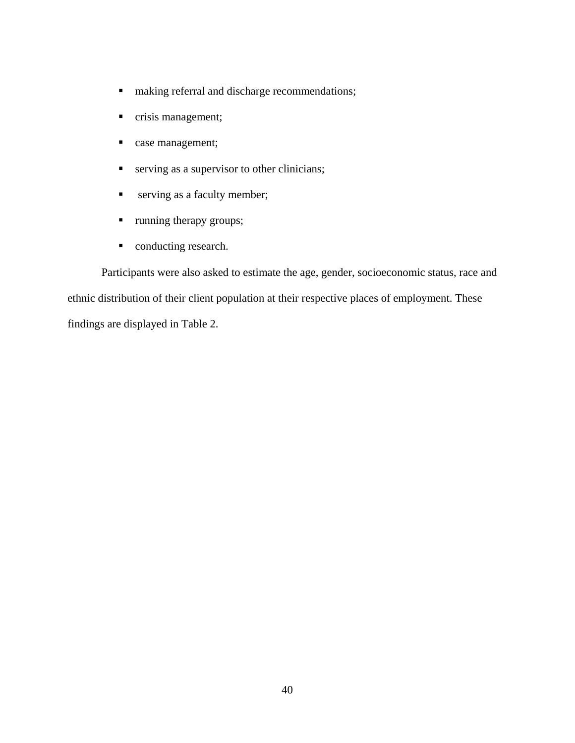- $\blacksquare$  making referral and discharge recommendations;
- crisis management;
- case management;
- serving as a supervisor to other clinicians;
- **serving as a faculty member;**
- **running therapy groups;**
- conducting research.

Participants were also asked to estimate the age, gender, socioeconomic status, race and ethnic distribution of their client population at their respective places of employment. These findings are displayed in Table 2.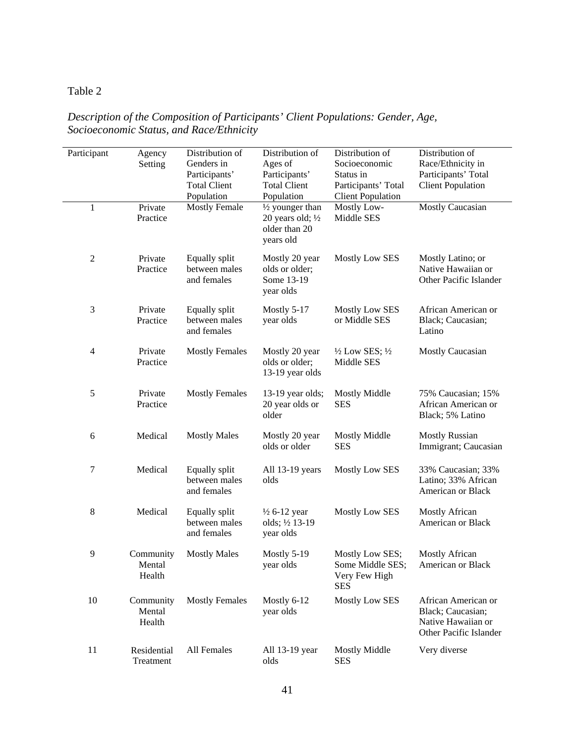## Table 2

| Participant    | Agency<br>Setting             | Distribution of<br>Genders in<br>Participants'<br><b>Total Client</b><br>Population | Distribution of<br>Ages of<br>Participants'<br><b>Total Client</b><br>Population | Distribution of<br>Socioeconomic<br>Status in<br>Participants' Total<br><b>Client Population</b> | Distribution of<br>Race/Ethnicity in<br>Participants' Total<br><b>Client Population</b>  |
|----------------|-------------------------------|-------------------------------------------------------------------------------------|----------------------------------------------------------------------------------|--------------------------------------------------------------------------------------------------|------------------------------------------------------------------------------------------|
| $\mathbf{1}$   | Private<br>Practice           | <b>Mostly Female</b>                                                                | 1/2 younger than<br>20 years old; $\frac{1}{2}$<br>older than 20<br>years old    | Mostly Low-<br>Middle SES                                                                        | <b>Mostly Caucasian</b>                                                                  |
| $\overline{c}$ | Private<br>Practice           | Equally split<br>between males<br>and females                                       | Mostly 20 year<br>olds or older;<br>Some 13-19<br>year olds                      | Mostly Low SES                                                                                   | Mostly Latino; or<br>Native Hawaiian or<br>Other Pacific Islander                        |
| 3              | Private<br>Practice           | Equally split<br>between males<br>and females                                       | Mostly 5-17<br>year olds                                                         | <b>Mostly Low SES</b><br>or Middle SES                                                           | African American or<br>Black; Caucasian;<br>Latino                                       |
| 4              | Private<br>Practice           | <b>Mostly Females</b>                                                               | Mostly 20 year<br>olds or older;<br>13-19 year olds                              | $\frac{1}{2}$ Low SES; $\frac{1}{2}$<br>Middle SES                                               | Mostly Caucasian                                                                         |
| 5              | Private<br>Practice           | <b>Mostly Females</b>                                                               | 13-19 year olds;<br>20 year olds or<br>older                                     | <b>Mostly Middle</b><br><b>SES</b>                                                               | 75% Caucasian; 15%<br>African American or<br>Black; 5% Latino                            |
| 6              | Medical                       | <b>Mostly Males</b>                                                                 | Mostly 20 year<br>olds or older                                                  | <b>Mostly Middle</b><br><b>SES</b>                                                               | <b>Mostly Russian</b><br>Immigrant; Caucasian                                            |
| 7              | Medical                       | Equally split<br>between males<br>and females                                       | All 13-19 years<br>olds                                                          | Mostly Low SES                                                                                   | 33% Caucasian; 33%<br>Latino; 33% African<br>American or Black                           |
| 8              | Medical                       | Equally split<br>between males<br>and females                                       | $\frac{1}{2}$ 6-12 year<br>olds; 1/2 13-19<br>year olds                          | Mostly Low SES                                                                                   | <b>Mostly African</b><br>American or Black                                               |
| $\overline{9}$ | Community<br>Mental<br>Health | <b>Mostly Males</b>                                                                 | Mostly 5-19<br>year olds                                                         | Mostly Low SES;<br>Some Middle SES;<br>Very Few High<br><b>SES</b>                               | <b>Mostly African</b><br>American or Black                                               |
| 10             | Community<br>Mental<br>Health | <b>Mostly Females</b>                                                               | Mostly 6-12<br>year olds                                                         | Mostly Low SES                                                                                   | African American or<br>Black; Caucasian;<br>Native Hawaiian or<br>Other Pacific Islander |
| 11             | Residential<br>Treatment      | All Females                                                                         | All 13-19 year<br>olds                                                           | <b>Mostly Middle</b><br><b>SES</b>                                                               | Very diverse                                                                             |

## *Description of the Composition of Participants' Client Populations: Gender, Age, Socioeconomic Status, and Race/Ethnicity*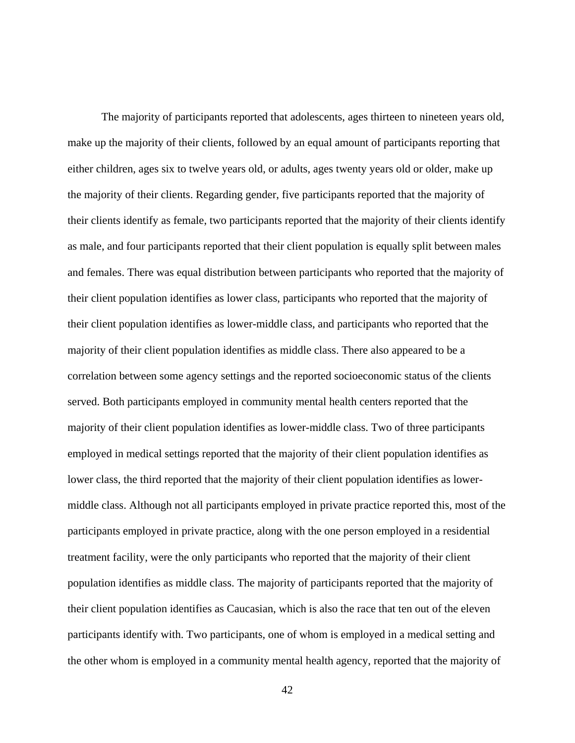The majority of participants reported that adolescents, ages thirteen to nineteen years old, make up the majority of their clients, followed by an equal amount of participants reporting that either children, ages six to twelve years old, or adults, ages twenty years old or older, make up the majority of their clients. Regarding gender, five participants reported that the majority of their clients identify as female, two participants reported that the majority of their clients identify as male, and four participants reported that their client population is equally split between males and females. There was equal distribution between participants who reported that the majority of their client population identifies as lower class, participants who reported that the majority of their client population identifies as lower-middle class, and participants who reported that the majority of their client population identifies as middle class. There also appeared to be a correlation between some agency settings and the reported socioeconomic status of the clients served. Both participants employed in community mental health centers reported that the majority of their client population identifies as lower-middle class. Two of three participants employed in medical settings reported that the majority of their client population identifies as lower class, the third reported that the majority of their client population identifies as lowermiddle class. Although not all participants employed in private practice reported this, most of the participants employed in private practice, along with the one person employed in a residential treatment facility, were the only participants who reported that the majority of their client population identifies as middle class. The majority of participants reported that the majority of their client population identifies as Caucasian, which is also the race that ten out of the eleven participants identify with. Two participants, one of whom is employed in a medical setting and the other whom is employed in a community mental health agency, reported that the majority of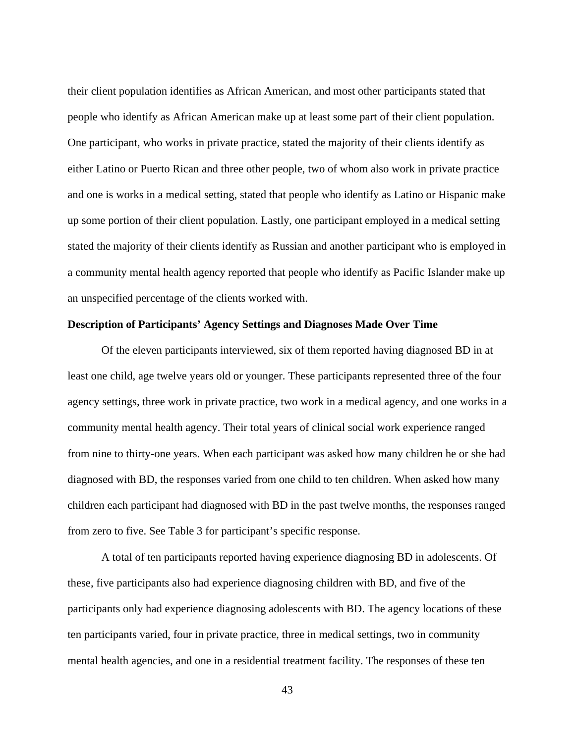their client population identifies as African American, and most other participants stated that people who identify as African American make up at least some part of their client population. One participant, who works in private practice, stated the majority of their clients identify as either Latino or Puerto Rican and three other people, two of whom also work in private practice and one is works in a medical setting, stated that people who identify as Latino or Hispanic make up some portion of their client population. Lastly, one participant employed in a medical setting stated the majority of their clients identify as Russian and another participant who is employed in a community mental health agency reported that people who identify as Pacific Islander make up an unspecified percentage of the clients worked with.

## **Description of Participants' Agency Settings and Diagnoses Made Over Time**

Of the eleven participants interviewed, six of them reported having diagnosed BD in at least one child, age twelve years old or younger. These participants represented three of the four agency settings, three work in private practice, two work in a medical agency, and one works in a community mental health agency. Their total years of clinical social work experience ranged from nine to thirty-one years. When each participant was asked how many children he or she had diagnosed with BD, the responses varied from one child to ten children. When asked how many children each participant had diagnosed with BD in the past twelve months, the responses ranged from zero to five. See Table 3 for participant's specific response.

A total of ten participants reported having experience diagnosing BD in adolescents. Of these, five participants also had experience diagnosing children with BD, and five of the participants only had experience diagnosing adolescents with BD. The agency locations of these ten participants varied, four in private practice, three in medical settings, two in community mental health agencies, and one in a residential treatment facility. The responses of these ten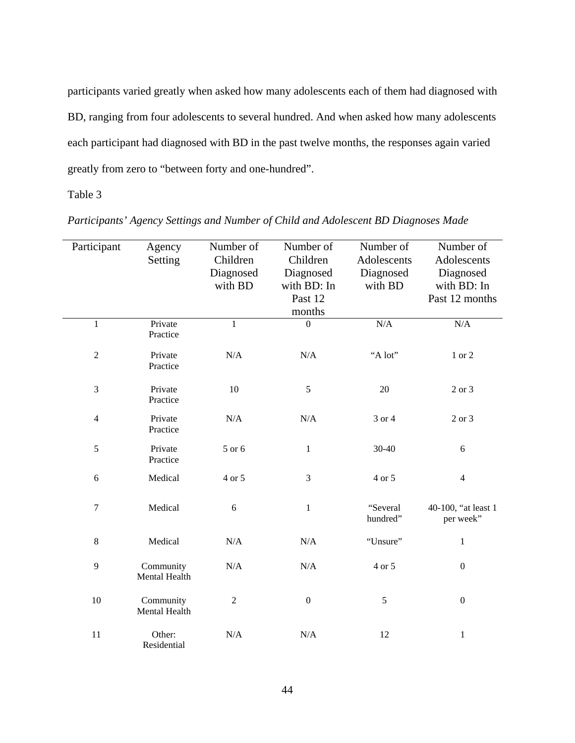participants varied greatly when asked how many adolescents each of them had diagnosed with BD, ranging from four adolescents to several hundred. And when asked how many adolescents each participant had diagnosed with BD in the past twelve months, the responses again varied greatly from zero to "between forty and one-hundred".

## Table 3

| Participant      | Agency        | Number of      | Number of        | Number of   | Number of           |
|------------------|---------------|----------------|------------------|-------------|---------------------|
|                  | Setting       | Children       | Children         | Adolescents | Adolescents         |
|                  |               | Diagnosed      | Diagnosed        | Diagnosed   | Diagnosed           |
|                  |               | with BD        | with BD: In      | with BD     | with BD: In         |
|                  |               |                | Past 12          |             | Past 12 months      |
|                  |               |                | months           |             |                     |
| $\mathbf{1}$     | Private       | $\mathbf{1}$   | $\overline{0}$   | N/A         | N/A                 |
|                  | Practice      |                |                  |             |                     |
| $\sqrt{2}$       | Private       | N/A            | $\rm N/A$        | "A lot"     | $1\ \mathrm{or}\ 2$ |
|                  | Practice      |                |                  |             |                     |
|                  |               |                |                  |             |                     |
| 3                | Private       | $10\,$         | $\sqrt{5}$       | 20          | 2 or 3              |
|                  | Practice      |                |                  |             |                     |
| $\overline{4}$   | Private       | N/A            | N/A              | 3 or 4      | 2 or 3              |
|                  | Practice      |                |                  |             |                     |
| 5                | Private       | 5 or 6         | $\mathbf{1}$     | 30-40       | $\sqrt{6}$          |
|                  | Practice      |                |                  |             |                     |
|                  |               |                |                  |             |                     |
| 6                | Medical       | 4 or 5         | 3                | 4 or 5      | $\overline{4}$      |
|                  |               |                |                  |             |                     |
| $\boldsymbol{7}$ | Medical       | 6              | $\mathbf{1}$     | "Several    | 40-100, "at least 1 |
|                  |               |                |                  | hundred"    | per week"           |
| $8\,$            | Medical       | N/A            | N/A              | "Unsure"    | $\mathbf{1}$        |
|                  |               |                |                  |             |                     |
| 9                | Community     | $\rm N/A$      | $\rm N/A$        | 4 or 5      | $\boldsymbol{0}$    |
|                  | Mental Health |                |                  |             |                     |
|                  |               |                |                  |             |                     |
| 10               | Community     | $\overline{2}$ | $\boldsymbol{0}$ | 5           | $\boldsymbol{0}$    |
|                  | Mental Health |                |                  |             |                     |
| 11               | Other:        | N/A            | N/A              | 12          | $\,1$               |
|                  | Residential   |                |                  |             |                     |

*Participants' Agency Settings and Number of Child and Adolescent BD Diagnoses Made*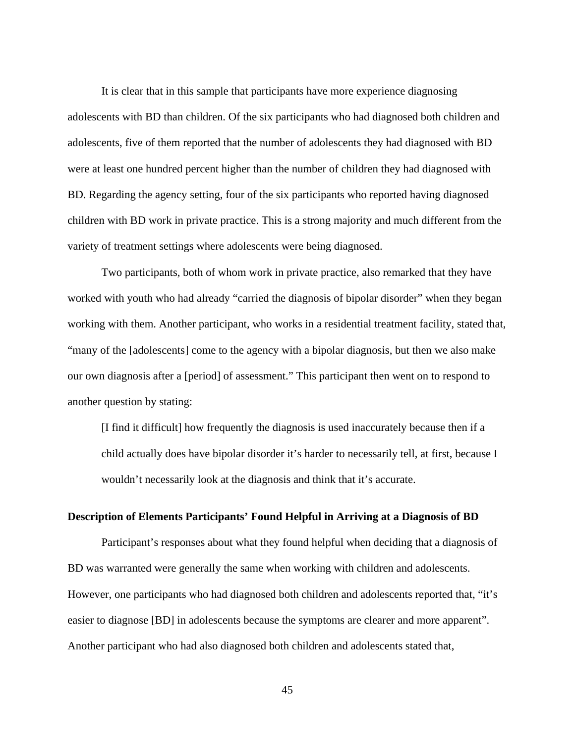It is clear that in this sample that participants have more experience diagnosing adolescents with BD than children. Of the six participants who had diagnosed both children and adolescents, five of them reported that the number of adolescents they had diagnosed with BD were at least one hundred percent higher than the number of children they had diagnosed with BD. Regarding the agency setting, four of the six participants who reported having diagnosed children with BD work in private practice. This is a strong majority and much different from the variety of treatment settings where adolescents were being diagnosed.

Two participants, both of whom work in private practice, also remarked that they have worked with youth who had already "carried the diagnosis of bipolar disorder" when they began working with them. Another participant, who works in a residential treatment facility, stated that, "many of the [adolescents] come to the agency with a bipolar diagnosis, but then we also make our own diagnosis after a [period] of assessment." This participant then went on to respond to another question by stating:

[I find it difficult] how frequently the diagnosis is used inaccurately because then if a child actually does have bipolar disorder it's harder to necessarily tell, at first, because I wouldn't necessarily look at the diagnosis and think that it's accurate.

## **Description of Elements Participants' Found Helpful in Arriving at a Diagnosis of BD**

Participant's responses about what they found helpful when deciding that a diagnosis of BD was warranted were generally the same when working with children and adolescents. However, one participants who had diagnosed both children and adolescents reported that, "it's easier to diagnose [BD] in adolescents because the symptoms are clearer and more apparent". Another participant who had also diagnosed both children and adolescents stated that,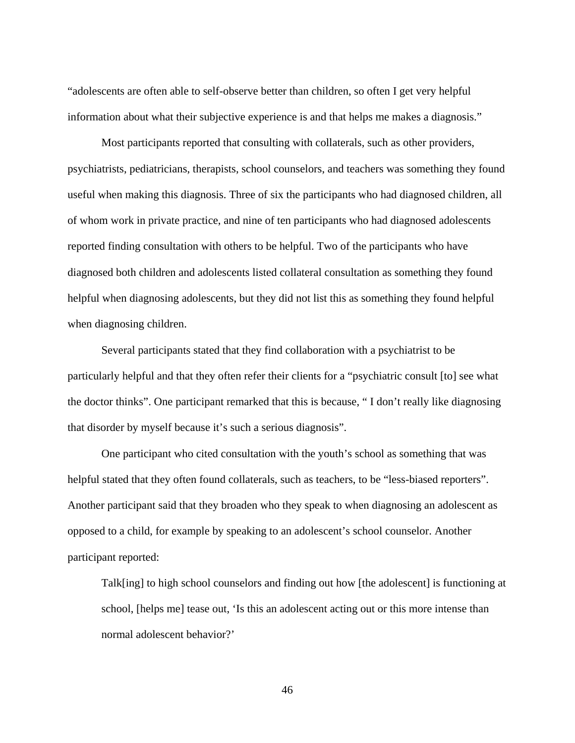"adolescents are often able to self-observe better than children, so often I get very helpful information about what their subjective experience is and that helps me makes a diagnosis."

Most participants reported that consulting with collaterals, such as other providers, psychiatrists, pediatricians, therapists, school counselors, and teachers was something they found useful when making this diagnosis. Three of six the participants who had diagnosed children, all of whom work in private practice, and nine of ten participants who had diagnosed adolescents reported finding consultation with others to be helpful. Two of the participants who have diagnosed both children and adolescents listed collateral consultation as something they found helpful when diagnosing adolescents, but they did not list this as something they found helpful when diagnosing children.

Several participants stated that they find collaboration with a psychiatrist to be particularly helpful and that they often refer their clients for a "psychiatric consult [to] see what the doctor thinks". One participant remarked that this is because, " I don't really like diagnosing that disorder by myself because it's such a serious diagnosis".

One participant who cited consultation with the youth's school as something that was helpful stated that they often found collaterals, such as teachers, to be "less-biased reporters". Another participant said that they broaden who they speak to when diagnosing an adolescent as opposed to a child, for example by speaking to an adolescent's school counselor. Another participant reported:

Talk[ing] to high school counselors and finding out how [the adolescent] is functioning at school, [helps me] tease out, 'Is this an adolescent acting out or this more intense than normal adolescent behavior?'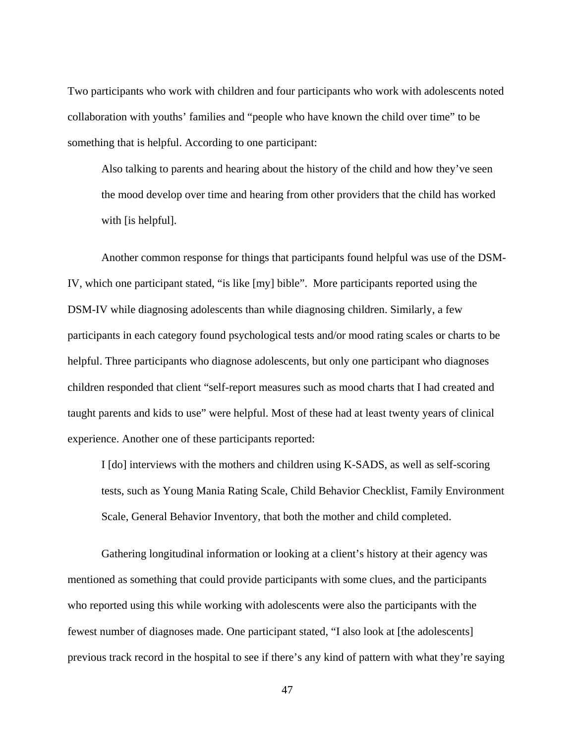Two participants who work with children and four participants who work with adolescents noted collaboration with youths' families and "people who have known the child over time" to be something that is helpful. According to one participant:

Also talking to parents and hearing about the history of the child and how they've seen the mood develop over time and hearing from other providers that the child has worked with [is helpful].

Another common response for things that participants found helpful was use of the DSM-IV, which one participant stated, "is like [my] bible". More participants reported using the DSM-IV while diagnosing adolescents than while diagnosing children. Similarly, a few participants in each category found psychological tests and/or mood rating scales or charts to be helpful. Three participants who diagnose adolescents, but only one participant who diagnoses children responded that client "self-report measures such as mood charts that I had created and taught parents and kids to use" were helpful. Most of these had at least twenty years of clinical experience. Another one of these participants reported:

I [do] interviews with the mothers and children using K-SADS, as well as self-scoring tests, such as Young Mania Rating Scale, Child Behavior Checklist, Family Environment Scale, General Behavior Inventory, that both the mother and child completed.

Gathering longitudinal information or looking at a client's history at their agency was mentioned as something that could provide participants with some clues, and the participants who reported using this while working with adolescents were also the participants with the fewest number of diagnoses made. One participant stated, "I also look at [the adolescents] previous track record in the hospital to see if there's any kind of pattern with what they're saying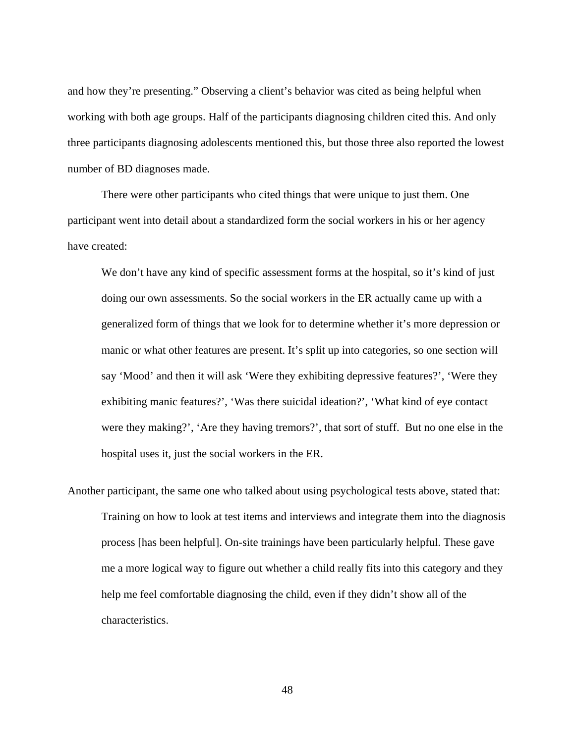and how they're presenting." Observing a client's behavior was cited as being helpful when working with both age groups. Half of the participants diagnosing children cited this. And only three participants diagnosing adolescents mentioned this, but those three also reported the lowest number of BD diagnoses made.

There were other participants who cited things that were unique to just them. One participant went into detail about a standardized form the social workers in his or her agency have created:

We don't have any kind of specific assessment forms at the hospital, so it's kind of just doing our own assessments. So the social workers in the ER actually came up with a generalized form of things that we look for to determine whether it's more depression or manic or what other features are present. It's split up into categories, so one section will say 'Mood' and then it will ask 'Were they exhibiting depressive features?', 'Were they exhibiting manic features?', 'Was there suicidal ideation?', 'What kind of eye contact were they making?', 'Are they having tremors?', that sort of stuff. But no one else in the hospital uses it, just the social workers in the ER.

Another participant, the same one who talked about using psychological tests above, stated that: Training on how to look at test items and interviews and integrate them into the diagnosis process [has been helpful]. On-site trainings have been particularly helpful. These gave me a more logical way to figure out whether a child really fits into this category and they help me feel comfortable diagnosing the child, even if they didn't show all of the characteristics.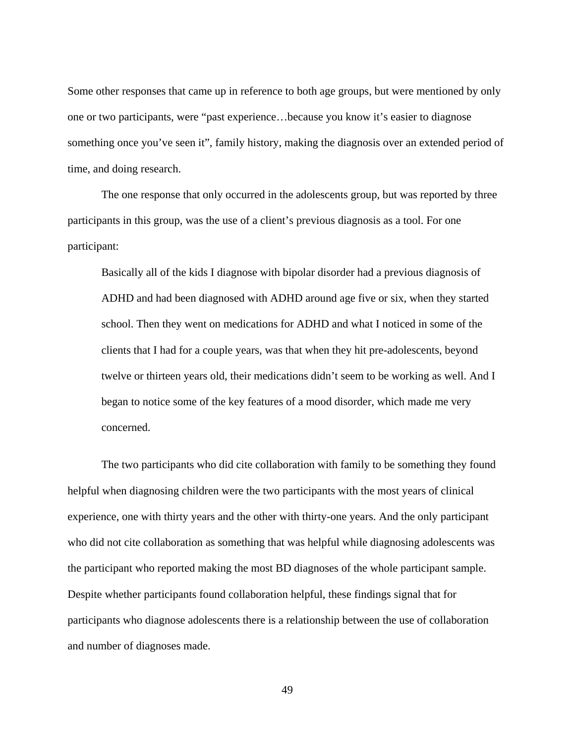Some other responses that came up in reference to both age groups, but were mentioned by only one or two participants, were "past experience…because you know it's easier to diagnose something once you've seen it", family history, making the diagnosis over an extended period of time, and doing research.

The one response that only occurred in the adolescents group, but was reported by three participants in this group, was the use of a client's previous diagnosis as a tool. For one participant:

Basically all of the kids I diagnose with bipolar disorder had a previous diagnosis of ADHD and had been diagnosed with ADHD around age five or six, when they started school. Then they went on medications for ADHD and what I noticed in some of the clients that I had for a couple years, was that when they hit pre-adolescents, beyond twelve or thirteen years old, their medications didn't seem to be working as well. And I began to notice some of the key features of a mood disorder, which made me very concerned.

The two participants who did cite collaboration with family to be something they found helpful when diagnosing children were the two participants with the most years of clinical experience, one with thirty years and the other with thirty-one years. And the only participant who did not cite collaboration as something that was helpful while diagnosing adolescents was the participant who reported making the most BD diagnoses of the whole participant sample. Despite whether participants found collaboration helpful, these findings signal that for participants who diagnose adolescents there is a relationship between the use of collaboration and number of diagnoses made.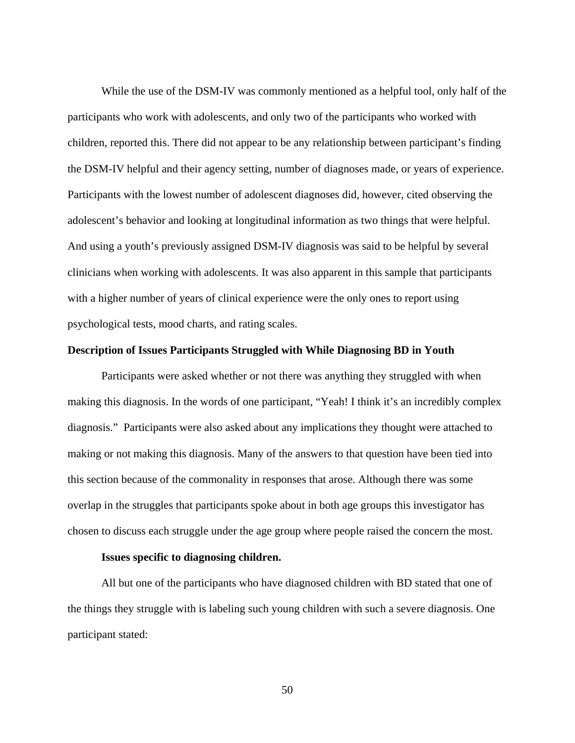While the use of the DSM-IV was commonly mentioned as a helpful tool, only half of the participants who work with adolescents, and only two of the participants who worked with children, reported this. There did not appear to be any relationship between participant's finding the DSM-IV helpful and their agency setting, number of diagnoses made, or years of experience. Participants with the lowest number of adolescent diagnoses did, however, cited observing the adolescent's behavior and looking at longitudinal information as two things that were helpful. And using a youth's previously assigned DSM-IV diagnosis was said to be helpful by several clinicians when working with adolescents. It was also apparent in this sample that participants with a higher number of years of clinical experience were the only ones to report using psychological tests, mood charts, and rating scales.

## **Description of Issues Participants Struggled with While Diagnosing BD in Youth**

Participants were asked whether or not there was anything they struggled with when making this diagnosis. In the words of one participant, "Yeah! I think it's an incredibly complex diagnosis." Participants were also asked about any implications they thought were attached to making or not making this diagnosis. Many of the answers to that question have been tied into this section because of the commonality in responses that arose. Although there was some overlap in the struggles that participants spoke about in both age groups this investigator has chosen to discuss each struggle under the age group where people raised the concern the most.

## **Issues specific to diagnosing children.**

All but one of the participants who have diagnosed children with BD stated that one of the things they struggle with is labeling such young children with such a severe diagnosis. One participant stated: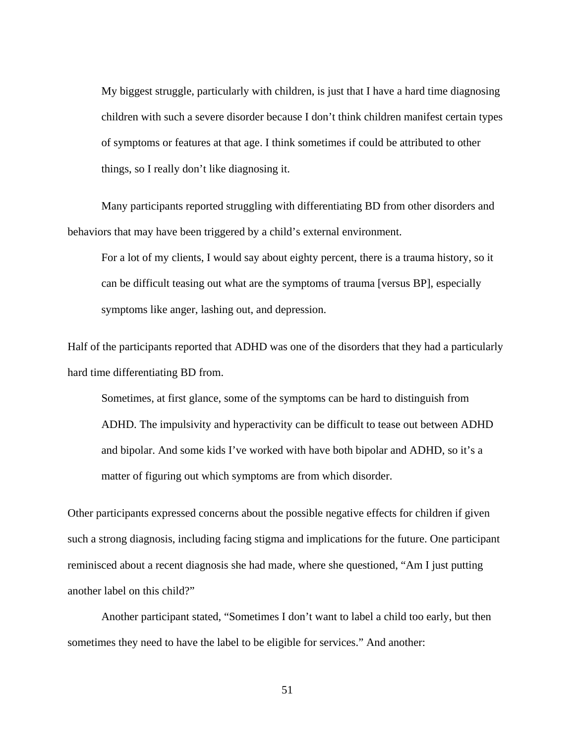My biggest struggle, particularly with children, is just that I have a hard time diagnosing children with such a severe disorder because I don't think children manifest certain types of symptoms or features at that age. I think sometimes if could be attributed to other things, so I really don't like diagnosing it.

Many participants reported struggling with differentiating BD from other disorders and behaviors that may have been triggered by a child's external environment.

For a lot of my clients, I would say about eighty percent, there is a trauma history, so it can be difficult teasing out what are the symptoms of trauma [versus BP], especially symptoms like anger, lashing out, and depression.

Half of the participants reported that ADHD was one of the disorders that they had a particularly hard time differentiating BD from.

Sometimes, at first glance, some of the symptoms can be hard to distinguish from ADHD. The impulsivity and hyperactivity can be difficult to tease out between ADHD and bipolar. And some kids I've worked with have both bipolar and ADHD, so it's a matter of figuring out which symptoms are from which disorder.

Other participants expressed concerns about the possible negative effects for children if given such a strong diagnosis, including facing stigma and implications for the future. One participant reminisced about a recent diagnosis she had made, where she questioned, "Am I just putting another label on this child?"

Another participant stated, "Sometimes I don't want to label a child too early, but then sometimes they need to have the label to be eligible for services." And another: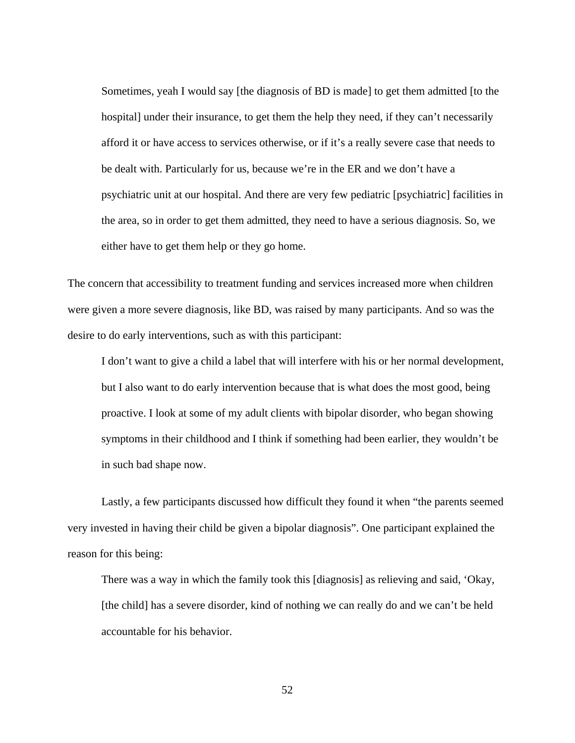Sometimes, yeah I would say [the diagnosis of BD is made] to get them admitted [to the hospital] under their insurance, to get them the help they need, if they can't necessarily afford it or have access to services otherwise, or if it's a really severe case that needs to be dealt with. Particularly for us, because we're in the ER and we don't have a psychiatric unit at our hospital. And there are very few pediatric [psychiatric] facilities in the area, so in order to get them admitted, they need to have a serious diagnosis. So, we either have to get them help or they go home.

The concern that accessibility to treatment funding and services increased more when children were given a more severe diagnosis, like BD, was raised by many participants. And so was the desire to do early interventions, such as with this participant:

I don't want to give a child a label that will interfere with his or her normal development, but I also want to do early intervention because that is what does the most good, being proactive. I look at some of my adult clients with bipolar disorder, who began showing symptoms in their childhood and I think if something had been earlier, they wouldn't be in such bad shape now.

Lastly, a few participants discussed how difficult they found it when "the parents seemed very invested in having their child be given a bipolar diagnosis". One participant explained the reason for this being:

There was a way in which the family took this [diagnosis] as relieving and said, 'Okay, [the child] has a severe disorder, kind of nothing we can really do and we can't be held accountable for his behavior.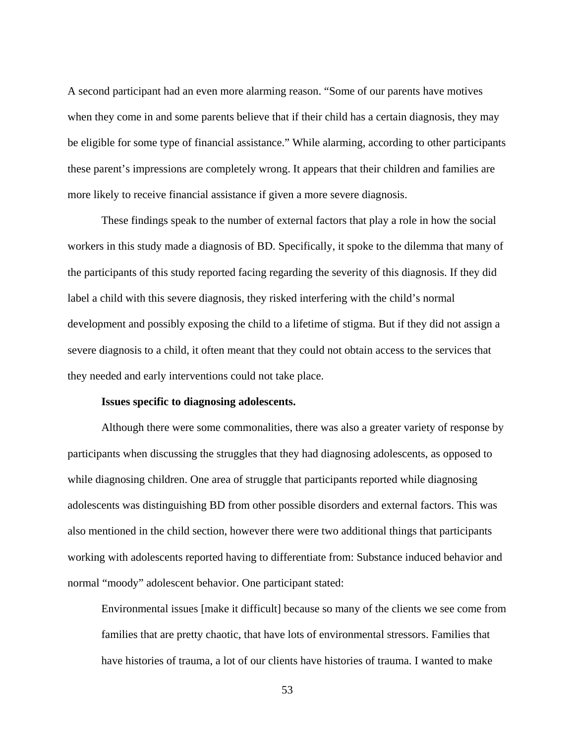A second participant had an even more alarming reason. "Some of our parents have motives when they come in and some parents believe that if their child has a certain diagnosis, they may be eligible for some type of financial assistance." While alarming, according to other participants these parent's impressions are completely wrong. It appears that their children and families are more likely to receive financial assistance if given a more severe diagnosis.

These findings speak to the number of external factors that play a role in how the social workers in this study made a diagnosis of BD. Specifically, it spoke to the dilemma that many of the participants of this study reported facing regarding the severity of this diagnosis. If they did label a child with this severe diagnosis, they risked interfering with the child's normal development and possibly exposing the child to a lifetime of stigma. But if they did not assign a severe diagnosis to a child, it often meant that they could not obtain access to the services that they needed and early interventions could not take place.

## **Issues specific to diagnosing adolescents.**

Although there were some commonalities, there was also a greater variety of response by participants when discussing the struggles that they had diagnosing adolescents, as opposed to while diagnosing children. One area of struggle that participants reported while diagnosing adolescents was distinguishing BD from other possible disorders and external factors. This was also mentioned in the child section, however there were two additional things that participants working with adolescents reported having to differentiate from: Substance induced behavior and normal "moody" adolescent behavior. One participant stated:

Environmental issues [make it difficult] because so many of the clients we see come from families that are pretty chaotic, that have lots of environmental stressors. Families that have histories of trauma, a lot of our clients have histories of trauma. I wanted to make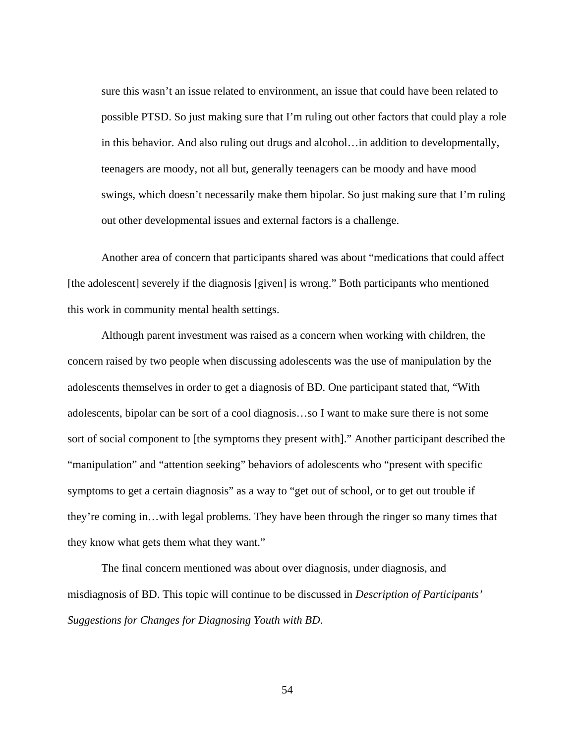sure this wasn't an issue related to environment, an issue that could have been related to possible PTSD. So just making sure that I'm ruling out other factors that could play a role in this behavior. And also ruling out drugs and alcohol…in addition to developmentally, teenagers are moody, not all but, generally teenagers can be moody and have mood swings, which doesn't necessarily make them bipolar. So just making sure that I'm ruling out other developmental issues and external factors is a challenge.

Another area of concern that participants shared was about "medications that could affect [the adolescent] severely if the diagnosis [given] is wrong." Both participants who mentioned this work in community mental health settings.

Although parent investment was raised as a concern when working with children, the concern raised by two people when discussing adolescents was the use of manipulation by the adolescents themselves in order to get a diagnosis of BD. One participant stated that, "With adolescents, bipolar can be sort of a cool diagnosis…so I want to make sure there is not some sort of social component to [the symptoms they present with]." Another participant described the "manipulation" and "attention seeking" behaviors of adolescents who "present with specific symptoms to get a certain diagnosis" as a way to "get out of school, or to get out trouble if they're coming in…with legal problems. They have been through the ringer so many times that they know what gets them what they want."

The final concern mentioned was about over diagnosis, under diagnosis, and misdiagnosis of BD. This topic will continue to be discussed in *Description of Participants' Suggestions for Changes for Diagnosing Youth with BD*.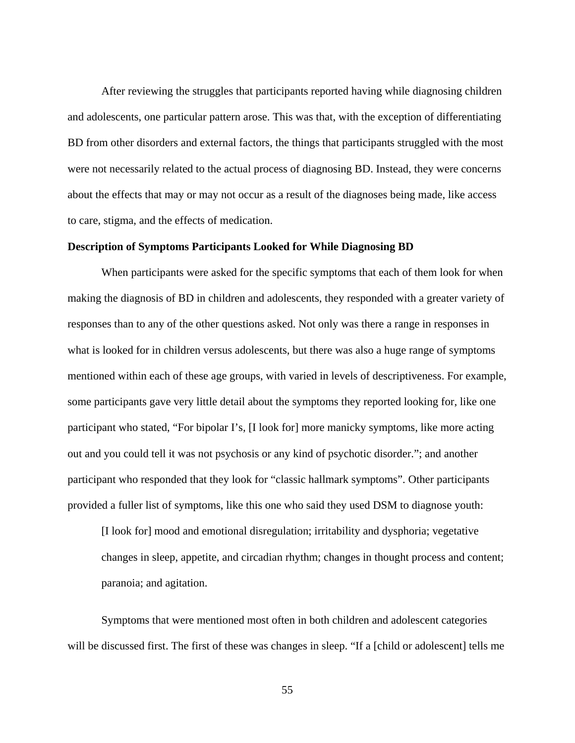After reviewing the struggles that participants reported having while diagnosing children and adolescents, one particular pattern arose. This was that, with the exception of differentiating BD from other disorders and external factors, the things that participants struggled with the most were not necessarily related to the actual process of diagnosing BD. Instead, they were concerns about the effects that may or may not occur as a result of the diagnoses being made, like access to care, stigma, and the effects of medication.

## **Description of Symptoms Participants Looked for While Diagnosing BD**

When participants were asked for the specific symptoms that each of them look for when making the diagnosis of BD in children and adolescents, they responded with a greater variety of responses than to any of the other questions asked. Not only was there a range in responses in what is looked for in children versus adolescents, but there was also a huge range of symptoms mentioned within each of these age groups, with varied in levels of descriptiveness. For example, some participants gave very little detail about the symptoms they reported looking for, like one participant who stated, "For bipolar I's, [I look for] more manicky symptoms, like more acting out and you could tell it was not psychosis or any kind of psychotic disorder."; and another participant who responded that they look for "classic hallmark symptoms". Other participants provided a fuller list of symptoms, like this one who said they used DSM to diagnose youth:

[I look for] mood and emotional disregulation; irritability and dysphoria; vegetative changes in sleep, appetite, and circadian rhythm; changes in thought process and content; paranoia; and agitation.

Symptoms that were mentioned most often in both children and adolescent categories will be discussed first. The first of these was changes in sleep. "If a [child or adolescent] tells me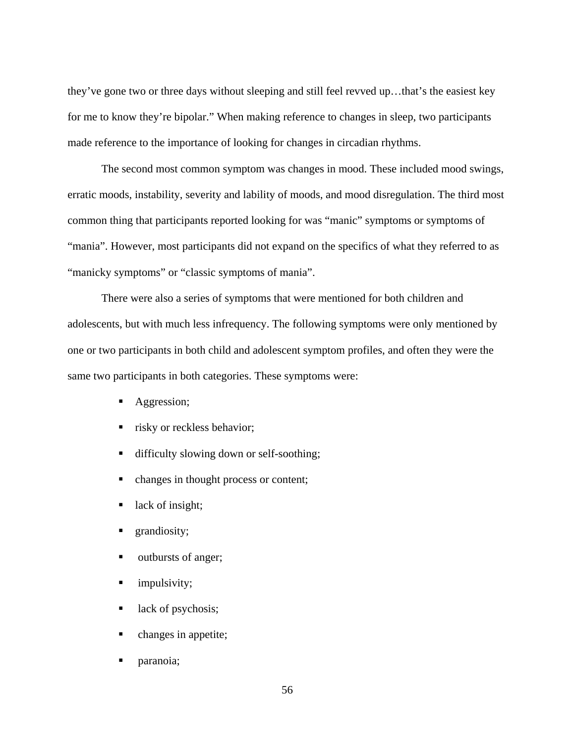they've gone two or three days without sleeping and still feel revved up…that's the easiest key for me to know they're bipolar." When making reference to changes in sleep, two participants made reference to the importance of looking for changes in circadian rhythms.

The second most common symptom was changes in mood. These included mood swings, erratic moods, instability, severity and lability of moods, and mood disregulation. The third most common thing that participants reported looking for was "manic" symptoms or symptoms of "mania". However, most participants did not expand on the specifics of what they referred to as "manicky symptoms" or "classic symptoms of mania".

There were also a series of symptoms that were mentioned for both children and adolescents, but with much less infrequency. The following symptoms were only mentioned by one or two participants in both child and adolescent symptom profiles, and often they were the same two participants in both categories. These symptoms were:

- Aggression;
- risky or reckless behavior;
- difficulty slowing down or self-soothing;
- changes in thought process or content;
- lack of insight;
- **grandiosity**;
- outbursts of anger;
- **I** impulsivity;
- lack of psychosis;
- changes in appetite;
- paranoia;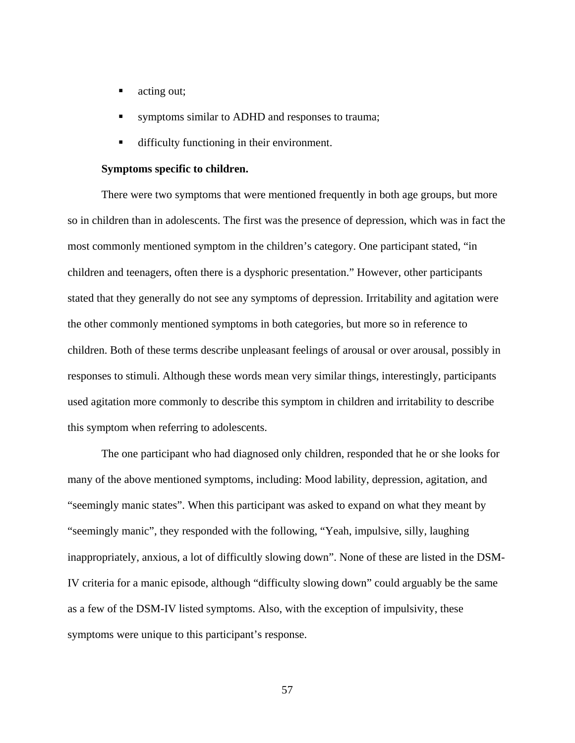- acting out;
- symptoms similar to ADHD and responses to trauma;
- difficulty functioning in their environment.

### **Symptoms specific to children.**

There were two symptoms that were mentioned frequently in both age groups, but more so in children than in adolescents. The first was the presence of depression, which was in fact the most commonly mentioned symptom in the children's category. One participant stated, "in children and teenagers, often there is a dysphoric presentation." However, other participants stated that they generally do not see any symptoms of depression. Irritability and agitation were the other commonly mentioned symptoms in both categories, but more so in reference to children. Both of these terms describe unpleasant feelings of arousal or over arousal, possibly in responses to stimuli. Although these words mean very similar things, interestingly, participants used agitation more commonly to describe this symptom in children and irritability to describe this symptom when referring to adolescents.

The one participant who had diagnosed only children, responded that he or she looks for many of the above mentioned symptoms, including: Mood lability, depression, agitation, and "seemingly manic states". When this participant was asked to expand on what they meant by "seemingly manic", they responded with the following, "Yeah, impulsive, silly, laughing inappropriately, anxious, a lot of difficultly slowing down". None of these are listed in the DSM-IV criteria for a manic episode, although "difficulty slowing down" could arguably be the same as a few of the DSM-IV listed symptoms. Also, with the exception of impulsivity, these symptoms were unique to this participant's response.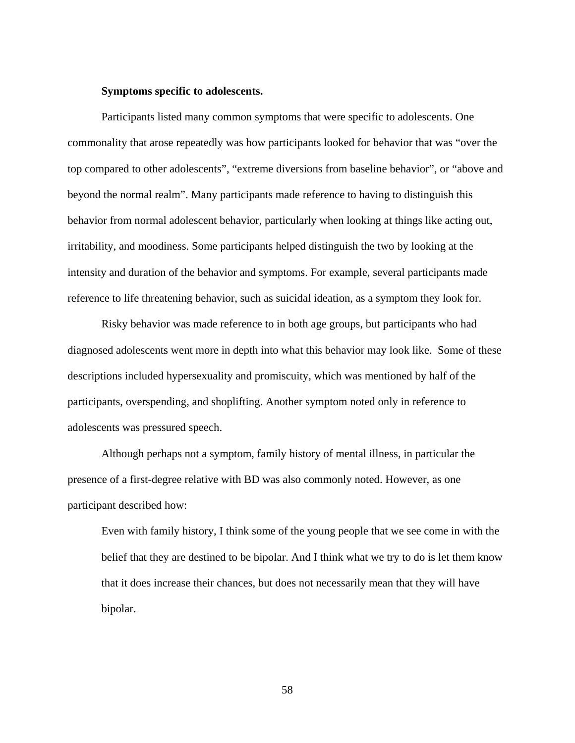### **Symptoms specific to adolescents.**

Participants listed many common symptoms that were specific to adolescents. One commonality that arose repeatedly was how participants looked for behavior that was "over the top compared to other adolescents", "extreme diversions from baseline behavior", or "above and beyond the normal realm". Many participants made reference to having to distinguish this behavior from normal adolescent behavior, particularly when looking at things like acting out, irritability, and moodiness. Some participants helped distinguish the two by looking at the intensity and duration of the behavior and symptoms. For example, several participants made reference to life threatening behavior, such as suicidal ideation, as a symptom they look for.

Risky behavior was made reference to in both age groups, but participants who had diagnosed adolescents went more in depth into what this behavior may look like. Some of these descriptions included hypersexuality and promiscuity, which was mentioned by half of the participants, overspending, and shoplifting. Another symptom noted only in reference to adolescents was pressured speech.

Although perhaps not a symptom, family history of mental illness, in particular the presence of a first-degree relative with BD was also commonly noted. However, as one participant described how:

Even with family history, I think some of the young people that we see come in with the belief that they are destined to be bipolar. And I think what we try to do is let them know that it does increase their chances, but does not necessarily mean that they will have bipolar.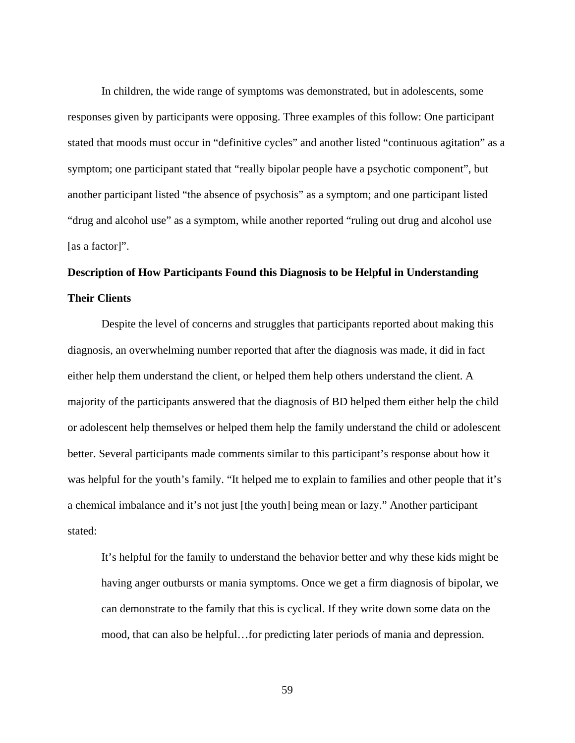In children, the wide range of symptoms was demonstrated, but in adolescents, some responses given by participants were opposing. Three examples of this follow: One participant stated that moods must occur in "definitive cycles" and another listed "continuous agitation" as a symptom; one participant stated that "really bipolar people have a psychotic component", but another participant listed "the absence of psychosis" as a symptom; and one participant listed "drug and alcohol use" as a symptom, while another reported "ruling out drug and alcohol use [as a factor]".

# **Description of How Participants Found this Diagnosis to be Helpful in Understanding Their Clients**

Despite the level of concerns and struggles that participants reported about making this diagnosis, an overwhelming number reported that after the diagnosis was made, it did in fact either help them understand the client, or helped them help others understand the client. A majority of the participants answered that the diagnosis of BD helped them either help the child or adolescent help themselves or helped them help the family understand the child or adolescent better. Several participants made comments similar to this participant's response about how it was helpful for the youth's family. "It helped me to explain to families and other people that it's a chemical imbalance and it's not just [the youth] being mean or lazy." Another participant stated:

It's helpful for the family to understand the behavior better and why these kids might be having anger outbursts or mania symptoms. Once we get a firm diagnosis of bipolar, we can demonstrate to the family that this is cyclical. If they write down some data on the mood, that can also be helpful…for predicting later periods of mania and depression.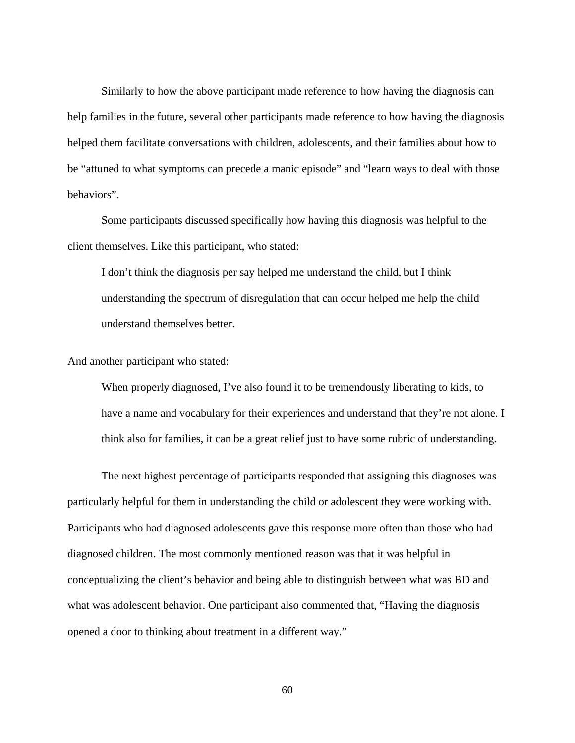Similarly to how the above participant made reference to how having the diagnosis can help families in the future, several other participants made reference to how having the diagnosis helped them facilitate conversations with children, adolescents, and their families about how to be "attuned to what symptoms can precede a manic episode" and "learn ways to deal with those behaviors".

Some participants discussed specifically how having this diagnosis was helpful to the client themselves. Like this participant, who stated:

I don't think the diagnosis per say helped me understand the child, but I think understanding the spectrum of disregulation that can occur helped me help the child understand themselves better.

And another participant who stated:

When properly diagnosed, I've also found it to be tremendously liberating to kids, to have a name and vocabulary for their experiences and understand that they're not alone. I think also for families, it can be a great relief just to have some rubric of understanding.

The next highest percentage of participants responded that assigning this diagnoses was particularly helpful for them in understanding the child or adolescent they were working with. Participants who had diagnosed adolescents gave this response more often than those who had diagnosed children. The most commonly mentioned reason was that it was helpful in conceptualizing the client's behavior and being able to distinguish between what was BD and what was adolescent behavior. One participant also commented that, "Having the diagnosis opened a door to thinking about treatment in a different way."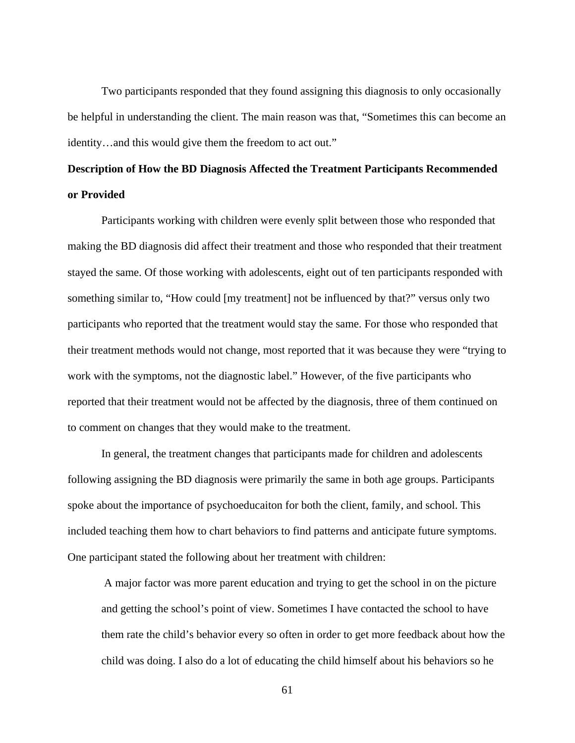Two participants responded that they found assigning this diagnosis to only occasionally be helpful in understanding the client. The main reason was that, "Sometimes this can become an identity…and this would give them the freedom to act out."

# **Description of How the BD Diagnosis Affected the Treatment Participants Recommended or Provided**

Participants working with children were evenly split between those who responded that making the BD diagnosis did affect their treatment and those who responded that their treatment stayed the same. Of those working with adolescents, eight out of ten participants responded with something similar to, "How could [my treatment] not be influenced by that?" versus only two participants who reported that the treatment would stay the same. For those who responded that their treatment methods would not change, most reported that it was because they were "trying to work with the symptoms, not the diagnostic label." However, of the five participants who reported that their treatment would not be affected by the diagnosis, three of them continued on to comment on changes that they would make to the treatment.

In general, the treatment changes that participants made for children and adolescents following assigning the BD diagnosis were primarily the same in both age groups. Participants spoke about the importance of psychoeducaiton for both the client, family, and school. This included teaching them how to chart behaviors to find patterns and anticipate future symptoms. One participant stated the following about her treatment with children:

 A major factor was more parent education and trying to get the school in on the picture and getting the school's point of view. Sometimes I have contacted the school to have them rate the child's behavior every so often in order to get more feedback about how the child was doing. I also do a lot of educating the child himself about his behaviors so he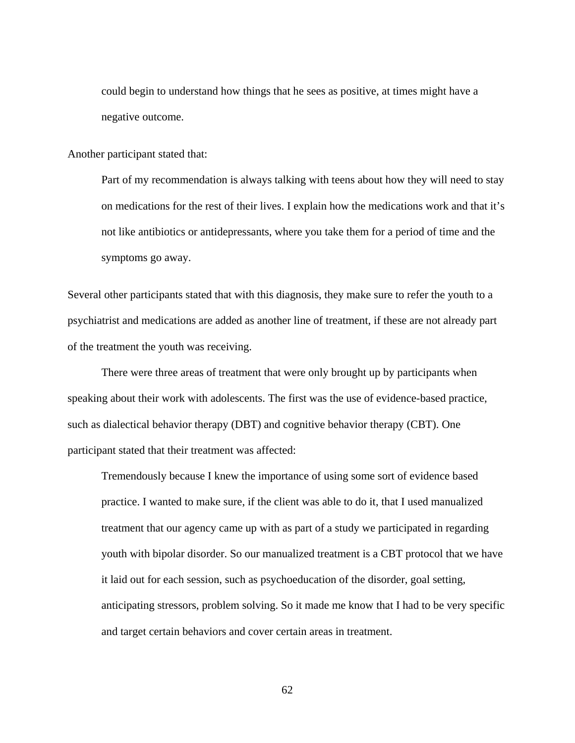could begin to understand how things that he sees as positive, at times might have a negative outcome.

Another participant stated that:

Part of my recommendation is always talking with teens about how they will need to stay on medications for the rest of their lives. I explain how the medications work and that it's not like antibiotics or antidepressants, where you take them for a period of time and the symptoms go away.

Several other participants stated that with this diagnosis, they make sure to refer the youth to a psychiatrist and medications are added as another line of treatment, if these are not already part of the treatment the youth was receiving.

There were three areas of treatment that were only brought up by participants when speaking about their work with adolescents. The first was the use of evidence-based practice, such as dialectical behavior therapy (DBT) and cognitive behavior therapy (CBT). One participant stated that their treatment was affected:

Tremendously because I knew the importance of using some sort of evidence based practice. I wanted to make sure, if the client was able to do it, that I used manualized treatment that our agency came up with as part of a study we participated in regarding youth with bipolar disorder. So our manualized treatment is a CBT protocol that we have it laid out for each session, such as psychoeducation of the disorder, goal setting, anticipating stressors, problem solving. So it made me know that I had to be very specific and target certain behaviors and cover certain areas in treatment.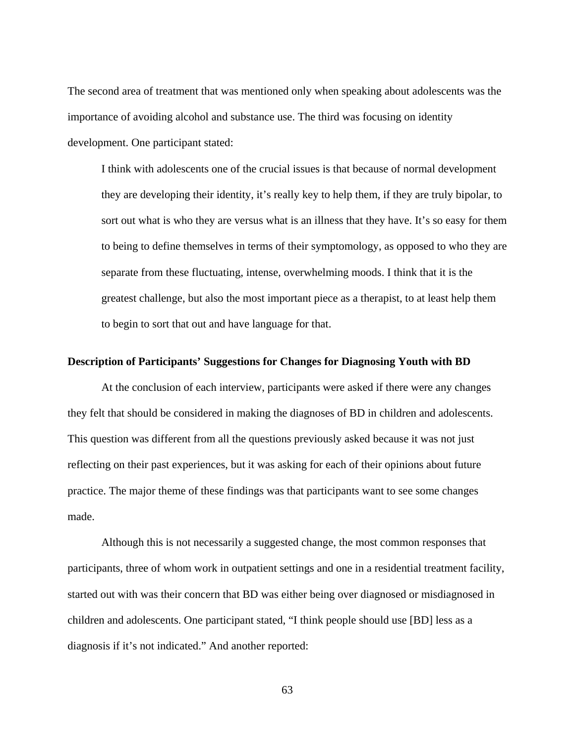The second area of treatment that was mentioned only when speaking about adolescents was the importance of avoiding alcohol and substance use. The third was focusing on identity development. One participant stated:

I think with adolescents one of the crucial issues is that because of normal development they are developing their identity, it's really key to help them, if they are truly bipolar, to sort out what is who they are versus what is an illness that they have. It's so easy for them to being to define themselves in terms of their symptomology, as opposed to who they are separate from these fluctuating, intense, overwhelming moods. I think that it is the greatest challenge, but also the most important piece as a therapist, to at least help them to begin to sort that out and have language for that.

## **Description of Participants' Suggestions for Changes for Diagnosing Youth with BD**

At the conclusion of each interview, participants were asked if there were any changes they felt that should be considered in making the diagnoses of BD in children and adolescents. This question was different from all the questions previously asked because it was not just reflecting on their past experiences, but it was asking for each of their opinions about future practice. The major theme of these findings was that participants want to see some changes made.

Although this is not necessarily a suggested change, the most common responses that participants, three of whom work in outpatient settings and one in a residential treatment facility, started out with was their concern that BD was either being over diagnosed or misdiagnosed in children and adolescents. One participant stated, "I think people should use [BD] less as a diagnosis if it's not indicated." And another reported: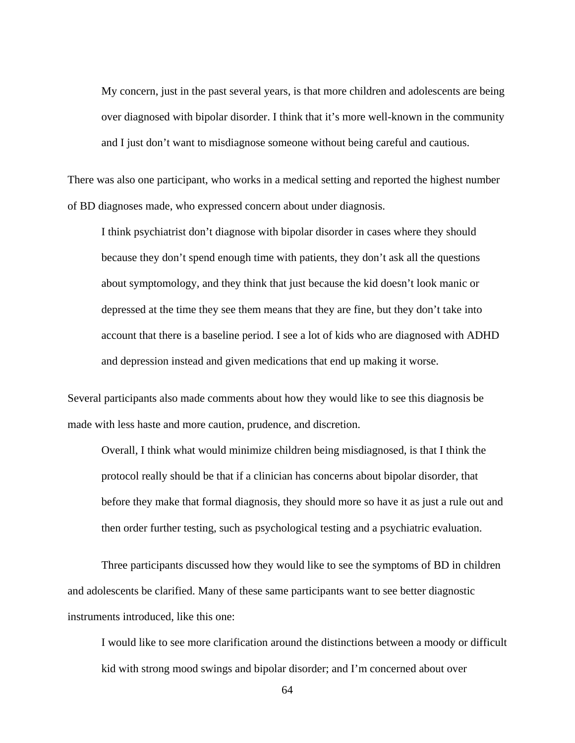My concern, just in the past several years, is that more children and adolescents are being over diagnosed with bipolar disorder. I think that it's more well-known in the community and I just don't want to misdiagnose someone without being careful and cautious.

There was also one participant, who works in a medical setting and reported the highest number of BD diagnoses made, who expressed concern about under diagnosis.

I think psychiatrist don't diagnose with bipolar disorder in cases where they should because they don't spend enough time with patients, they don't ask all the questions about symptomology, and they think that just because the kid doesn't look manic or depressed at the time they see them means that they are fine, but they don't take into account that there is a baseline period. I see a lot of kids who are diagnosed with ADHD and depression instead and given medications that end up making it worse.

Several participants also made comments about how they would like to see this diagnosis be made with less haste and more caution, prudence, and discretion.

Overall, I think what would minimize children being misdiagnosed, is that I think the protocol really should be that if a clinician has concerns about bipolar disorder, that before they make that formal diagnosis, they should more so have it as just a rule out and then order further testing, such as psychological testing and a psychiatric evaluation.

Three participants discussed how they would like to see the symptoms of BD in children and adolescents be clarified. Many of these same participants want to see better diagnostic instruments introduced, like this one:

I would like to see more clarification around the distinctions between a moody or difficult kid with strong mood swings and bipolar disorder; and I'm concerned about over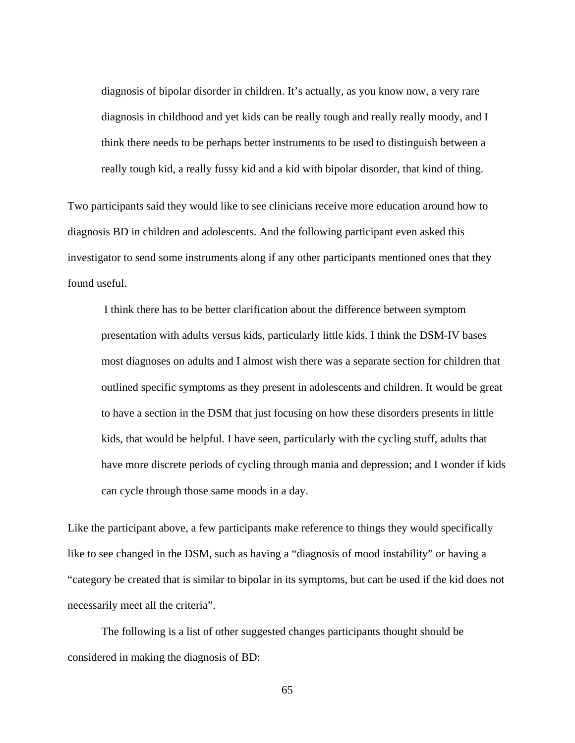diagnosis of bipolar disorder in children. It's actually, as you know now, a very rare diagnosis in childhood and yet kids can be really tough and really really moody, and I think there needs to be perhaps better instruments to be used to distinguish between a really tough kid, a really fussy kid and a kid with bipolar disorder, that kind of thing.

Two participants said they would like to see clinicians receive more education around how to diagnosis BD in children and adolescents. And the following participant even asked this investigator to send some instruments along if any other participants mentioned ones that they found useful.

 I think there has to be better clarification about the difference between symptom presentation with adults versus kids, particularly little kids. I think the DSM-IV bases most diagnoses on adults and I almost wish there was a separate section for children that outlined specific symptoms as they present in adolescents and children. It would be great to have a section in the DSM that just focusing on how these disorders presents in little kids, that would be helpful. I have seen, particularly with the cycling stuff, adults that have more discrete periods of cycling through mania and depression; and I wonder if kids can cycle through those same moods in a day.

Like the participant above, a few participants make reference to things they would specifically like to see changed in the DSM, such as having a "diagnosis of mood instability" or having a "category be created that is similar to bipolar in its symptoms, but can be used if the kid does not necessarily meet all the criteria".

The following is a list of other suggested changes participants thought should be considered in making the diagnosis of BD: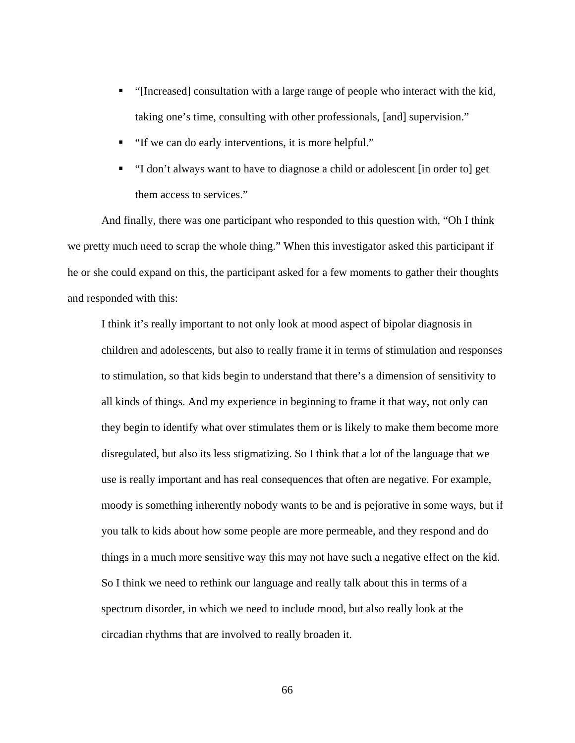- "[Increased] consultation with a large range of people who interact with the kid, taking one's time, consulting with other professionals, [and] supervision."
- "If we can do early interventions, it is more helpful."
- "I don't always want to have to diagnose a child or adolescent [in order to] get them access to services."

And finally, there was one participant who responded to this question with, "Oh I think we pretty much need to scrap the whole thing." When this investigator asked this participant if he or she could expand on this, the participant asked for a few moments to gather their thoughts and responded with this:

I think it's really important to not only look at mood aspect of bipolar diagnosis in children and adolescents, but also to really frame it in terms of stimulation and responses to stimulation, so that kids begin to understand that there's a dimension of sensitivity to all kinds of things. And my experience in beginning to frame it that way, not only can they begin to identify what over stimulates them or is likely to make them become more disregulated, but also its less stigmatizing. So I think that a lot of the language that we use is really important and has real consequences that often are negative. For example, moody is something inherently nobody wants to be and is pejorative in some ways, but if you talk to kids about how some people are more permeable, and they respond and do things in a much more sensitive way this may not have such a negative effect on the kid. So I think we need to rethink our language and really talk about this in terms of a spectrum disorder, in which we need to include mood, but also really look at the circadian rhythms that are involved to really broaden it.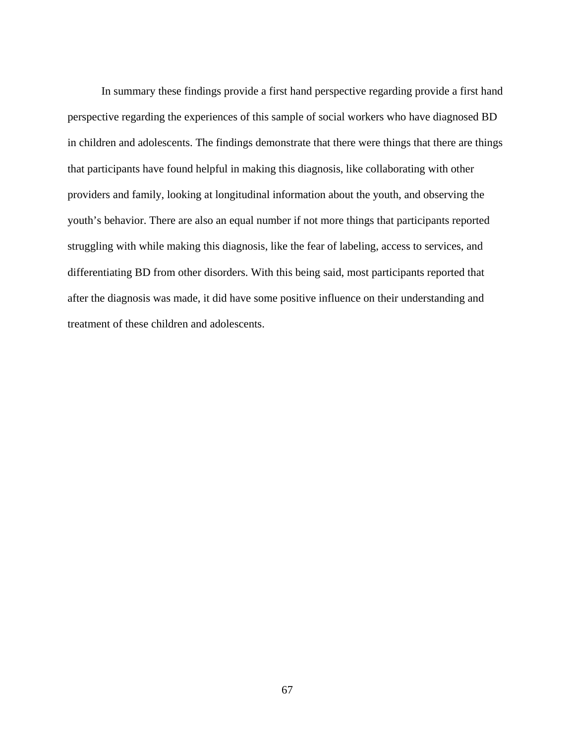In summary these findings provide a first hand perspective regarding provide a first hand perspective regarding the experiences of this sample of social workers who have diagnosed BD in children and adolescents. The findings demonstrate that there were things that there are things that participants have found helpful in making this diagnosis, like collaborating with other providers and family, looking at longitudinal information about the youth, and observing the youth's behavior. There are also an equal number if not more things that participants reported struggling with while making this diagnosis, like the fear of labeling, access to services, and differentiating BD from other disorders. With this being said, most participants reported that after the diagnosis was made, it did have some positive influence on their understanding and treatment of these children and adolescents.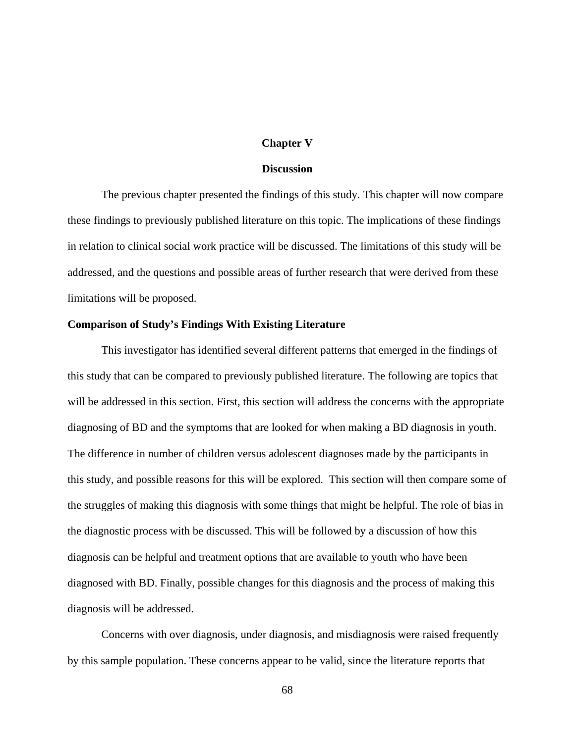#### **Chapter V**

#### **Discussion**

The previous chapter presented the findings of this study. This chapter will now compare these findings to previously published literature on this topic. The implications of these findings in relation to clinical social work practice will be discussed. The limitations of this study will be addressed, and the questions and possible areas of further research that were derived from these limitations will be proposed.

#### **Comparison of Study's Findings With Existing Literature**

This investigator has identified several different patterns that emerged in the findings of this study that can be compared to previously published literature. The following are topics that will be addressed in this section. First, this section will address the concerns with the appropriate diagnosing of BD and the symptoms that are looked for when making a BD diagnosis in youth. The difference in number of children versus adolescent diagnoses made by the participants in this study, and possible reasons for this will be explored. This section will then compare some of the struggles of making this diagnosis with some things that might be helpful. The role of bias in the diagnostic process with be discussed. This will be followed by a discussion of how this diagnosis can be helpful and treatment options that are available to youth who have been diagnosed with BD. Finally, possible changes for this diagnosis and the process of making this diagnosis will be addressed.

Concerns with over diagnosis, under diagnosis, and misdiagnosis were raised frequently by this sample population. These concerns appear to be valid, since the literature reports that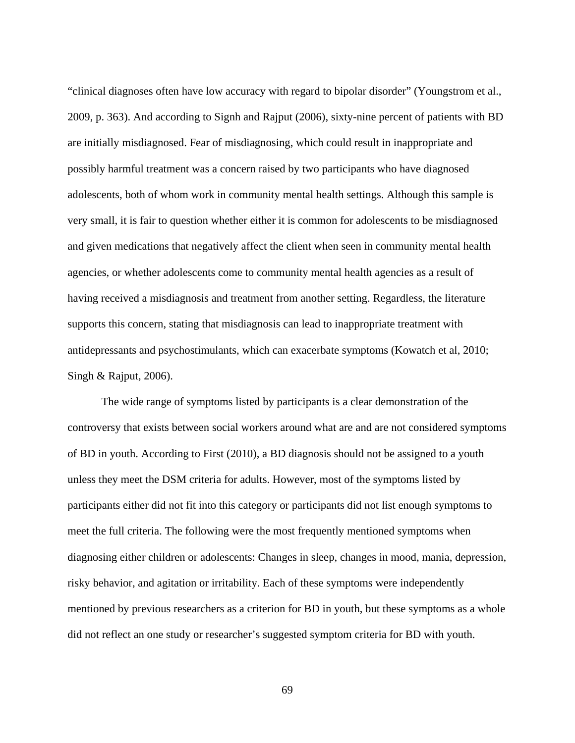"clinical diagnoses often have low accuracy with regard to bipolar disorder" (Youngstrom et al., 2009, p. 363). And according to Signh and Rajput (2006), sixty-nine percent of patients with BD are initially misdiagnosed. Fear of misdiagnosing, which could result in inappropriate and possibly harmful treatment was a concern raised by two participants who have diagnosed adolescents, both of whom work in community mental health settings. Although this sample is very small, it is fair to question whether either it is common for adolescents to be misdiagnosed and given medications that negatively affect the client when seen in community mental health agencies, or whether adolescents come to community mental health agencies as a result of having received a misdiagnosis and treatment from another setting. Regardless, the literature supports this concern, stating that misdiagnosis can lead to inappropriate treatment with antidepressants and psychostimulants, which can exacerbate symptoms (Kowatch et al, 2010; Singh & Rajput, 2006).

The wide range of symptoms listed by participants is a clear demonstration of the controversy that exists between social workers around what are and are not considered symptoms of BD in youth. According to First (2010), a BD diagnosis should not be assigned to a youth unless they meet the DSM criteria for adults. However, most of the symptoms listed by participants either did not fit into this category or participants did not list enough symptoms to meet the full criteria. The following were the most frequently mentioned symptoms when diagnosing either children or adolescents: Changes in sleep, changes in mood, mania, depression, risky behavior, and agitation or irritability. Each of these symptoms were independently mentioned by previous researchers as a criterion for BD in youth, but these symptoms as a whole did not reflect an one study or researcher's suggested symptom criteria for BD with youth.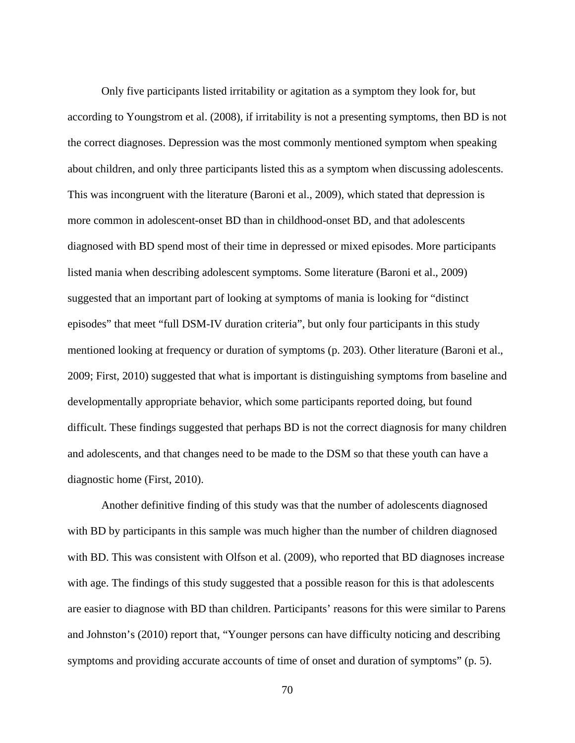Only five participants listed irritability or agitation as a symptom they look for, but according to Youngstrom et al. (2008), if irritability is not a presenting symptoms, then BD is not the correct diagnoses. Depression was the most commonly mentioned symptom when speaking about children, and only three participants listed this as a symptom when discussing adolescents. This was incongruent with the literature (Baroni et al., 2009), which stated that depression is more common in adolescent-onset BD than in childhood-onset BD, and that adolescents diagnosed with BD spend most of their time in depressed or mixed episodes. More participants listed mania when describing adolescent symptoms. Some literature (Baroni et al., 2009) suggested that an important part of looking at symptoms of mania is looking for "distinct episodes" that meet "full DSM-IV duration criteria", but only four participants in this study mentioned looking at frequency or duration of symptoms (p. 203). Other literature (Baroni et al., 2009; First, 2010) suggested that what is important is distinguishing symptoms from baseline and developmentally appropriate behavior, which some participants reported doing, but found difficult. These findings suggested that perhaps BD is not the correct diagnosis for many children and adolescents, and that changes need to be made to the DSM so that these youth can have a diagnostic home (First, 2010).

Another definitive finding of this study was that the number of adolescents diagnosed with BD by participants in this sample was much higher than the number of children diagnosed with BD. This was consistent with Olfson et al. (2009), who reported that BD diagnoses increase with age. The findings of this study suggested that a possible reason for this is that adolescents are easier to diagnose with BD than children. Participants' reasons for this were similar to Parens and Johnston's (2010) report that, "Younger persons can have difficulty noticing and describing symptoms and providing accurate accounts of time of onset and duration of symptoms" (p. 5).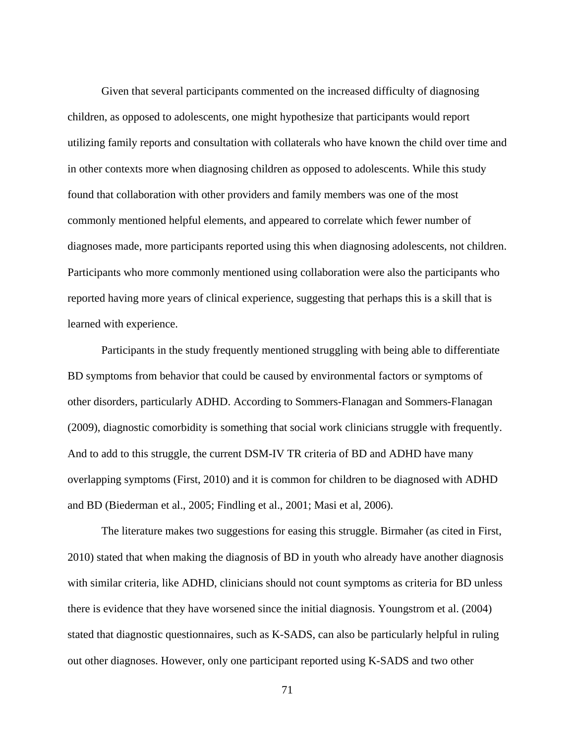Given that several participants commented on the increased difficulty of diagnosing children, as opposed to adolescents, one might hypothesize that participants would report utilizing family reports and consultation with collaterals who have known the child over time and in other contexts more when diagnosing children as opposed to adolescents. While this study found that collaboration with other providers and family members was one of the most commonly mentioned helpful elements, and appeared to correlate which fewer number of diagnoses made, more participants reported using this when diagnosing adolescents, not children. Participants who more commonly mentioned using collaboration were also the participants who reported having more years of clinical experience, suggesting that perhaps this is a skill that is learned with experience.

Participants in the study frequently mentioned struggling with being able to differentiate BD symptoms from behavior that could be caused by environmental factors or symptoms of other disorders, particularly ADHD. According to Sommers-Flanagan and Sommers-Flanagan (2009), diagnostic comorbidity is something that social work clinicians struggle with frequently. And to add to this struggle, the current DSM-IV TR criteria of BD and ADHD have many overlapping symptoms (First, 2010) and it is common for children to be diagnosed with ADHD and BD (Biederman et al., 2005; Findling et al., 2001; Masi et al, 2006).

The literature makes two suggestions for easing this struggle. Birmaher (as cited in First, 2010) stated that when making the diagnosis of BD in youth who already have another diagnosis with similar criteria, like ADHD, clinicians should not count symptoms as criteria for BD unless there is evidence that they have worsened since the initial diagnosis. Youngstrom et al. (2004) stated that diagnostic questionnaires, such as K-SADS, can also be particularly helpful in ruling out other diagnoses. However, only one participant reported using K-SADS and two other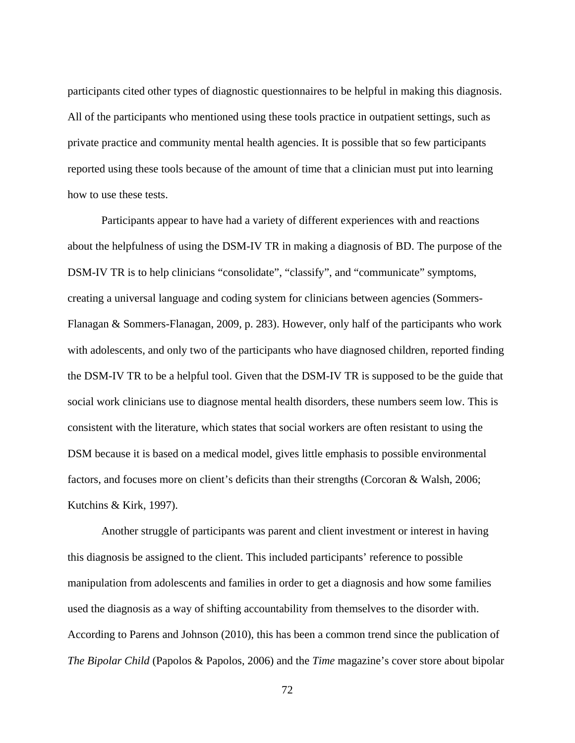participants cited other types of diagnostic questionnaires to be helpful in making this diagnosis. All of the participants who mentioned using these tools practice in outpatient settings, such as private practice and community mental health agencies. It is possible that so few participants reported using these tools because of the amount of time that a clinician must put into learning how to use these tests.

Participants appear to have had a variety of different experiences with and reactions about the helpfulness of using the DSM-IV TR in making a diagnosis of BD. The purpose of the DSM-IV TR is to help clinicians "consolidate", "classify", and "communicate" symptoms, creating a universal language and coding system for clinicians between agencies (Sommers-Flanagan & Sommers-Flanagan, 2009, p. 283). However, only half of the participants who work with adolescents, and only two of the participants who have diagnosed children, reported finding the DSM-IV TR to be a helpful tool. Given that the DSM-IV TR is supposed to be the guide that social work clinicians use to diagnose mental health disorders, these numbers seem low. This is consistent with the literature, which states that social workers are often resistant to using the DSM because it is based on a medical model, gives little emphasis to possible environmental factors, and focuses more on client's deficits than their strengths (Corcoran & Walsh, 2006; Kutchins & Kirk, 1997).

Another struggle of participants was parent and client investment or interest in having this diagnosis be assigned to the client. This included participants' reference to possible manipulation from adolescents and families in order to get a diagnosis and how some families used the diagnosis as a way of shifting accountability from themselves to the disorder with. According to Parens and Johnson (2010), this has been a common trend since the publication of *The Bipolar Child* (Papolos & Papolos, 2006) and the *Time* magazine's cover store about bipolar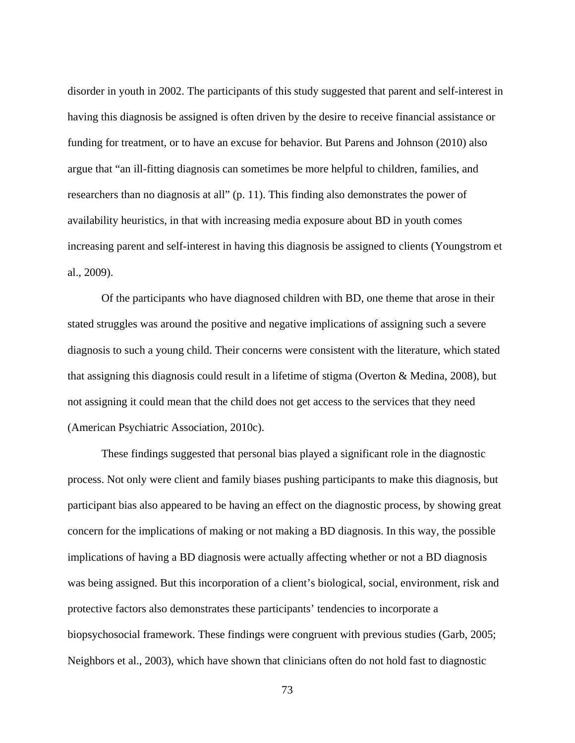disorder in youth in 2002. The participants of this study suggested that parent and self-interest in having this diagnosis be assigned is often driven by the desire to receive financial assistance or funding for treatment, or to have an excuse for behavior. But Parens and Johnson (2010) also argue that "an ill-fitting diagnosis can sometimes be more helpful to children, families, and researchers than no diagnosis at all" (p. 11). This finding also demonstrates the power of availability heuristics, in that with increasing media exposure about BD in youth comes increasing parent and self-interest in having this diagnosis be assigned to clients (Youngstrom et al., 2009).

Of the participants who have diagnosed children with BD, one theme that arose in their stated struggles was around the positive and negative implications of assigning such a severe diagnosis to such a young child. Their concerns were consistent with the literature, which stated that assigning this diagnosis could result in a lifetime of stigma (Overton & Medina, 2008), but not assigning it could mean that the child does not get access to the services that they need (American Psychiatric Association, 2010c).

These findings suggested that personal bias played a significant role in the diagnostic process. Not only were client and family biases pushing participants to make this diagnosis, but participant bias also appeared to be having an effect on the diagnostic process, by showing great concern for the implications of making or not making a BD diagnosis. In this way, the possible implications of having a BD diagnosis were actually affecting whether or not a BD diagnosis was being assigned. But this incorporation of a client's biological, social, environment, risk and protective factors also demonstrates these participants' tendencies to incorporate a biopsychosocial framework. These findings were congruent with previous studies (Garb, 2005; Neighbors et al., 2003), which have shown that clinicians often do not hold fast to diagnostic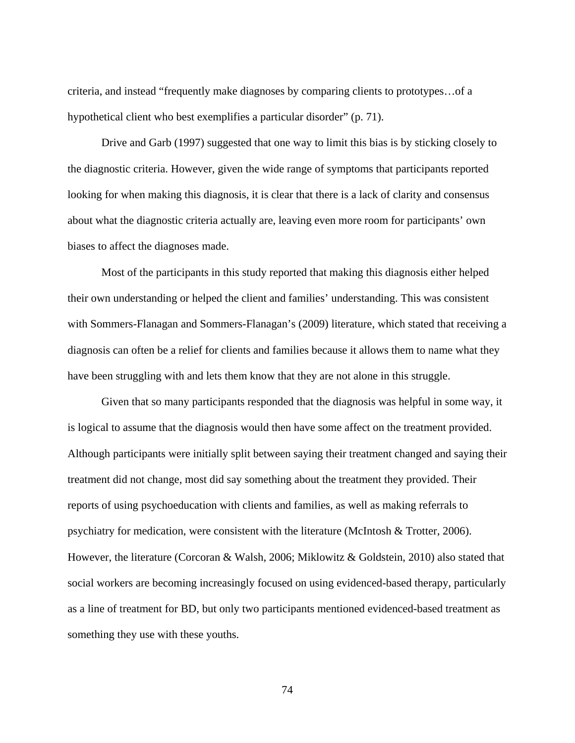criteria, and instead "frequently make diagnoses by comparing clients to prototypes…of a hypothetical client who best exemplifies a particular disorder" (p. 71).

Drive and Garb (1997) suggested that one way to limit this bias is by sticking closely to the diagnostic criteria. However, given the wide range of symptoms that participants reported looking for when making this diagnosis, it is clear that there is a lack of clarity and consensus about what the diagnostic criteria actually are, leaving even more room for participants' own biases to affect the diagnoses made.

Most of the participants in this study reported that making this diagnosis either helped their own understanding or helped the client and families' understanding. This was consistent with Sommers-Flanagan and Sommers-Flanagan's (2009) literature, which stated that receiving a diagnosis can often be a relief for clients and families because it allows them to name what they have been struggling with and lets them know that they are not alone in this struggle.

Given that so many participants responded that the diagnosis was helpful in some way, it is logical to assume that the diagnosis would then have some affect on the treatment provided. Although participants were initially split between saying their treatment changed and saying their treatment did not change, most did say something about the treatment they provided. Their reports of using psychoeducation with clients and families, as well as making referrals to psychiatry for medication, were consistent with the literature (McIntosh & Trotter, 2006). However, the literature (Corcoran & Walsh, 2006; Miklowitz & Goldstein, 2010) also stated that social workers are becoming increasingly focused on using evidenced-based therapy, particularly as a line of treatment for BD, but only two participants mentioned evidenced-based treatment as something they use with these youths.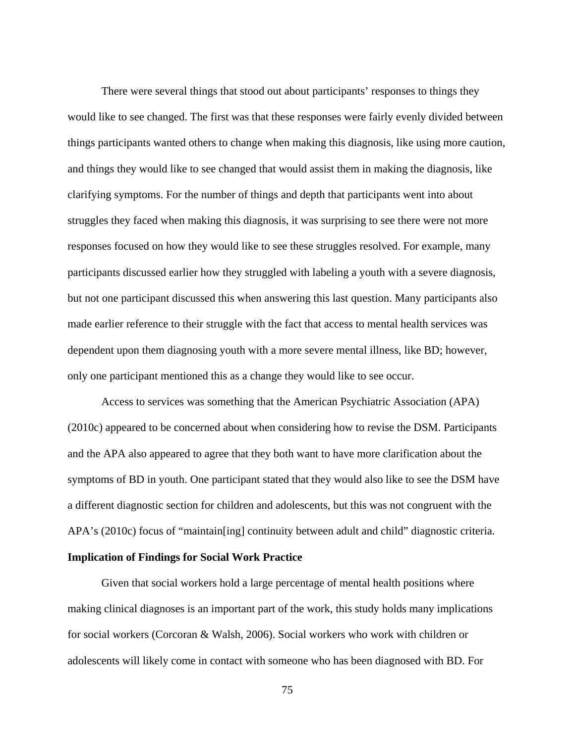There were several things that stood out about participants' responses to things they would like to see changed. The first was that these responses were fairly evenly divided between things participants wanted others to change when making this diagnosis, like using more caution, and things they would like to see changed that would assist them in making the diagnosis, like clarifying symptoms. For the number of things and depth that participants went into about struggles they faced when making this diagnosis, it was surprising to see there were not more responses focused on how they would like to see these struggles resolved. For example, many participants discussed earlier how they struggled with labeling a youth with a severe diagnosis, but not one participant discussed this when answering this last question. Many participants also made earlier reference to their struggle with the fact that access to mental health services was dependent upon them diagnosing youth with a more severe mental illness, like BD; however, only one participant mentioned this as a change they would like to see occur.

Access to services was something that the American Psychiatric Association (APA) (2010c) appeared to be concerned about when considering how to revise the DSM. Participants and the APA also appeared to agree that they both want to have more clarification about the symptoms of BD in youth. One participant stated that they would also like to see the DSM have a different diagnostic section for children and adolescents, but this was not congruent with the APA's (2010c) focus of "maintain[ing] continuity between adult and child" diagnostic criteria.

## **Implication of Findings for Social Work Practice**

Given that social workers hold a large percentage of mental health positions where making clinical diagnoses is an important part of the work, this study holds many implications for social workers (Corcoran & Walsh, 2006). Social workers who work with children or adolescents will likely come in contact with someone who has been diagnosed with BD. For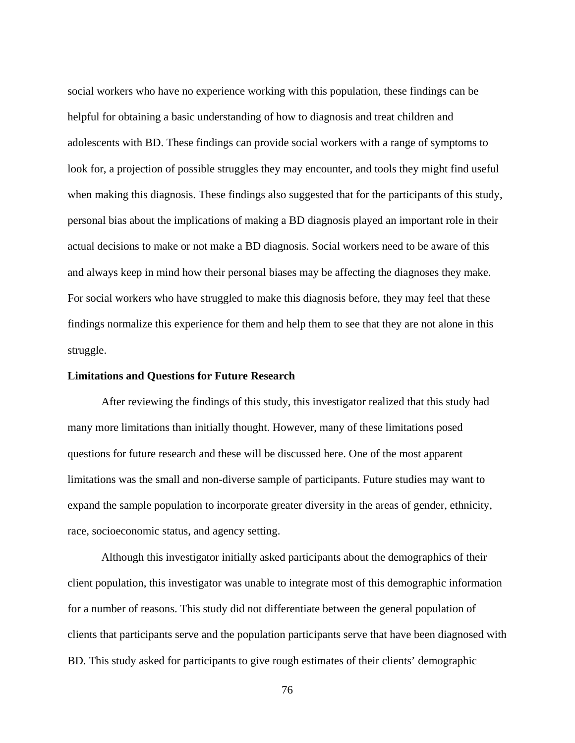social workers who have no experience working with this population, these findings can be helpful for obtaining a basic understanding of how to diagnosis and treat children and adolescents with BD. These findings can provide social workers with a range of symptoms to look for, a projection of possible struggles they may encounter, and tools they might find useful when making this diagnosis. These findings also suggested that for the participants of this study, personal bias about the implications of making a BD diagnosis played an important role in their actual decisions to make or not make a BD diagnosis. Social workers need to be aware of this and always keep in mind how their personal biases may be affecting the diagnoses they make. For social workers who have struggled to make this diagnosis before, they may feel that these findings normalize this experience for them and help them to see that they are not alone in this struggle.

#### **Limitations and Questions for Future Research**

After reviewing the findings of this study, this investigator realized that this study had many more limitations than initially thought. However, many of these limitations posed questions for future research and these will be discussed here. One of the most apparent limitations was the small and non-diverse sample of participants. Future studies may want to expand the sample population to incorporate greater diversity in the areas of gender, ethnicity, race, socioeconomic status, and agency setting.

Although this investigator initially asked participants about the demographics of their client population, this investigator was unable to integrate most of this demographic information for a number of reasons. This study did not differentiate between the general population of clients that participants serve and the population participants serve that have been diagnosed with BD. This study asked for participants to give rough estimates of their clients' demographic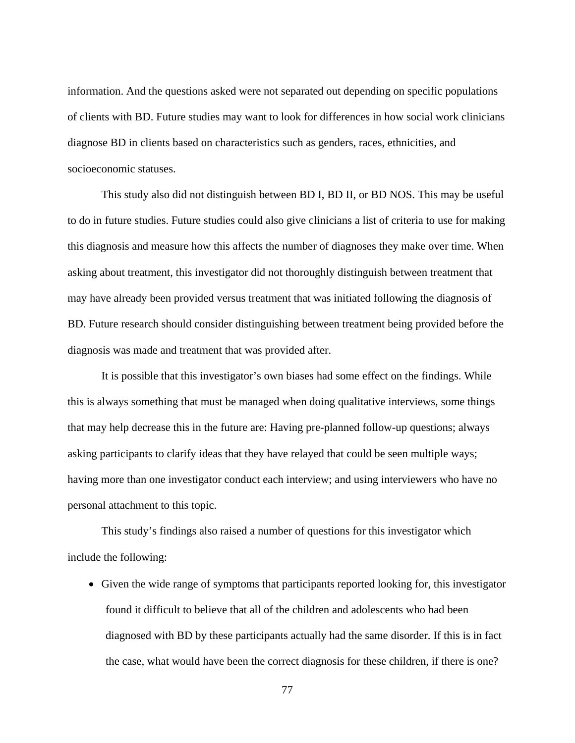information. And the questions asked were not separated out depending on specific populations of clients with BD. Future studies may want to look for differences in how social work clinicians diagnose BD in clients based on characteristics such as genders, races, ethnicities, and socioeconomic statuses.

This study also did not distinguish between BD I, BD II, or BD NOS. This may be useful to do in future studies. Future studies could also give clinicians a list of criteria to use for making this diagnosis and measure how this affects the number of diagnoses they make over time. When asking about treatment, this investigator did not thoroughly distinguish between treatment that may have already been provided versus treatment that was initiated following the diagnosis of BD. Future research should consider distinguishing between treatment being provided before the diagnosis was made and treatment that was provided after.

It is possible that this investigator's own biases had some effect on the findings. While this is always something that must be managed when doing qualitative interviews, some things that may help decrease this in the future are: Having pre-planned follow-up questions; always asking participants to clarify ideas that they have relayed that could be seen multiple ways; having more than one investigator conduct each interview; and using interviewers who have no personal attachment to this topic.

This study's findings also raised a number of questions for this investigator which include the following:

 Given the wide range of symptoms that participants reported looking for, this investigator found it difficult to believe that all of the children and adolescents who had been diagnosed with BD by these participants actually had the same disorder. If this is in fact the case, what would have been the correct diagnosis for these children, if there is one?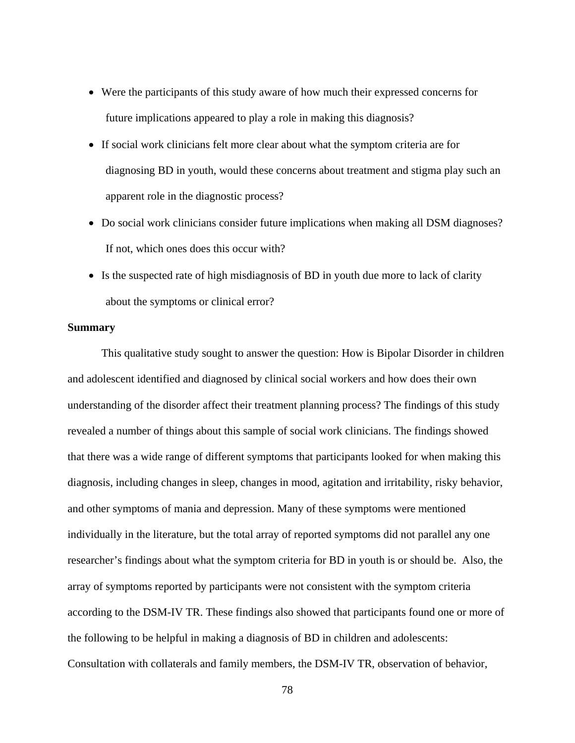- Were the participants of this study aware of how much their expressed concerns for future implications appeared to play a role in making this diagnosis?
- If social work clinicians felt more clear about what the symptom criteria are for diagnosing BD in youth, would these concerns about treatment and stigma play such an apparent role in the diagnostic process?
- Do social work clinicians consider future implications when making all DSM diagnoses? If not, which ones does this occur with?
- Is the suspected rate of high misdiagnosis of BD in youth due more to lack of clarity about the symptoms or clinical error?

#### **Summary**

This qualitative study sought to answer the question: How is Bipolar Disorder in children and adolescent identified and diagnosed by clinical social workers and how does their own understanding of the disorder affect their treatment planning process? The findings of this study revealed a number of things about this sample of social work clinicians. The findings showed that there was a wide range of different symptoms that participants looked for when making this diagnosis, including changes in sleep, changes in mood, agitation and irritability, risky behavior, and other symptoms of mania and depression. Many of these symptoms were mentioned individually in the literature, but the total array of reported symptoms did not parallel any one researcher's findings about what the symptom criteria for BD in youth is or should be. Also, the array of symptoms reported by participants were not consistent with the symptom criteria according to the DSM-IV TR. These findings also showed that participants found one or more of the following to be helpful in making a diagnosis of BD in children and adolescents: Consultation with collaterals and family members, the DSM-IV TR, observation of behavior,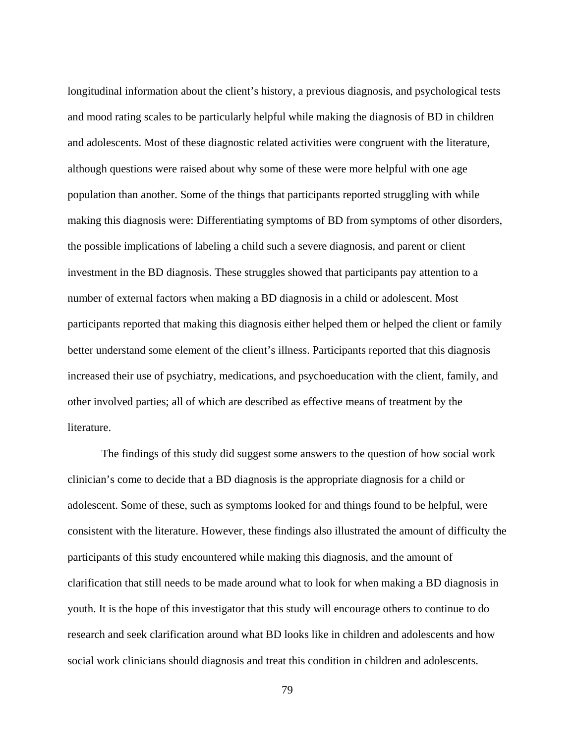longitudinal information about the client's history, a previous diagnosis, and psychological tests and mood rating scales to be particularly helpful while making the diagnosis of BD in children and adolescents. Most of these diagnostic related activities were congruent with the literature, although questions were raised about why some of these were more helpful with one age population than another. Some of the things that participants reported struggling with while making this diagnosis were: Differentiating symptoms of BD from symptoms of other disorders, the possible implications of labeling a child such a severe diagnosis, and parent or client investment in the BD diagnosis. These struggles showed that participants pay attention to a number of external factors when making a BD diagnosis in a child or adolescent. Most participants reported that making this diagnosis either helped them or helped the client or family better understand some element of the client's illness. Participants reported that this diagnosis increased their use of psychiatry, medications, and psychoeducation with the client, family, and other involved parties; all of which are described as effective means of treatment by the literature.

The findings of this study did suggest some answers to the question of how social work clinician's come to decide that a BD diagnosis is the appropriate diagnosis for a child or adolescent. Some of these, such as symptoms looked for and things found to be helpful, were consistent with the literature. However, these findings also illustrated the amount of difficulty the participants of this study encountered while making this diagnosis, and the amount of clarification that still needs to be made around what to look for when making a BD diagnosis in youth. It is the hope of this investigator that this study will encourage others to continue to do research and seek clarification around what BD looks like in children and adolescents and how social work clinicians should diagnosis and treat this condition in children and adolescents.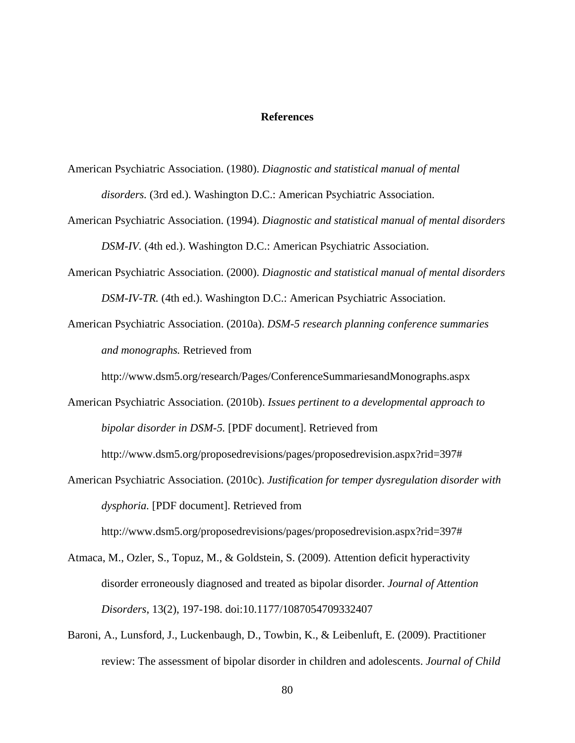#### **References**

American Psychiatric Association. (1980). *Diagnostic and statistical manual of mental disorders.* (3rd ed.). Washington D.C.: American Psychiatric Association.

- American Psychiatric Association. (1994). *Diagnostic and statistical manual of mental disorders DSM-IV.* (4th ed.). Washington D.C.: American Psychiatric Association.
- American Psychiatric Association. (2000). *Diagnostic and statistical manual of mental disorders DSM-IV-TR.* (4th ed.). Washington D.C.: American Psychiatric Association.
- American Psychiatric Association. (2010a). *DSM-5 research planning conference summaries and monographs.* Retrieved from

http://www.dsm5.org/research/Pages/ConferenceSummariesandMonographs.aspx

American Psychiatric Association. (2010b). *Issues pertinent to a developmental approach to bipolar disorder in DSM-5.* [PDF document]. Retrieved from

http://www.dsm5.org/proposedrevisions/pages/proposedrevision.aspx?rid=397#

American Psychiatric Association. (2010c). *Justification for temper dysregulation disorder with dysphoria.* [PDF document]. Retrieved from

http://www.dsm5.org/proposedrevisions/pages/proposedrevision.aspx?rid=397#

- Atmaca, M., Ozler, S., Topuz, M., & Goldstein, S. (2009). Attention deficit hyperactivity disorder erroneously diagnosed and treated as bipolar disorder. *Journal of Attention Disorders*, 13(2), 197-198. doi:10.1177/1087054709332407
- Baroni, A., Lunsford, J., Luckenbaugh, D., Towbin, K., & Leibenluft, E. (2009). Practitioner review: The assessment of bipolar disorder in children and adolescents. *Journal of Child*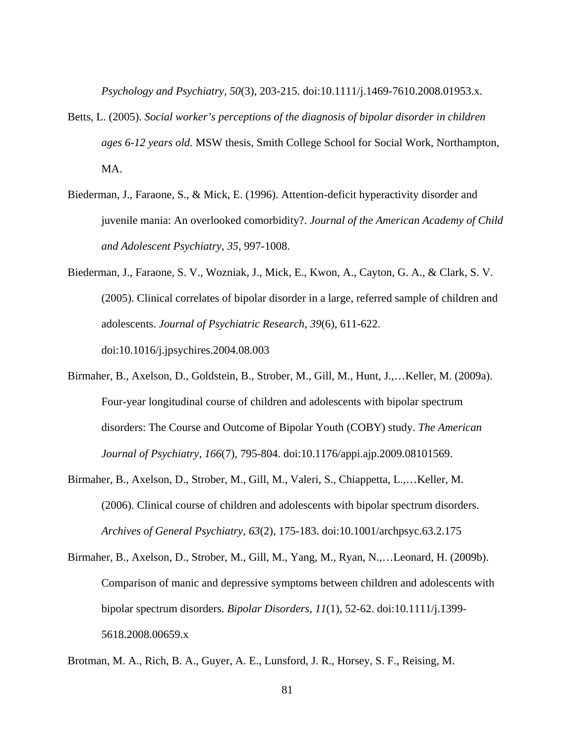*Psychology and Psychiatry, 50*(3), 203-215. doi:10.1111/j.1469-7610.2008.01953.x.

- Betts, L. (2005). *Social worker's perceptions of the diagnosis of bipolar disorder in children ages 6-12 years old.* MSW thesis, Smith College School for Social Work, Northampton, MA.
- Biederman, J., Faraone, S., & Mick, E. (1996). Attention-deficit hyperactivity disorder and juvenile mania: An overlooked comorbidity?. *Journal of the American Academy of Child and Adolescent Psychiatry*, *35*, 997-1008.
- Biederman, J., Faraone, S. V., Wozniak, J., Mick, E., Kwon, A., Cayton, G. A., & Clark, S. V. (2005). Clinical correlates of bipolar disorder in a large, referred sample of children and adolescents. *Journal of Psychiatric Research*, *39*(6), 611-622. doi:10.1016/j.jpsychires.2004.08.003
- Birmaher, B., Axelson, D., Goldstein, B., Strober, M., Gill, M., Hunt, J.,…Keller, M. (2009a). Four-year longitudinal course of children and adolescents with bipolar spectrum disorders: The Course and Outcome of Bipolar Youth (COBY) study. *The American Journal of Psychiatry*, *166*(7), 795-804. doi:10.1176/appi.ajp.2009.08101569.
- Birmaher, B., Axelson, D., Strober, M., Gill, M., Valeri, S., Chiappetta, L.,…Keller, M. (2006). Clinical course of children and adolescents with bipolar spectrum disorders. *Archives of General Psychiatry*, *63*(2), 175-183. doi:10.1001/archpsyc.63.2.175
- Birmaher, B., Axelson, D., Strober, M., Gill, M., Yang, M., Ryan, N.,…Leonard, H. (2009b). Comparison of manic and depressive symptoms between children and adolescents with bipolar spectrum disorders. *Bipolar Disorders*, *11*(1), 52-62. doi:10.1111/j.1399- 5618.2008.00659.x

Brotman, M. A., Rich, B. A., Guyer, A. E., Lunsford, J. R., Horsey, S. F., Reising, M.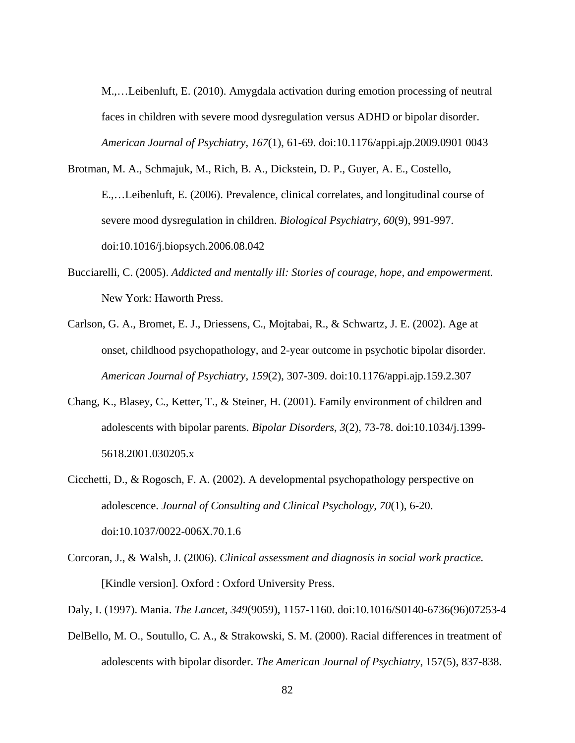M.,…Leibenluft, E. (2010). Amygdala activation during emotion processing of neutral faces in children with severe mood dysregulation versus ADHD or bipolar disorder. *American Journal of Psychiatry*, *167*(1), 61-69. doi:10.1176/appi.ajp.2009.0901 0043

Brotman, M. A., Schmajuk, M., Rich, B. A., Dickstein, D. P., Guyer, A. E., Costello, E.,…Leibenluft, E. (2006). Prevalence, clinical correlates, and longitudinal course of severe mood dysregulation in children. *Biological Psychiatry*, *60*(9), 991-997. doi:10.1016/j.biopsych.2006.08.042

- Bucciarelli, C. (2005). *Addicted and mentally ill: Stories of courage, hope, and empowerment.*  New York: Haworth Press.
- Carlson, G. A., Bromet, E. J., Driessens, C., Mojtabai, R., & Schwartz, J. E. (2002). Age at onset, childhood psychopathology, and 2-year outcome in psychotic bipolar disorder. *American Journal of Psychiatry*, *159*(2), 307-309. doi:10.1176/appi.ajp.159.2.307
- Chang, K., Blasey, C., Ketter, T., & Steiner, H. (2001). Family environment of children and adolescents with bipolar parents. *Bipolar Disorders*, *3*(2), 73-78. doi:10.1034/j.1399- 5618.2001.030205.x
- Cicchetti, D., & Rogosch, F. A. (2002). A developmental psychopathology perspective on adolescence. *Journal of Consulting and Clinical Psychology, 70*(1), 6-20. doi:10.1037/0022-006X.70.1.6
- Corcoran, J., & Walsh, J. (2006). *Clinical assessment and diagnosis in social work practice.*  [Kindle version]. Oxford : Oxford University Press.
- Daly, I. (1997). Mania. *The Lancet*, *349*(9059), 1157-1160. doi:10.1016/S0140-6736(96)07253-4
- DelBello, M. O., Soutullo, C. A., & Strakowski, S. M. (2000). Racial differences in treatment of adolescents with bipolar disorder. *The American Journal of Psychiatry*, 157(5), 837-838.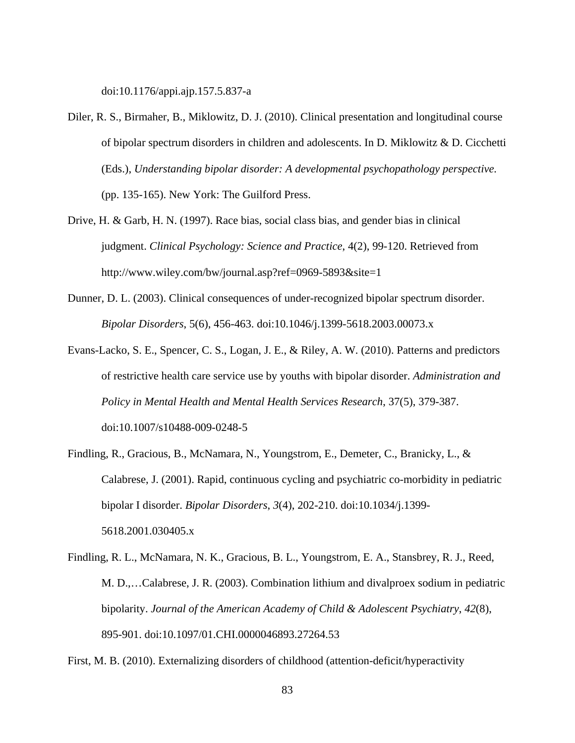doi:10.1176/appi.ajp.157.5.837-a

- Diler, R. S., Birmaher, B., Miklowitz, D. J. (2010). Clinical presentation and longitudinal course of bipolar spectrum disorders in children and adolescents. In D. Miklowitz & D. Cicchetti (Eds.), *Understanding bipolar disorder: A developmental psychopathology perspective.* (pp. 135-165). New York: The Guilford Press.
- Drive, H. & Garb, H. N. (1997). Race bias, social class bias, and gender bias in clinical judgment. *Clinical Psychology: Science and Practice*, 4(2), 99-120. Retrieved from http://www.wiley.com/bw/journal.asp?ref=0969-5893&site=1
- Dunner, D. L. (2003). Clinical consequences of under-recognized bipolar spectrum disorder. *Bipolar Disorders*, 5(6), 456-463. doi:10.1046/j.1399-5618.2003.00073.x
- Evans-Lacko, S. E., Spencer, C. S., Logan, J. E., & Riley, A. W. (2010). Patterns and predictors of restrictive health care service use by youths with bipolar disorder. *Administration and Policy in Mental Health and Mental Health Services Research*, 37(5), 379-387. doi:10.1007/s10488-009-0248-5
- Findling, R., Gracious, B., McNamara, N., Youngstrom, E., Demeter, C., Branicky, L., & Calabrese, J. (2001). Rapid, continuous cycling and psychiatric co-morbidity in pediatric bipolar I disorder. *Bipolar Disorders*, *3*(4), 202-210. doi:10.1034/j.1399- 5618.2001.030405.x
- Findling, R. L., McNamara, N. K., Gracious, B. L., Youngstrom, E. A., Stansbrey, R. J., Reed, M. D.,…Calabrese, J. R. (2003). Combination lithium and divalproex sodium in pediatric bipolarity. *Journal of the American Academy of Child & Adolescent Psychiatry*, *42*(8), 895-901. doi:10.1097/01.CHI.0000046893.27264.53

First, M. B. (2010). Externalizing disorders of childhood (attention-deficit/hyperactivity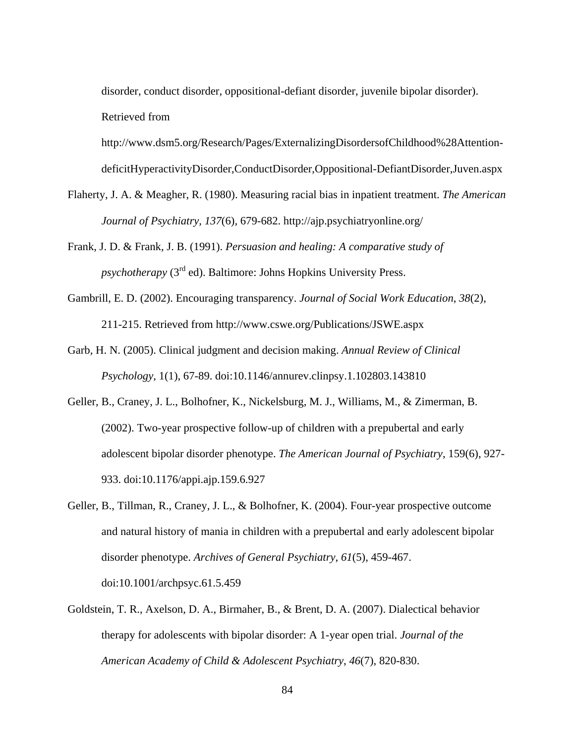disorder, conduct disorder, oppositional-defiant disorder, juvenile bipolar disorder). Retrieved from

http://www.dsm5.org/Research/Pages/ExternalizingDisordersofChildhood%28Attention-

deficitHyperactivityDisorder,ConductDisorder,Oppositional-DefiantDisorder,Juven.aspx

- Flaherty, J. A. & Meagher, R. (1980). Measuring racial bias in inpatient treatment. *The American Journal of Psychiatry, 137*(6)*,* 679-682. http://ajp.psychiatryonline.org/
- Frank, J. D. & Frank, J. B. (1991). *Persuasion and healing: A comparative study of psychotherapy* (3<sup>rd</sup> ed). Baltimore: Johns Hopkins University Press.
- Gambrill, E. D. (2002). Encouraging transparency. *Journal of Social Work Education*, *38*(2), 211-215. Retrieved from http://www.cswe.org/Publications/JSWE.aspx
- Garb, H. N. (2005). Clinical judgment and decision making. *Annual Review of Clinical Psychology*, 1(1), 67-89. doi:10.1146/annurev.clinpsy.1.102803.143810
- Geller, B., Craney, J. L., Bolhofner, K., Nickelsburg, M. J., Williams, M., & Zimerman, B. (2002). Two-year prospective follow-up of children with a prepubertal and early adolescent bipolar disorder phenotype. *The American Journal of Psychiatry*, 159(6), 927- 933. doi:10.1176/appi.ajp.159.6.927
- Geller, B., Tillman, R., Craney, J. L., & Bolhofner, K. (2004). Four-year prospective outcome and natural history of mania in children with a prepubertal and early adolescent bipolar disorder phenotype. *Archives of General Psychiatry*, *61*(5), 459-467. doi:10.1001/archpsyc.61.5.459
- Goldstein, T. R., Axelson, D. A., Birmaher, B., & Brent, D. A. (2007). Dialectical behavior therapy for adolescents with bipolar disorder: A 1-year open trial. *Journal of the American Academy of Child & Adolescent Psychiatry*, *46*(7), 820-830.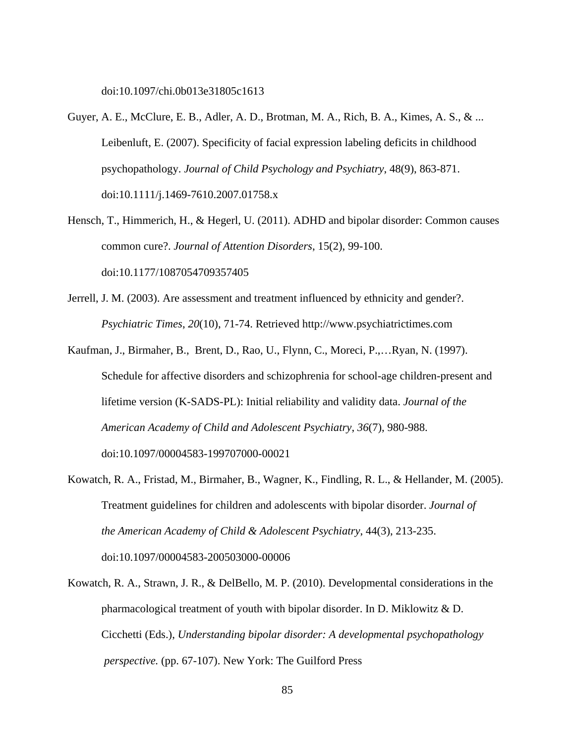doi:10.1097/chi.0b013e31805c1613

- Guyer, A. E., McClure, E. B., Adler, A. D., Brotman, M. A., Rich, B. A., Kimes, A. S., & ... Leibenluft, E. (2007). Specificity of facial expression labeling deficits in childhood psychopathology. *Journal of Child Psychology and Psychiatry*, 48(9), 863-871. doi:10.1111/j.1469-7610.2007.01758.x
- Hensch, T., Himmerich, H., & Hegerl, U. (2011). ADHD and bipolar disorder: Common causes common cure?. *Journal of Attention Disorders*, 15(2), 99-100. doi:10.1177/1087054709357405
- Jerrell, J. M. (2003). Are assessment and treatment influenced by ethnicity and gender?. *Psychiatric Times*, *20*(10), 71-74. Retrieved http://www.psychiatrictimes.com
- Kaufman, J., Birmaher, B., Brent, D., Rao, U., Flynn, C., Moreci, P.,…Ryan, N. (1997). Schedule for affective disorders and schizophrenia for school-age children-present and lifetime version (K-SADS-PL): Initial reliability and validity data. *Journal of the American Academy of Child and Adolescent Psychiatry*, *36*(7), 980-988. doi:10.1097/00004583-199707000-00021
- Kowatch, R. A., Fristad, M., Birmaher, B., Wagner, K., Findling, R. L., & Hellander, M. (2005). Treatment guidelines for children and adolescents with bipolar disorder. *Journal of the American Academy of Child & Adolescent Psychiatry*, 44(3), 213-235. doi:10.1097/00004583-200503000-00006
- Kowatch, R. A., Strawn, J. R., & DelBello, M. P. (2010). Developmental considerations in the pharmacological treatment of youth with bipolar disorder. In D. Miklowitz & D. Cicchetti (Eds.), *Understanding bipolar disorder: A developmental psychopathology perspective.* (pp. 67-107). New York: The Guilford Press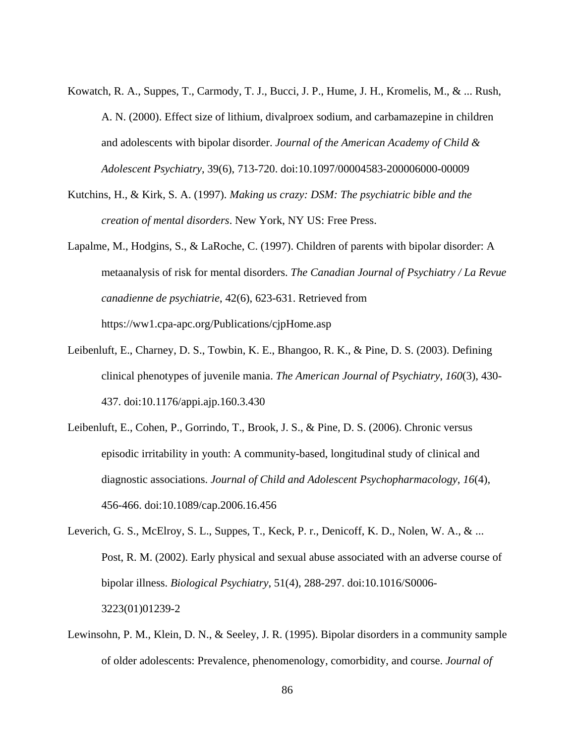- Kowatch, R. A., Suppes, T., Carmody, T. J., Bucci, J. P., Hume, J. H., Kromelis, M., & ... Rush, A. N. (2000). Effect size of lithium, divalproex sodium, and carbamazepine in children and adolescents with bipolar disorder. *Journal of the American Academy of Child & Adolescent Psychiatry*, 39(6), 713-720. doi:10.1097/00004583-200006000-00009
- Kutchins, H., & Kirk, S. A. (1997). *Making us crazy: DSM: The psychiatric bible and the creation of mental disorders*. New York, NY US: Free Press.
- Lapalme, M., Hodgins, S., & LaRoche, C. (1997). Children of parents with bipolar disorder: A metaanalysis of risk for mental disorders. *The Canadian Journal of Psychiatry / La Revue canadienne de psychiatrie*, 42(6), 623-631. Retrieved from https://ww1.cpa-apc.org/Publications/cjpHome.asp
- Leibenluft, E., Charney, D. S., Towbin, K. E., Bhangoo, R. K., & Pine, D. S. (2003). Defining clinical phenotypes of juvenile mania. *The American Journal of Psychiatry*, *160*(3), 430- 437. doi:10.1176/appi.ajp.160.3.430
- Leibenluft, E., Cohen, P., Gorrindo, T., Brook, J. S., & Pine, D. S. (2006). Chronic versus episodic irritability in youth: A community-based, longitudinal study of clinical and diagnostic associations. *Journal of Child and Adolescent Psychopharmacology*, *16*(4), 456-466. doi:10.1089/cap.2006.16.456
- Leverich, G. S., McElroy, S. L., Suppes, T., Keck, P. r., Denicoff, K. D., Nolen, W. A., & ... Post, R. M. (2002). Early physical and sexual abuse associated with an adverse course of bipolar illness. *Biological Psychiatry*, 51(4), 288-297. doi:10.1016/S0006- 3223(01)01239-2
- Lewinsohn, P. M., Klein, D. N., & Seeley, J. R. (1995). Bipolar disorders in a community sample of older adolescents: Prevalence, phenomenology, comorbidity, and course. *Journal of*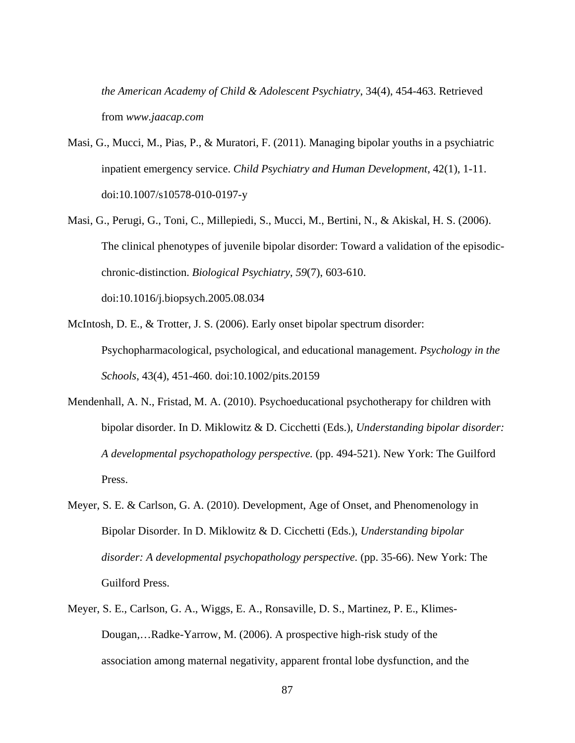*the American Academy of Child & Adolescent Psychiatry*, 34(4), 454-463. Retrieved from *www.jaacap.com* 

- Masi, G., Mucci, M., Pias, P., & Muratori, F. (2011). Managing bipolar youths in a psychiatric inpatient emergency service. *Child Psychiatry and Human Development*, 42(1), 1-11. doi:10.1007/s10578-010-0197-y
- Masi, G., Perugi, G., Toni, C., Millepiedi, S., Mucci, M., Bertini, N., & Akiskal, H. S. (2006). The clinical phenotypes of juvenile bipolar disorder: Toward a validation of the episodicchronic-distinction. *Biological Psychiatry*, *59*(7), 603-610. doi:10.1016/j.biopsych.2005.08.034
- McIntosh, D. E., & Trotter, J. S. (2006). Early onset bipolar spectrum disorder: Psychopharmacological, psychological, and educational management. *Psychology in the Schools*, 43(4), 451-460. doi:10.1002/pits.20159
- Mendenhall, A. N., Fristad, M. A. (2010). Psychoeducational psychotherapy for children with bipolar disorder. In D. Miklowitz & D. Cicchetti (Eds.), *Understanding bipolar disorder: A developmental psychopathology perspective.* (pp. 494-521). New York: The Guilford Press.
- Meyer, S. E. & Carlson, G. A. (2010). Development, Age of Onset, and Phenomenology in Bipolar Disorder. In D. Miklowitz & D. Cicchetti (Eds.), *Understanding bipolar disorder: A developmental psychopathology perspective.* (pp. 35-66). New York: The Guilford Press.
- Meyer, S. E., Carlson, G. A., Wiggs, E. A., Ronsaville, D. S., Martinez, P. E., Klimes-Dougan,…Radke-Yarrow, M. (2006). A prospective high-risk study of the association among maternal negativity, apparent frontal lobe dysfunction, and the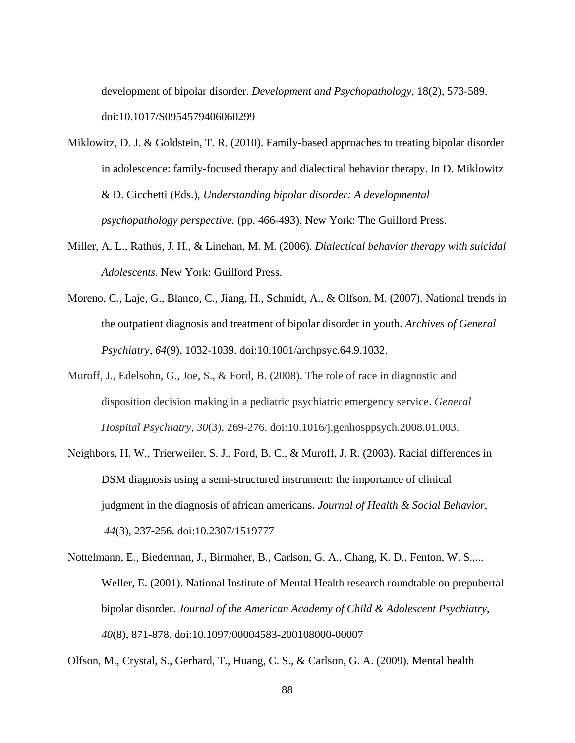development of bipolar disorder. *Development and Psychopathology*, 18(2), 573-589. doi:10.1017/S0954579406060299

- Miklowitz, D. J. & Goldstein, T. R. (2010). Family-based approaches to treating bipolar disorder in adolescence: family-focused therapy and dialectical behavior therapy. In D. Miklowitz & D. Cicchetti (Eds.), *Understanding bipolar disorder: A developmental psychopathology perspective.* (pp. 466-493). New York: The Guilford Press.
- Miller, A. L., Rathus, J. H., & Linehan, M. M. (2006). *Dialectical behavior therapy with suicidal Adolescents.* New York: Guilford Press.
- Moreno, C., Laje, G., Blanco, C., Jiang, H., Schmidt, A., & Olfson, M. (2007). National trends in the outpatient diagnosis and treatment of bipolar disorder in youth. *Archives of General Psychiatry*, *64*(9), 1032-1039. doi:10.1001/archpsyc.64.9.1032.
- Muroff, J., Edelsohn, G., Joe, S., & Ford, B. (2008). The role of race in diagnostic and disposition decision making in a pediatric psychiatric emergency service. *General Hospital Psychiatry*, *30*(3), 269-276. doi:10.1016/j.genhosppsych.2008.01.003.
- Neighbors, H. W., Trierweiler, S. J., Ford, B. C., & Muroff, J. R. (2003). Racial differences in DSM diagnosis using a semi-structured instrument: the importance of clinical judgment in the diagnosis of african americans. *Journal of Health & Social Behavior*, *44*(3), 237-256. doi:10.2307/1519777
- Nottelmann, E., Biederman, J., Birmaher, B., Carlson, G. A., Chang, K. D., Fenton, W. S.,... Weller, E. (2001). National Institute of Mental Health research roundtable on prepubertal bipolar disorder. *Journal of the American Academy of Child & Adolescent Psychiatry*, *40*(8), 871-878. doi:10.1097/00004583-200108000-00007

Olfson, M., Crystal, S., Gerhard, T., Huang, C. S., & Carlson, G. A. (2009). Mental health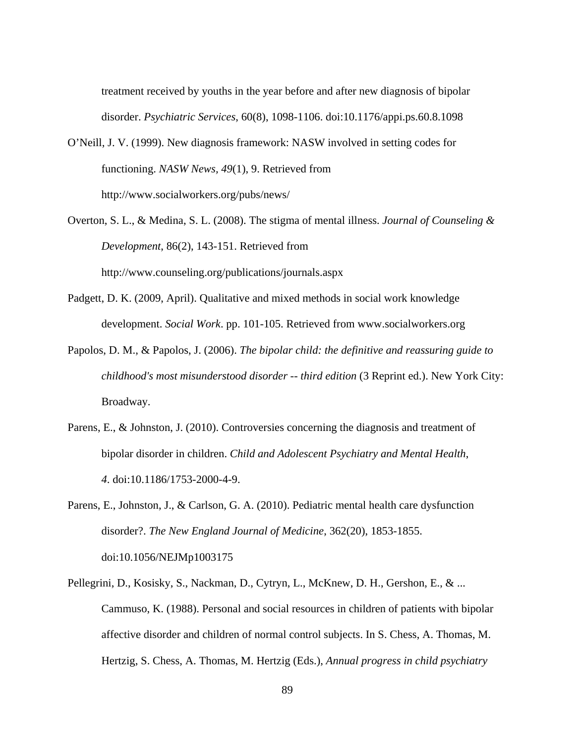treatment received by youths in the year before and after new diagnosis of bipolar disorder. *Psychiatric Services*, 60(8), 1098-1106. doi:10.1176/appi.ps.60.8.1098

- O'Neill, J. V. (1999). New diagnosis framework: NASW involved in setting codes for functioning. *NASW News, 49*(1), 9. Retrieved from http://www.socialworkers.org/pubs/news/
- Overton, S. L., & Medina, S. L. (2008). The stigma of mental illness. *Journal of Counseling & Development*, 86(2), 143-151. Retrieved from http://www.counseling.org/publications/journals.aspx
- Padgett, D. K. (2009, April). Qualitative and mixed methods in social work knowledge development. *Social Work*. pp. 101-105. Retrieved from www.socialworkers.org
- Papolos, D. M., & Papolos, J. (2006). *The bipolar child: the definitive and reassuring guide to childhood's most misunderstood disorder -- third edition* (3 Reprint ed.). New York City: Broadway.
- Parens, E., & Johnston, J. (2010). Controversies concerning the diagnosis and treatment of bipolar disorder in children. *Child and Adolescent Psychiatry and Mental Health*, *4*. doi:10.1186/1753-2000-4-9.
- Parens, E., Johnston, J., & Carlson, G. A. (2010). Pediatric mental health care dysfunction disorder?. *The New England Journal of Medicine*, 362(20), 1853-1855. doi:10.1056/NEJMp1003175
- Pellegrini, D., Kosisky, S., Nackman, D., Cytryn, L., McKnew, D. H., Gershon, E., & ... Cammuso, K. (1988). Personal and social resources in children of patients with bipolar affective disorder and children of normal control subjects. In S. Chess, A. Thomas, M. Hertzig, S. Chess, A. Thomas, M. Hertzig (Eds.), *Annual progress in child psychiatry*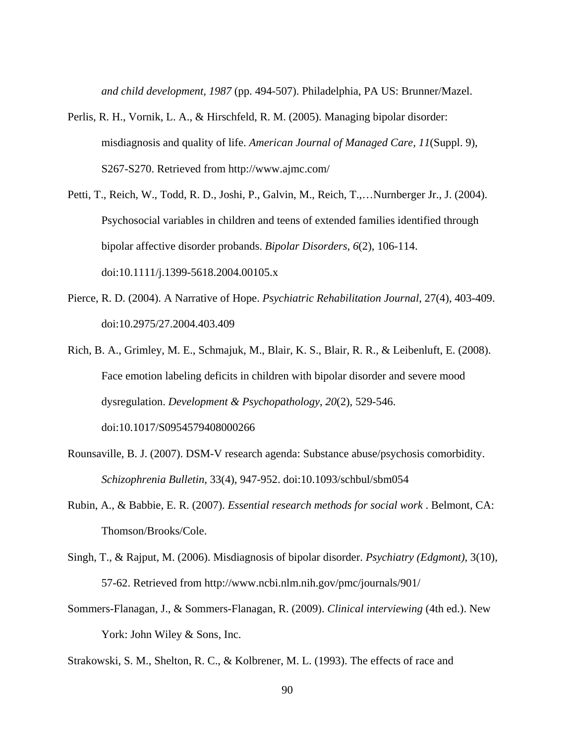*and child development, 1987* (pp. 494-507). Philadelphia, PA US: Brunner/Mazel.

- Perlis, R. H., Vornik, L. A., & Hirschfeld, R. M. (2005). Managing bipolar disorder: misdiagnosis and quality of life. *American Journal of Managed Care, 11*(Suppl. 9), S267-S270. Retrieved from http://www.ajmc.com/
- Petti, T., Reich, W., Todd, R. D., Joshi, P., Galvin, M., Reich, T.,…Nurnberger Jr., J. (2004). Psychosocial variables in children and teens of extended families identified through bipolar affective disorder probands. *Bipolar Disorders*, *6*(2), 106-114. doi:10.1111/j.1399-5618.2004.00105.x
- Pierce, R. D. (2004). A Narrative of Hope. *Psychiatric Rehabilitation Journal*, 27(4), 403-409. doi:10.2975/27.2004.403.409
- Rich, B. A., Grimley, M. E., Schmajuk, M., Blair, K. S., Blair, R. R., & Leibenluft, E. (2008). Face emotion labeling deficits in children with bipolar disorder and severe mood dysregulation. *Development & Psychopathology*, *20*(2), 529-546. doi:10.1017/S0954579408000266
- Rounsaville, B. J. (2007). DSM-V research agenda: Substance abuse/psychosis comorbidity. *Schizophrenia Bulletin*, 33(4), 947-952. doi:10.1093/schbul/sbm054
- Rubin, A., & Babbie, E. R. (2007). *Essential research methods for social work* . Belmont, CA: Thomson/Brooks/Cole.
- Singh, T., & Rajput, M. (2006). Misdiagnosis of bipolar disorder. *Psychiatry (Edgmont)*, 3(10), 57-62. Retrieved from http://www.ncbi.nlm.nih.gov/pmc/journals/901/
- Sommers-Flanagan, J., & Sommers-Flanagan, R. (2009). *Clinical interviewing* (4th ed.). New York: John Wiley & Sons, Inc.

Strakowski, S. M., Shelton, R. C., & Kolbrener, M. L. (1993). The effects of race and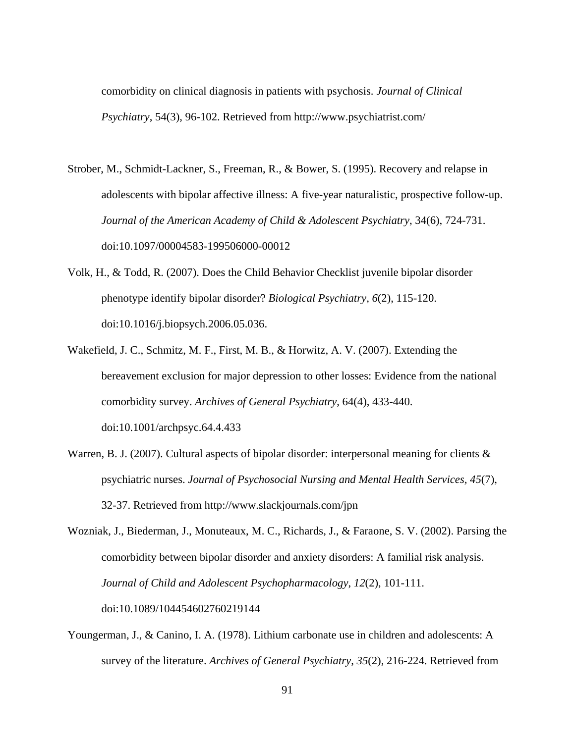comorbidity on clinical diagnosis in patients with psychosis. *Journal of Clinical Psychiatry*, 54(3), 96-102. Retrieved from http://www.psychiatrist.com/

- Strober, M., Schmidt-Lackner, S., Freeman, R., & Bower, S. (1995). Recovery and relapse in adolescents with bipolar affective illness: A five-year naturalistic, prospective follow-up. *Journal of the American Academy of Child & Adolescent Psychiatry*, 34(6), 724-731. doi:10.1097/00004583-199506000-00012
- Volk, H., & Todd, R. (2007). Does the Child Behavior Checklist juvenile bipolar disorder phenotype identify bipolar disorder? *Biological Psychiatry, 6*(2), 115-120. doi:10.1016/j.biopsych.2006.05.036.
- Wakefield, J. C., Schmitz, M. F., First, M. B., & Horwitz, A. V. (2007). Extending the bereavement exclusion for major depression to other losses: Evidence from the national comorbidity survey. *Archives of General Psychiatry*, 64(4), 433-440. doi:10.1001/archpsyc.64.4.433
- Warren, B. J. (2007). Cultural aspects of bipolar disorder: interpersonal meaning for clients & psychiatric nurses. *Journal of Psychosocial Nursing and Mental Health Services, 45*(7), 32-37. Retrieved from http://www.slackjournals.com/jpn

Wozniak, J., Biederman, J., Monuteaux, M. C., Richards, J., & Faraone, S. V. (2002). Parsing the comorbidity between bipolar disorder and anxiety disorders: A familial risk analysis. *Journal of Child and Adolescent Psychopharmacology*, *12*(2), 101-111. doi:10.1089/104454602760219144

Youngerman, J., & Canino, I. A. (1978). Lithium carbonate use in children and adolescents: A survey of the literature. *Archives of General Psychiatry*, *35*(2), 216-224. Retrieved from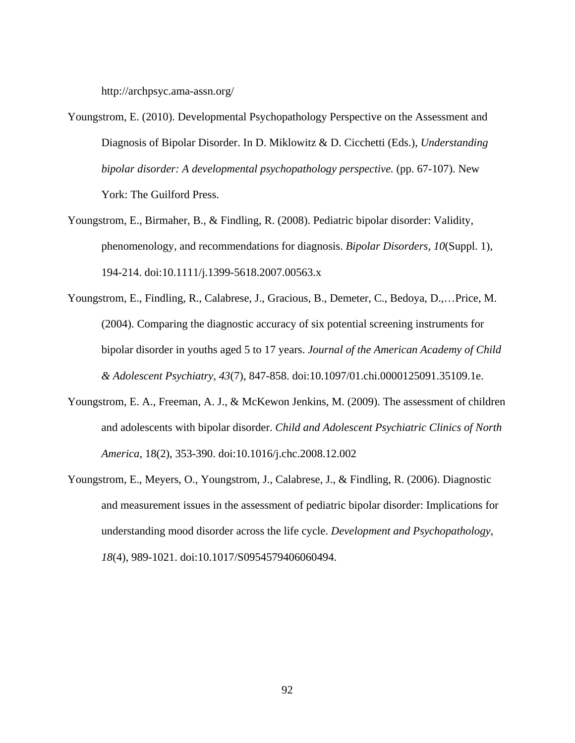http://archpsyc.ama-assn.org/

- Youngstrom, E. (2010). Developmental Psychopathology Perspective on the Assessment and Diagnosis of Bipolar Disorder. In D. Miklowitz & D. Cicchetti (Eds.), *Understanding bipolar disorder: A developmental psychopathology perspective.* (pp. 67-107). New York: The Guilford Press.
- Youngstrom, E., Birmaher, B., & Findling, R. (2008). Pediatric bipolar disorder: Validity, phenomenology, and recommendations for diagnosis. *Bipolar Disorders*, *10*(Suppl. 1), 194-214. doi:10.1111/j.1399-5618.2007.00563.x
- Youngstrom, E., Findling, R., Calabrese, J., Gracious, B., Demeter, C., Bedoya, D.,…Price, M. (2004). Comparing the diagnostic accuracy of six potential screening instruments for bipolar disorder in youths aged 5 to 17 years. *Journal of the American Academy of Child & Adolescent Psychiatry*, *43*(7), 847-858. doi:10.1097/01.chi.0000125091.35109.1e.
- Youngstrom, E. A., Freeman, A. J., & McKewon Jenkins, M. (2009). The assessment of children and adolescents with bipolar disorder. *Child and Adolescent Psychiatric Clinics of North America*, 18(2), 353-390. doi:10.1016/j.chc.2008.12.002
- Youngstrom, E., Meyers, O., Youngstrom, J., Calabrese, J., & Findling, R. (2006). Diagnostic and measurement issues in the assessment of pediatric bipolar disorder: Implications for understanding mood disorder across the life cycle. *Development and Psychopathology*, *18*(4), 989-1021. doi:10.1017/S0954579406060494.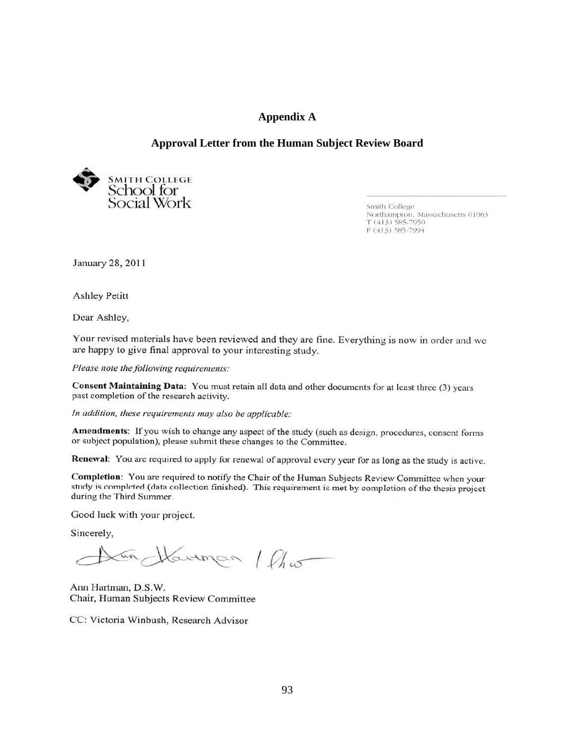### **Appendix A**

## **Approval Letter from the Human Subject Review Board**



Smith College Smith College<br>Northampton, Massachusetts 01063<br>T (413) 585-7950 F (413) 585-7994

January 28, 2011

**Ashley Petitt** 

Dear Ashley,

Your revised materials have been reviewed and they are fine. Everything is now in order and we are happy to give final approval to your interesting study.

Please note the following requirements:

Consent Maintaining Data: You must retain all data and other documents for at least three (3) years past completion of the research activity.

In addition, these requirements may also be applicable:

Amendments: If you wish to change any aspect of the study (such as design, procedures, consent forms or subject population), please submit these changes to the Committee.

Renewal: You are required to apply for renewal of approval every year for as long as the study is active.

Completion: You are required to notify the Chair of the Human Subjects Review Committee when your study is completed (data collection finished). This requirement is met by completion of the thesis project during the Third Summer.

Good luck with your project.

Sincerely,

un Havinan / Cho

Ann Hartman, D.S.W. Chair, Human Subjects Review Committee

CC: Victoria Winbush, Research Advisor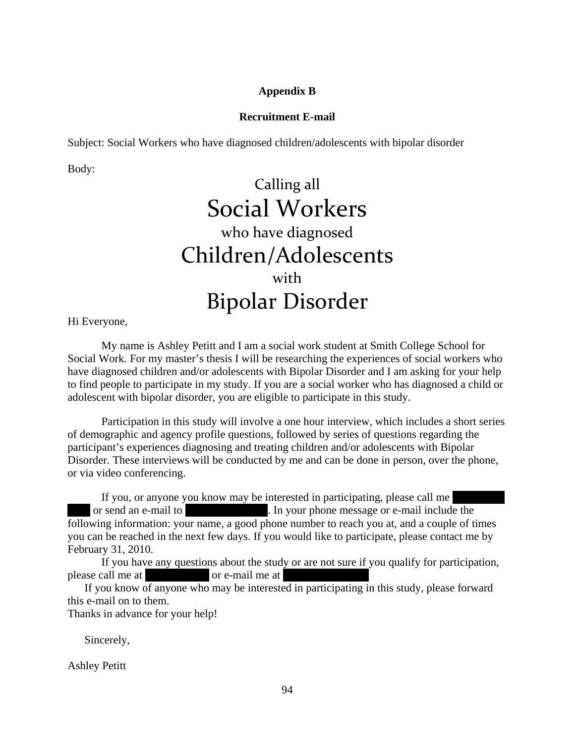## **Appendix B**

## **Recruitment E-mail**

Subject: Social Workers who have diagnosed children/adolescents with bipolar disorder

Body:

# Calling all Social Workers who have diagnosed Children/Adolescents with Bipolar Disorder

Hi Everyone,

My name is Ashley Petitt and I am a social work student at Smith College School for Social Work. For my master's thesis I will be researching the experiences of social workers who have diagnosed children and/or adolescents with Bipolar Disorder and I am asking for your help to find people to participate in my study. If you are a social worker who has diagnosed a child or adolescent with bipolar disorder, you are eligible to participate in this study.

Participation in this study will involve a one hour interview, which includes a short series of demographic and agency profile questions, followed by series of questions regarding the participant's experiences diagnosing and treating children and/or adolescents with Bipolar Disorder. These interviews will be conducted by me and can be done in person, over the phone, or via video conferencing.

If you, or anyone you know may be interested in participating, please call me or send an e-mail to approximate the contract include the contract include the contract of  $\mathbb{R}^n$ . In your phone message or e-mail include the following information: your name, a good phone number to reach you at, and a couple of times you can be reached in the next few days. If you would like to participate, please contact me by February 31, 2010.

If you have any questions about the study or are not sure if you qualify for participation, please call me at 571-426-8640 or e-mail me at apetitive or e-mail me at apetitive or e-mail me at apetite.

If you know of anyone who may be interested in participating in this study, please forward this e-mail on to them.

Thanks in advance for your help!

Sincerely,

Ashley Petitt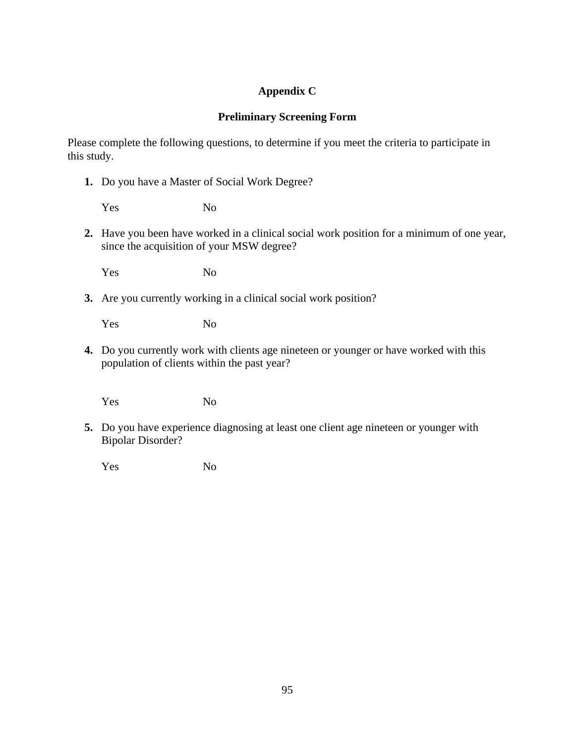# **Appendix C**

# **Preliminary Screening Form**

Please complete the following questions, to determine if you meet the criteria to participate in this study.

**1.** Do you have a Master of Social Work Degree?

Yes No

**2.** Have you been have worked in a clinical social work position for a minimum of one year, since the acquisition of your MSW degree?

Yes No

**3.** Are you currently working in a clinical social work position?

Yes No

**4.** Do you currently work with clients age nineteen or younger or have worked with this population of clients within the past year?

Yes No

**5.** Do you have experience diagnosing at least one client age nineteen or younger with Bipolar Disorder?

Yes No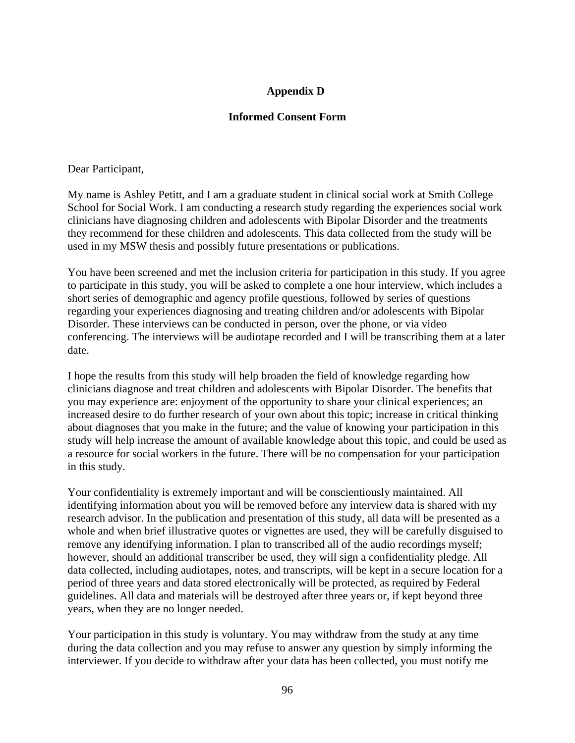# **Appendix D**

# **Informed Consent Form**

Dear Participant,

My name is Ashley Petitt, and I am a graduate student in clinical social work at Smith College School for Social Work. I am conducting a research study regarding the experiences social work clinicians have diagnosing children and adolescents with Bipolar Disorder and the treatments they recommend for these children and adolescents. This data collected from the study will be used in my MSW thesis and possibly future presentations or publications.

You have been screened and met the inclusion criteria for participation in this study. If you agree to participate in this study, you will be asked to complete a one hour interview, which includes a short series of demographic and agency profile questions, followed by series of questions regarding your experiences diagnosing and treating children and/or adolescents with Bipolar Disorder. These interviews can be conducted in person, over the phone, or via video conferencing. The interviews will be audiotape recorded and I will be transcribing them at a later date.

I hope the results from this study will help broaden the field of knowledge regarding how clinicians diagnose and treat children and adolescents with Bipolar Disorder. The benefits that you may experience are: enjoyment of the opportunity to share your clinical experiences; an increased desire to do further research of your own about this topic; increase in critical thinking about diagnoses that you make in the future; and the value of knowing your participation in this study will help increase the amount of available knowledge about this topic, and could be used as a resource for social workers in the future. There will be no compensation for your participation in this study.

Your confidentiality is extremely important and will be conscientiously maintained. All identifying information about you will be removed before any interview data is shared with my research advisor. In the publication and presentation of this study, all data will be presented as a whole and when brief illustrative quotes or vignettes are used, they will be carefully disguised to remove any identifying information. I plan to transcribed all of the audio recordings myself; however, should an additional transcriber be used, they will sign a confidentiality pledge. All data collected, including audiotapes, notes, and transcripts, will be kept in a secure location for a period of three years and data stored electronically will be protected, as required by Federal guidelines. All data and materials will be destroyed after three years or, if kept beyond three years, when they are no longer needed.

Your participation in this study is voluntary. You may withdraw from the study at any time during the data collection and you may refuse to answer any question by simply informing the interviewer. If you decide to withdraw after your data has been collected, you must notify me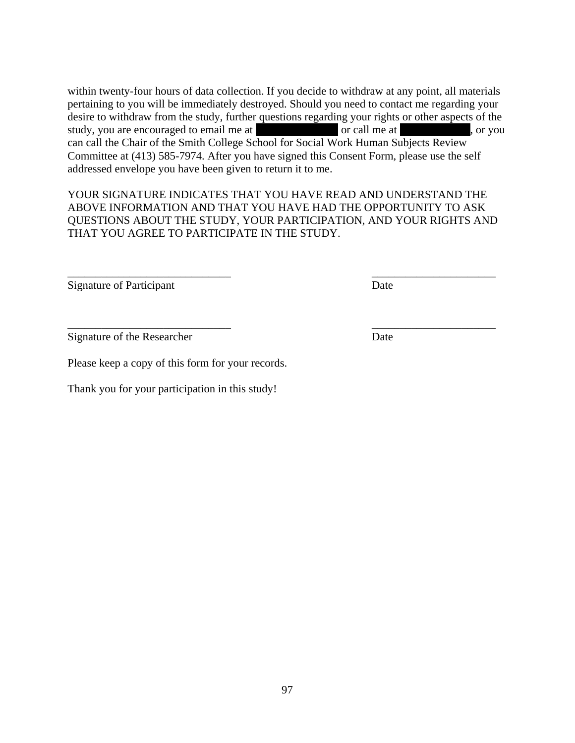within twenty-four hours of data collection. If you decide to withdraw at any point, all materials pertaining to you will be immediately destroyed. Should you need to contact me regarding your desire to withdraw from the study, further questions regarding your rights or other aspects of the study, you are encouraged to email me at  $\qquad \qquad$  or call me at  $\qquad \qquad$ , or you can call the Chair of the Smith College School for Social Work Human Subjects Review Committee at (413) 585-7974. After you have signed this Consent Form, please use the self addressed envelope you have been given to return it to me.

YOUR SIGNATURE INDICATES THAT YOU HAVE READ AND UNDERSTAND THE ABOVE INFORMATION AND THAT YOU HAVE HAD THE OPPORTUNITY TO ASK QUESTIONS ABOUT THE STUDY, YOUR PARTICIPATION, AND YOUR RIGHTS AND THAT YOU AGREE TO PARTICIPATE IN THE STUDY.

 $\frac{1}{2}$  ,  $\frac{1}{2}$  ,  $\frac{1}{2}$  ,  $\frac{1}{2}$  ,  $\frac{1}{2}$  ,  $\frac{1}{2}$  ,  $\frac{1}{2}$  ,  $\frac{1}{2}$  ,  $\frac{1}{2}$  ,  $\frac{1}{2}$  ,  $\frac{1}{2}$  ,  $\frac{1}{2}$  ,  $\frac{1}{2}$  ,  $\frac{1}{2}$  ,  $\frac{1}{2}$  ,  $\frac{1}{2}$  ,  $\frac{1}{2}$  ,  $\frac{1}{2}$  ,  $\frac{1$ 

\_\_\_\_\_\_\_\_\_\_\_\_\_\_\_\_\_\_\_\_\_\_\_\_\_\_\_\_\_ \_\_\_\_\_\_\_\_\_\_\_\_\_\_\_\_\_\_\_\_\_\_

Signature of Participant Date

Signature of the Researcher Date

Please keep a copy of this form for your records.

Thank you for your participation in this study!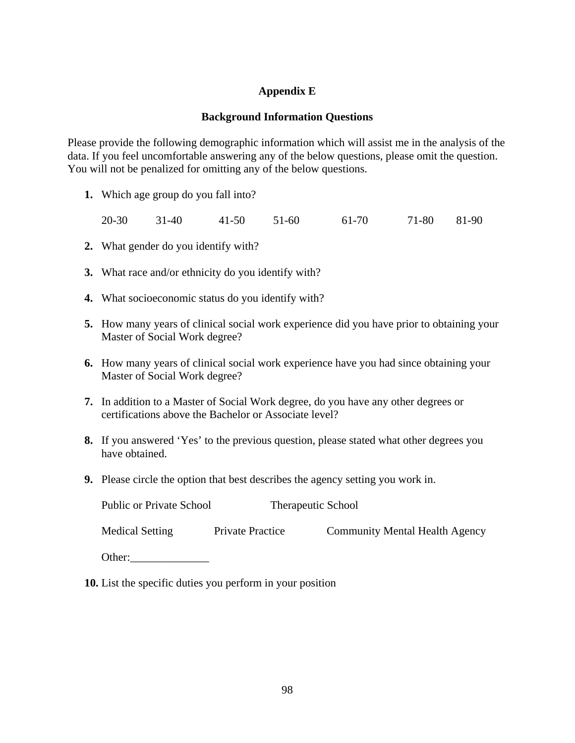# **Appendix E**

## **Background Information Questions**

Please provide the following demographic information which will assist me in the analysis of the data. If you feel uncomfortable answering any of the below questions, please omit the question. You will not be penalized for omitting any of the below questions.

**1.** Which age group do you fall into?

20-30 31-40 41-50 51-60 61-70 71-80 81-90

- **2.** What gender do you identify with?
- **3.** What race and/or ethnicity do you identify with?
- **4.** What socioeconomic status do you identify with?
- **5.** How many years of clinical social work experience did you have prior to obtaining your Master of Social Work degree?
- **6.** How many years of clinical social work experience have you had since obtaining your Master of Social Work degree?
- **7.** In addition to a Master of Social Work degree, do you have any other degrees or certifications above the Bachelor or Associate level?
- **8.** If you answered 'Yes' to the previous question, please stated what other degrees you have obtained.
- **9.** Please circle the option that best describes the agency setting you work in.

| <b>Public or Private School</b> | <b>Therapeutic School</b> |                                       |
|---------------------------------|---------------------------|---------------------------------------|
| <b>Medical Setting</b>          | <b>Private Practice</b>   | <b>Community Mental Health Agency</b> |
| Other:                          |                           |                                       |

**10.** List the specific duties you perform in your position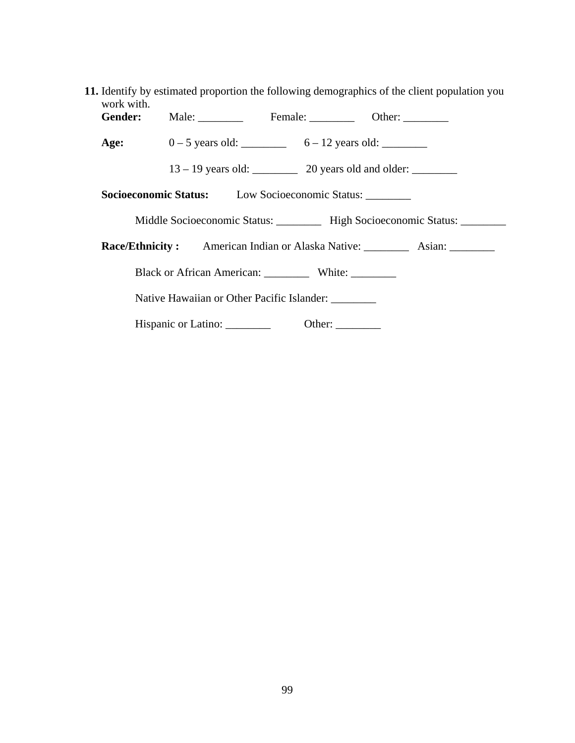| work with.                                                                    | 11. Identify by estimated proportion the following demographics of the client population you |  |  |  |
|-------------------------------------------------------------------------------|----------------------------------------------------------------------------------------------|--|--|--|
|                                                                               | Gender: Male: Female: Cher: Other:                                                           |  |  |  |
|                                                                               | Age: $0-5$ years old: $6-12$ years old:                                                      |  |  |  |
|                                                                               |                                                                                              |  |  |  |
| <b>Socioeconomic Status:</b> Low Socioeconomic Status:                        |                                                                                              |  |  |  |
| Middle Socioeconomic Status: _________ High Socioeconomic Status: ________    |                                                                                              |  |  |  |
| Race/Ethnicity: American Indian or Alaska Native: __________ Asian: _________ |                                                                                              |  |  |  |
| Black or African American: White:                                             |                                                                                              |  |  |  |
| Native Hawaiian or Other Pacific Islander:                                    |                                                                                              |  |  |  |
|                                                                               | Hispanic or Latino: ________<br>Other: $\qquad \qquad$                                       |  |  |  |